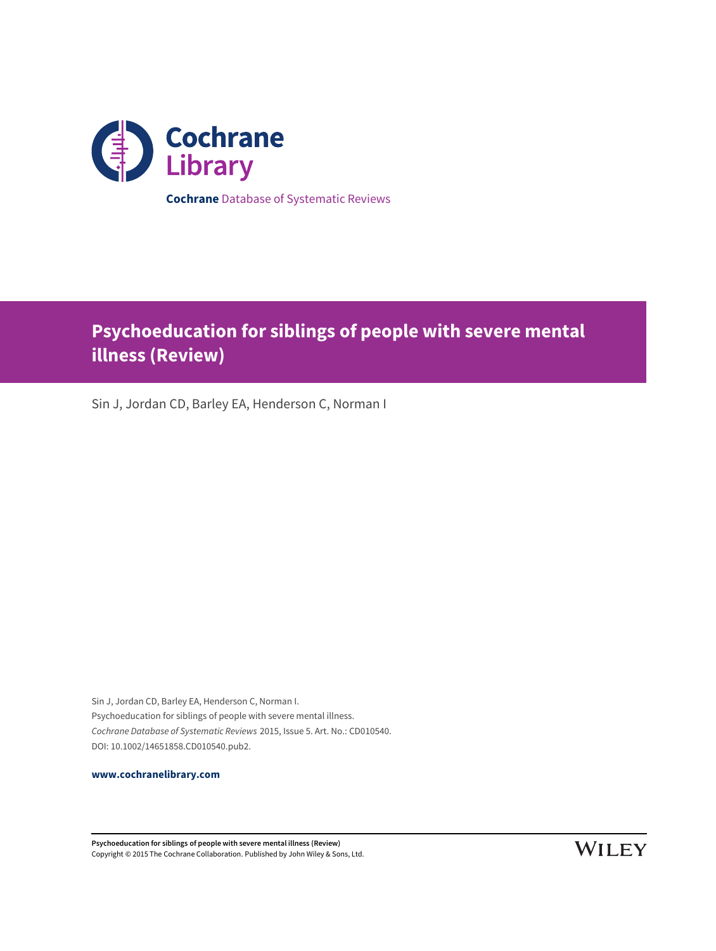

# **Psychoeducation for siblings of people with severe mental illness (Review)**

Sin J, Jordan CD, Barley EA, Henderson C, Norman I

Sin J, Jordan CD, Barley EA, Henderson C, Norman I. Psychoeducation for siblings of people with severe mental illness. Cochrane Database of Systematic Reviews 2015, Issue 5. Art. No.: CD010540. DOI: 10.1002/14651858.CD010540.pub2.

**[www.cochranelibrary.com](http://www.cochranelibrary.com)**

**Psychoeducation for siblings of people with severe mental illness (Review)** Copyright © 2015 The Cochrane Collaboration. Published by John Wiley & Sons, Ltd.

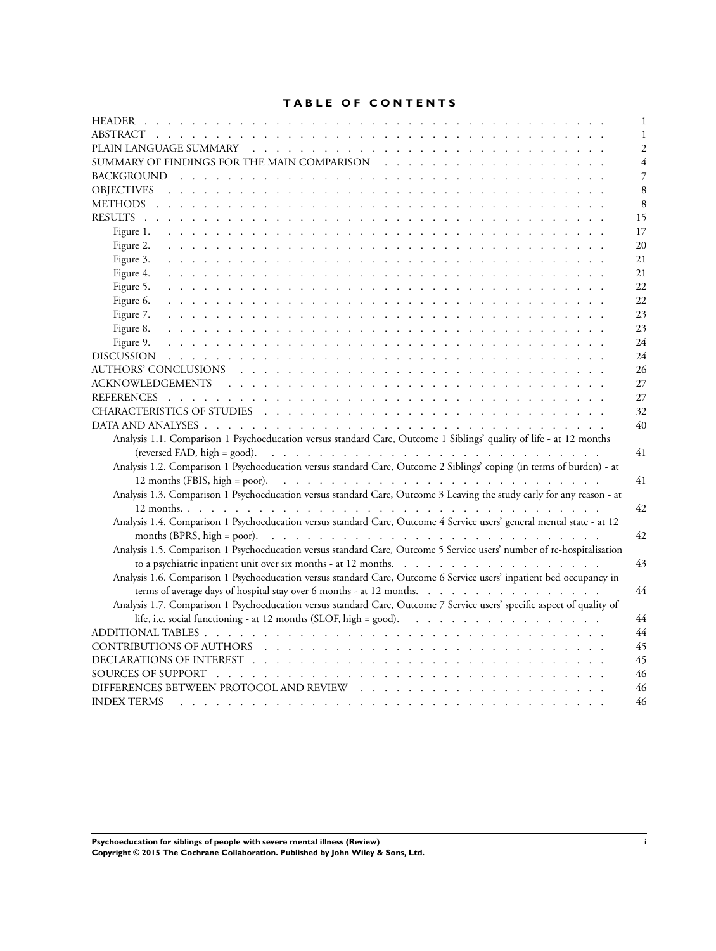# **TABLE OF CONTENTS**

| 1                                                                                                                                                                                                                                                        |
|----------------------------------------------------------------------------------------------------------------------------------------------------------------------------------------------------------------------------------------------------------|
| 1                                                                                                                                                                                                                                                        |
| $\mathcal{D}$                                                                                                                                                                                                                                            |
| 4                                                                                                                                                                                                                                                        |
| 7                                                                                                                                                                                                                                                        |
| <b>OBJECTIVES</b><br>and the contract of the contract of the contract of the contract of the contract of the contract of the contract of the contract of the contract of the contract of the contract of the contract of the contract of the contra<br>8 |
| 8                                                                                                                                                                                                                                                        |
| 15                                                                                                                                                                                                                                                       |
| Figure 1.<br>17                                                                                                                                                                                                                                          |
| Figure 2.<br>20<br>a constitution de la constitución de la constitución de la constitución de la constitución de la constitución                                                                                                                         |
| Figure 3.<br>21<br>a constitución de la constitución de la constitución de la constitución de la constitución de la constitución                                                                                                                         |
| Figure 4.<br>21                                                                                                                                                                                                                                          |
| Figure 5.<br>22                                                                                                                                                                                                                                          |
| Figure 6.<br>22                                                                                                                                                                                                                                          |
| Figure 7.<br>23<br>a constitution of the constitution of the constitution of the constitution of the constitution of the constitution of the constitution of the constitution of the constitution of the constitution of the constitution of the         |
| Figure 8.<br>23                                                                                                                                                                                                                                          |
| Figure 9.<br>24                                                                                                                                                                                                                                          |
| 24                                                                                                                                                                                                                                                       |
| 26                                                                                                                                                                                                                                                       |
| 27                                                                                                                                                                                                                                                       |
| 27                                                                                                                                                                                                                                                       |
| 32                                                                                                                                                                                                                                                       |
| 40                                                                                                                                                                                                                                                       |
| Analysis 1.1. Comparison 1 Psychoeducation versus standard Care, Outcome 1 Siblings' quality of life - at 12 months                                                                                                                                      |
| 41                                                                                                                                                                                                                                                       |
| Analysis 1.2. Comparison 1 Psychoeducation versus standard Care, Outcome 2 Siblings' coping (in terms of burden) - at                                                                                                                                    |
| 41                                                                                                                                                                                                                                                       |
| Analysis 1.3. Comparison 1 Psychoeducation versus standard Care, Outcome 3 Leaving the study early for any reason - at                                                                                                                                   |
| 42                                                                                                                                                                                                                                                       |
| Analysis 1.4. Comparison 1 Psychoeducation versus standard Care, Outcome 4 Service users' general mental state - at 12                                                                                                                                   |
| 42                                                                                                                                                                                                                                                       |
| Analysis 1.5. Comparison 1 Psychoeducation versus standard Care, Outcome 5 Service users' number of re-hospitalisation                                                                                                                                   |
| 43                                                                                                                                                                                                                                                       |
| Analysis 1.6. Comparison 1 Psychoeducation versus standard Care, Outcome 6 Service users' inpatient bed occupancy in                                                                                                                                     |
| terms of average days of hospital stay over 6 months - at 12 months.<br>44                                                                                                                                                                               |
| Analysis 1.7. Comparison 1 Psychoeducation versus standard Care, Outcome 7 Service users' specific aspect of quality of                                                                                                                                  |
| life, i.e. social functioning - at 12 months (SLOF, high = good). $\ldots$ . $\ldots$ . $\ldots$ . $\ldots$ . $\ldots$<br>44                                                                                                                             |
| 44                                                                                                                                                                                                                                                       |
| 45                                                                                                                                                                                                                                                       |
| 45                                                                                                                                                                                                                                                       |
| 46                                                                                                                                                                                                                                                       |
| 46                                                                                                                                                                                                                                                       |
| <b>INDEX TERMS</b><br>46<br>$\mathcal{A}$ , which is a set of the set of the set of the set of the set of the set of the $\mathcal{A}$                                                                                                                   |
|                                                                                                                                                                                                                                                          |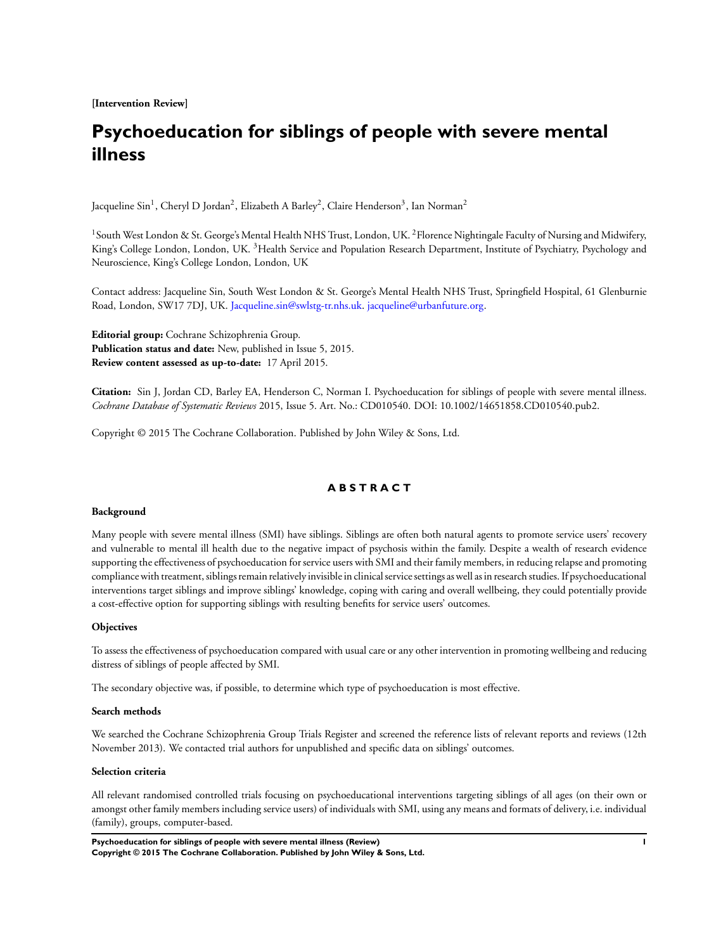**[Intervention Review]**

# **Psychoeducation for siblings of people with severe mental illness**

Jacqueline Sin $^1$ , Cheryl D Jordan $^2$ , Elizabeth A Barley $^2$ , Claire Henderson $^3$ , Ian Norman $^2$ 

<sup>1</sup> South West London & St. George's Mental Health NHS Trust, London, UK. <sup>2</sup> Florence Nightingale Faculty of Nursing and Midwifery, King's College London, London, UK.<sup>3</sup> Health Service and Population Research Department, Institute of Psychiatry, Psychology and Neuroscience, King's College London, London, UK

Contact address: Jacqueline Sin, South West London & St. George's Mental Health NHS Trust, Springfield Hospital, 61 Glenburnie Road, London, SW17 7DJ, UK. [Jacqueline.sin@swlstg-tr.nhs.uk](mailto:Jacqueline.sin@swlstg-tr.nhs.uk). [jacqueline@urbanfuture.org.](mailto:jacqueline@urbanfuture.org)

**Editorial group:** Cochrane Schizophrenia Group. **Publication status and date:** New, published in Issue 5, 2015. **Review content assessed as up-to-date:** 17 April 2015.

**Citation:** Sin J, Jordan CD, Barley EA, Henderson C, Norman I. Psychoeducation for siblings of people with severe mental illness. *Cochrane Database of Systematic Reviews* 2015, Issue 5. Art. No.: CD010540. DOI: 10.1002/14651858.CD010540.pub2.

Copyright © 2015 The Cochrane Collaboration. Published by John Wiley & Sons, Ltd.

# **A B S T R A C T**

## **Background**

Many people with severe mental illness (SMI) have siblings. Siblings are often both natural agents to promote service users' recovery and vulnerable to mental ill health due to the negative impact of psychosis within the family. Despite a wealth of research evidence supporting the effectiveness of psychoeducation for service users with SMI and their family members, in reducing relapse and promoting compliance with treatment, siblings remain relatively invisible in clinical service settings as well as in research studies.If psychoeducational interventions target siblings and improve siblings' knowledge, coping with caring and overall wellbeing, they could potentially provide a cost-effective option for supporting siblings with resulting benefits for service users' outcomes.

## **Objectives**

To assess the effectiveness of psychoeducation compared with usual care or any other intervention in promoting wellbeing and reducing distress of siblings of people affected by SMI.

The secondary objective was, if possible, to determine which type of psychoeducation is most effective.

### **Search methods**

We searched the Cochrane Schizophrenia Group Trials Register and screened the reference lists of relevant reports and reviews (12th November 2013). We contacted trial authors for unpublished and specific data on siblings' outcomes.

## **Selection criteria**

All relevant randomised controlled trials focusing on psychoeducational interventions targeting siblings of all ages (on their own or amongst other family members including service users) of individuals with SMI, using any means and formats of delivery, i.e. individual (family), groups, computer-based.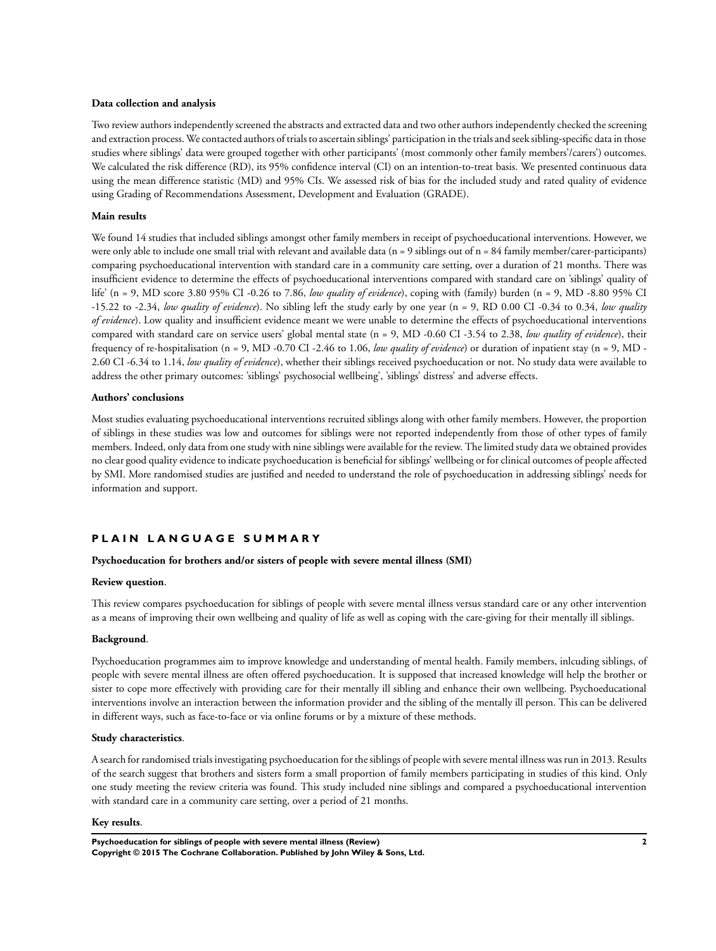### **Data collection and analysis**

Two review authors independently screened the abstracts and extracted data and two other authors independently checked the screening and extraction process. We contacted authors of trials to ascertain siblings' participation in the trials and seek sibling-specific data in those studies where siblings' data were grouped together with other participants' (most commonly other family members'/carers') outcomes. We calculated the risk difference (RD), its 95% confidence interval (CI) on an intention-to-treat basis. We presented continuous data using the mean difference statistic (MD) and 95% CIs. We assessed risk of bias for the included study and rated quality of evidence using Grading of Recommendations Assessment, Development and Evaluation (GRADE).

# **Main results**

We found 14 studies that included siblings amongst other family members in receipt of psychoeducational interventions. However, we were only able to include one small trial with relevant and available data  $(n = 9$  siblings out of  $n = 84$  family member/carer-participants) comparing psychoeducational intervention with standard care in a community care setting, over a duration of 21 months. There was insufficient evidence to determine the effects of psychoeducational interventions compared with standard care on 'siblings' quality of life' (n = 9, MD score 3.80 95% CI -0.26 to 7.86, *low quality of evidence*), coping with (family) burden (n = 9, MD -8.80 95% CI -15.22 to -2.34, *low quality of evidence*). No sibling left the study early by one year (n = 9, RD 0.00 CI -0.34 to 0.34, *low quality of evidence*). Low quality and insufficient evidence meant we were unable to determine the effects of psychoeducational interventions compared with standard care on service users' global mental state (n = 9, MD -0.60 CI -3.54 to 2.38, *low quality of evidence*), their frequency of re-hospitalisation (n = 9, MD -0.70 CI -2.46 to 1.06, *low quality of evidence*) or duration of inpatient stay (n = 9, MD - 2.60 CI -6.34 to 1.14, *low quality of evidence*), whether their siblings received psychoeducation or not. No study data were available to address the other primary outcomes: 'siblings' psychosocial wellbeing', 'siblings' distress' and adverse effects.

# **Authors' conclusions**

Most studies evaluating psychoeducational interventions recruited siblings along with other family members. However, the proportion of siblings in these studies was low and outcomes for siblings were not reported independently from those of other types of family members. Indeed, only data from one study with nine siblings were available for the review. The limited study data we obtained provides no clear good quality evidence to indicate psychoeducation is beneficial for siblings' wellbeing or for clinical outcomes of people affected by SMI. More randomised studies are justified and needed to understand the role of psychoeducation in addressing siblings' needs for information and support.

## **P L A I N L A N G U A G E S U M M A R Y**

## **Psychoeducation for brothers and/or sisters of people with severe mental illness (SMI)**

## **Review question**.

This review compares psychoeducation for siblings of people with severe mental illness versus standard care or any other intervention as a means of improving their own wellbeing and quality of life as well as coping with the care-giving for their mentally ill siblings.

# **Background**.

Psychoeducation programmes aim to improve knowledge and understanding of mental health. Family members, inlcuding siblings, of people with severe mental illness are often offered psychoeducation. It is supposed that increased knowledge will help the brother or sister to cope more effectively with providing care for their mentally ill sibling and enhance their own wellbeing. Psychoeducational interventions involve an interaction between the information provider and the sibling of the mentally ill person. This can be delivered in different ways, such as face-to-face or via online forums or by a mixture of these methods.

### **Study characteristics**.

A search for randomised trials investigating psychoeducation for the siblings of people with severe mental illness was run in 2013. Results of the search suggest that brothers and sisters form a small proportion of family members participating in studies of this kind. Only one study meeting the review criteria was found. This study included nine siblings and compared a psychoeducational intervention with standard care in a community care setting, over a period of 21 months.

### **Key results**.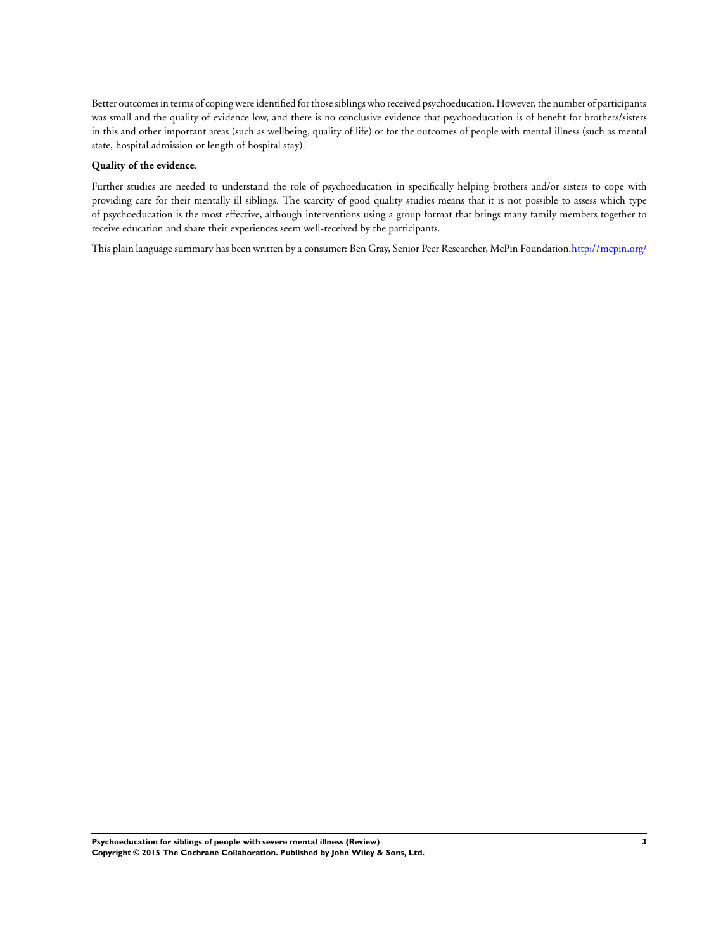Better outcomes in terms of coping were identified for those siblings who received psychoeducation. However, the number of participants was small and the quality of evidence low, and there is no conclusive evidence that psychoeducation is of benefit for brothers/sisters in this and other important areas (such as wellbeing, quality of life) or for the outcomes of people with mental illness (such as mental state, hospital admission or length of hospital stay).

# **Quality of the evidence**.

Further studies are needed to understand the role of psychoeducation in specifically helping brothers and/or sisters to cope with providing care for their mentally ill siblings. The scarcity of good quality studies means that it is not possible to assess which type of psychoeducation is the most effective, although interventions using a group format that brings many family members together to receive education and share their experiences seem well-received by the participants.

This plain language summary has been written by a consumer: Ben Gray, Senior Peer Researcher, McPin Foundation.<http://mcpin.org/>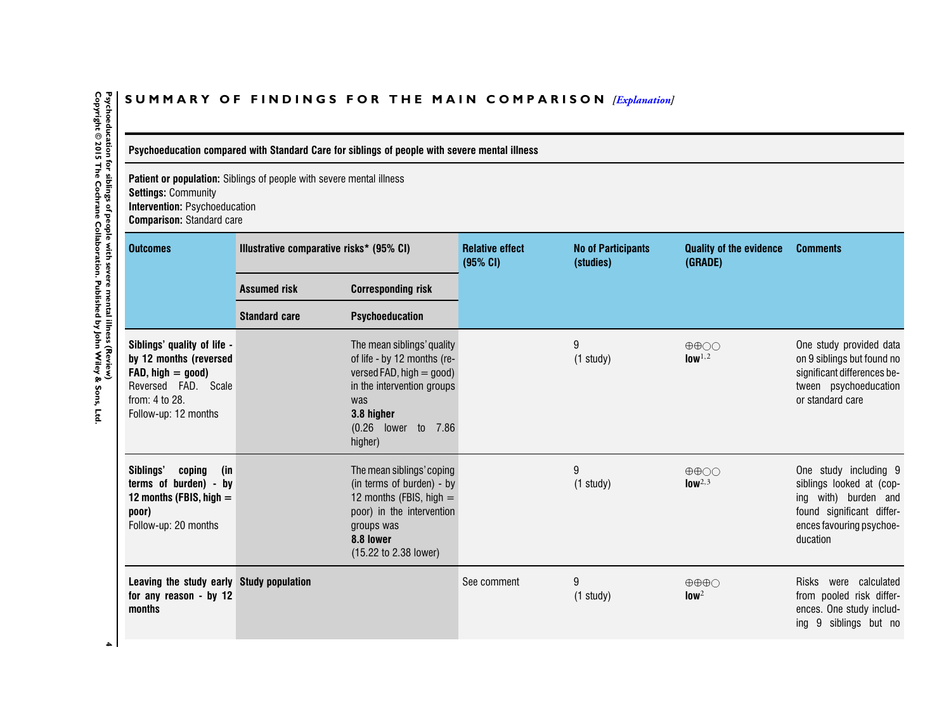# <span id="page-5-0"></span>SUMMARY OF FINDINGS FOR THE MAIN COMPARISON *[\[Explanation\]](http://www.thecochranelibrary.com/view/0/SummaryFindings.html)*

Psychoeducation compared with Standard Care for siblings of people with severe mental illness

**Patient or population:** Siblings of people with severe mental illness **Settings:** Community

**Intervention:** Psychoeducation

**Comparison:** Standard care

| <b>Outcomes</b>                                                                                                                                  | Illustrative comparative risks* (95% CI) |                                                                                                                                                                              | <b>Relative effect</b><br>(95% CI) | <b>No of Participants</b><br>(studies) | <b>Quality of the evidence</b><br>(GRADE)               | <b>Comments</b>                                                                                                                                |
|--------------------------------------------------------------------------------------------------------------------------------------------------|------------------------------------------|------------------------------------------------------------------------------------------------------------------------------------------------------------------------------|------------------------------------|----------------------------------------|---------------------------------------------------------|------------------------------------------------------------------------------------------------------------------------------------------------|
|                                                                                                                                                  | <b>Assumed risk</b>                      | <b>Corresponding risk</b>                                                                                                                                                    |                                    |                                        |                                                         |                                                                                                                                                |
|                                                                                                                                                  | <b>Standard care</b>                     | <b>Psychoeducation</b>                                                                                                                                                       |                                    |                                        |                                                         |                                                                                                                                                |
| Siblings' quality of life -<br>by 12 months (reversed<br>$FAD$ , high $=$ good)<br>Reversed FAD. Scale<br>from: 4 to 28.<br>Follow-up: 12 months |                                          | The mean siblings' quality<br>of life - by 12 months (re-<br>versed FAD, high $=$ good)<br>in the intervention groups<br>was<br>3.8 higher<br>(0.26 lower to 7.86<br>higher) |                                    | 9<br>$(1$ study)                       | $\oplus \oplus \odot \odot$<br>low <sup>1,2</sup>       | One study provided data<br>on 9 siblings but found no<br>significant differences be-<br>tween psychoeducation<br>or standard care              |
| Siblings'<br>coping<br>(in<br>terms of burden) - by<br>12 months (FBIS, high $=$<br>poor)<br>Follow-up: 20 months                                |                                          | The mean siblings' coping<br>(in terms of burden) - by<br>12 months (FBIS, high $=$<br>poor) in the intervention<br>groups was<br>8.8 lower<br>(15.22 to 2.38 lower)         |                                    | 9<br>$(1$ study)                       | $\oplus \oplus \bigcirc \bigcirc$<br>low <sup>2,3</sup> | One study including 9<br>siblings looked at (cop-<br>ing with) burden and<br>found significant differ-<br>ences favouring psychoe-<br>ducation |
| Leaving the study early Study population<br>for any reason - by 12<br>months                                                                     |                                          |                                                                                                                                                                              | See comment                        | 9<br>$(1$ study)                       | $\oplus \oplus \oplus \bigcirc$<br>low <sup>2</sup>     | Risks were calculated<br>from pooled risk differ-<br>ences. One study includ-<br>ing 9 siblings but no                                         |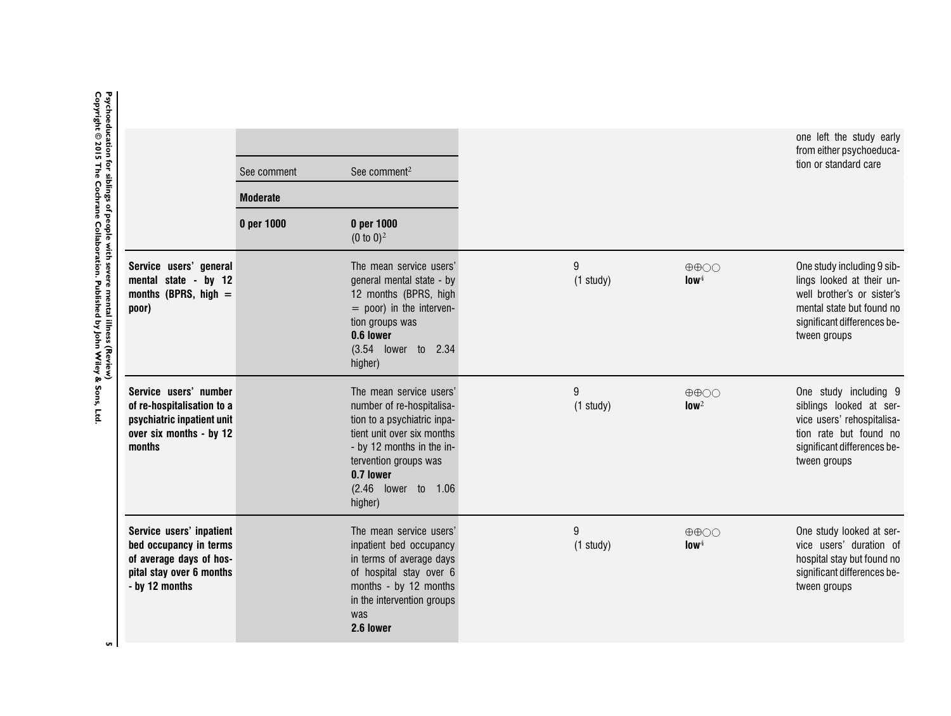|                                                                                                                             | See comment<br><b>Moderate</b><br>0 per 1000 | See comment <sup>2</sup><br>0 per 1000<br>$(0 \text{ to } 0)^2$                                                                                                                                                        |                  |                                                       | one left the study early<br>from either psychoeduca-<br>tion or standard care                                                                                     |
|-----------------------------------------------------------------------------------------------------------------------------|----------------------------------------------|------------------------------------------------------------------------------------------------------------------------------------------------------------------------------------------------------------------------|------------------|-------------------------------------------------------|-------------------------------------------------------------------------------------------------------------------------------------------------------------------|
| Service users' general<br>mental state - by 12<br>months (BPRS, high $=$<br>poor)                                           |                                              | The mean service users'<br>general mental state - by<br>12 months (BPRS, high<br>$=$ poor) in the interven-<br>tion groups was<br>0.6 lower<br>(3.54 lower to 2.34<br>higher)                                          | 9<br>$(1$ study) | $\oplus \oplus \odot \odot$<br>low <sup>4</sup>       | One study including 9 sib-<br>lings looked at their un-<br>well brother's or sister's<br>mental state but found no<br>significant differences be-<br>tween groups |
| Service users' number<br>of re-hospitalisation to a<br>psychiatric inpatient unit<br>over six months - by 12<br>months      |                                              | The mean service users'<br>number of re-hospitalisa-<br>tion to a psychiatric inpa-<br>tient unit over six months<br>- by 12 months in the in-<br>tervention groups was<br>0.7 lower<br>(2.46 lower to 1.06<br>higher) | 9<br>$(1$ study) | $\oplus \oplus \odot \odot$<br>low <sup>2</sup>       | One study including 9<br>siblings looked at ser-<br>vice users' rehospitalisa-<br>tion rate but found no<br>significant differences be-<br>tween groups           |
| Service users' inpatient<br>bed occupancy in terms<br>of average days of hos-<br>pital stay over 6 months<br>- by 12 months |                                              | The mean service users'<br>inpatient bed occupancy<br>in terms of average days<br>of hospital stay over 6<br>months - by 12 months<br>in the intervention groups<br>was<br>2.6 lower                                   | 9<br>$(1$ study) | $\oplus \oplus \bigcirc \bigcirc$<br>low <sup>4</sup> | One study looked at ser-<br>vice users' duration of<br>hospital stay but found no<br>significant differences be-<br>tween groups                                  |

 $\sqrt{2}$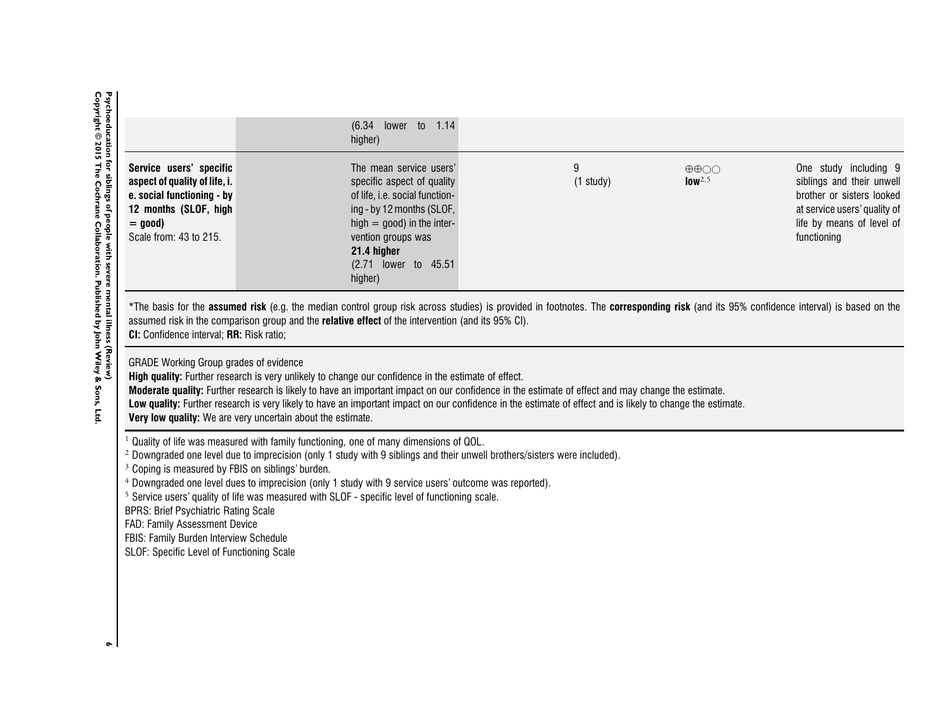|                                                                                                                                                                                                                                                                                                                                                                                                                                                                                                                                                                                                                                | lower to 1.14<br>(6.34)<br>higher)  |             |                             |                              |
|--------------------------------------------------------------------------------------------------------------------------------------------------------------------------------------------------------------------------------------------------------------------------------------------------------------------------------------------------------------------------------------------------------------------------------------------------------------------------------------------------------------------------------------------------------------------------------------------------------------------------------|-------------------------------------|-------------|-----------------------------|------------------------------|
|                                                                                                                                                                                                                                                                                                                                                                                                                                                                                                                                                                                                                                |                                     |             |                             |                              |
| Service users' specific                                                                                                                                                                                                                                                                                                                                                                                                                                                                                                                                                                                                        | The mean service users'             | 9           | $\oplus \oplus \odot \odot$ | One study including 9        |
| aspect of quality of life, i.                                                                                                                                                                                                                                                                                                                                                                                                                                                                                                                                                                                                  | specific aspect of quality          | $(1$ study) | low <sup>2,5</sup>          | siblings and their unwell    |
| e. social functioning - by                                                                                                                                                                                                                                                                                                                                                                                                                                                                                                                                                                                                     | of life, i.e. social function-      |             |                             | brother or sisters looked    |
| 12 months (SLOF, high                                                                                                                                                                                                                                                                                                                                                                                                                                                                                                                                                                                                          | ing - by 12 months (SLOF,           |             |                             | at service users' quality of |
| $=$ good)                                                                                                                                                                                                                                                                                                                                                                                                                                                                                                                                                                                                                      | high $=$ good) in the inter-        |             |                             | life by means of level of    |
| Scale from: 43 to 215.                                                                                                                                                                                                                                                                                                                                                                                                                                                                                                                                                                                                         | vention groups was                  |             |                             | functioning                  |
|                                                                                                                                                                                                                                                                                                                                                                                                                                                                                                                                                                                                                                | 21.4 higher<br>(2.71 lower to 45.51 |             |                             |                              |
|                                                                                                                                                                                                                                                                                                                                                                                                                                                                                                                                                                                                                                | higher)                             |             |                             |                              |
| <b>GRADE Working Group grades of evidence</b><br>High quality: Further research is very unlikely to change our confidence in the estimate of effect.<br>Moderate quality: Further research is likely to have an important impact on our confidence in the estimate of effect and may change the estimate.<br>Low quality: Further research is very likely to have an important impact on our confidence in the estimate of effect and is likely to change the estimate.<br>Very low quality: We are very uncertain about the estimate.<br>Quality of life was measured with family functioning, one of many dimensions of QOL. |                                     |             |                             |                              |
| <sup>2</sup> Downgraded one level due to imprecision (only 1 study with 9 siblings and their unwell brothers/sisters were included).<br><sup>3</sup> Coping is measured by FBIS on siblings' burden.<br>4 Downgraded one level dues to imprecision (only 1 study with 9 service users' outcome was reported).<br><sup>5</sup> Service users' quality of life was measured with SLOF - specific level of functioning scale.<br><b>BPRS: Brief Psychiatric Rating Scale</b><br>FAD: Family Assessment Device<br>FBIS: Family Burden Interview Schedule<br>SLOF: Specific Level of Functioning Scale                              |                                     |             |                             |                              |
|                                                                                                                                                                                                                                                                                                                                                                                                                                                                                                                                                                                                                                |                                     |             |                             |                              |

Psychoeducation for siblings of people with severe mental illness (Review)<br>Copyright © 2015 The Cochrane Collaboration. Published by John Wiley & Sons, Ltd. **Copyright © 2015 The Cochrane Collaboration. Published by John Wiley & Sons, Ltd.6 Psychoeducation for siblings of people with severe mental illness (Review)**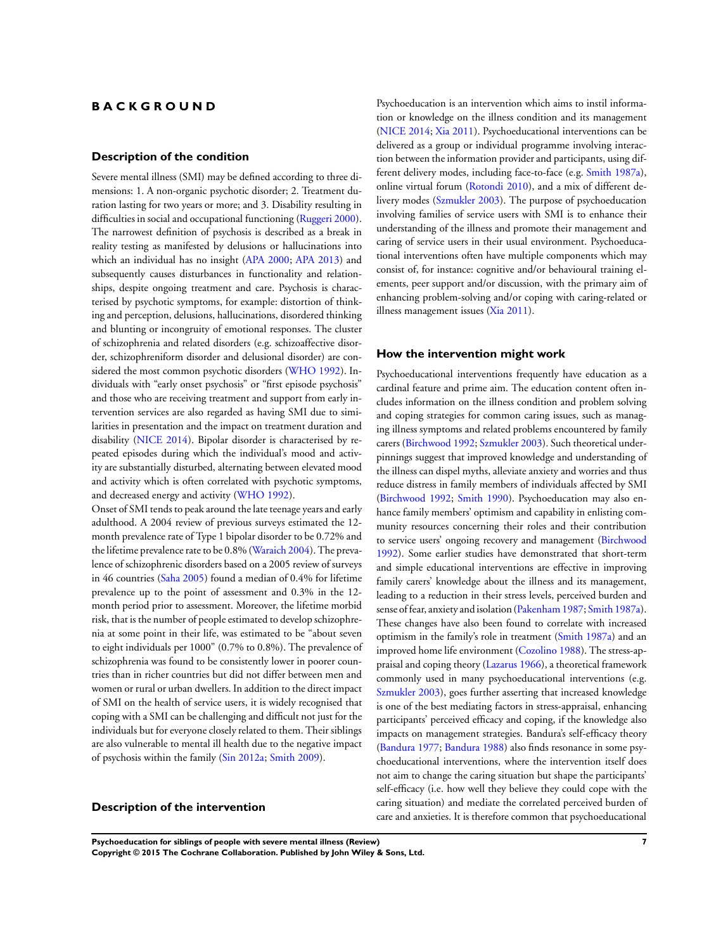# <span id="page-8-0"></span>**B A C K G R O U N D**

# **Description of the condition**

Severe mental illness (SMI) may be defined according to three dimensions: 1. A non-organic psychotic disorder; 2. Treatment duration lasting for two years or more; and 3. Disability resulting in difficulties in social and occupational functioning [\(Ruggeri 2000](#page-28-0)). The narrowest definition of psychosis is described as a break in reality testing as manifested by delusions or hallucinations into which an individual has no insight [\(APA 2000;](#page-28-0) [APA 2013\)](#page-28-0) and subsequently causes disturbances in functionality and relationships, despite ongoing treatment and care. Psychosis is characterised by psychotic symptoms, for example: distortion of thinking and perception, delusions, hallucinations, disordered thinking and blunting or incongruity of emotional responses. The cluster of schizophrenia and related disorders (e.g. schizoaffective disorder, schizophreniform disorder and delusional disorder) are considered the most common psychotic disorders ([WHO 1992](#page-28-0)). Individuals with "early onset psychosis" or "first episode psychosis" and those who are receiving treatment and support from early intervention services are also regarded as having SMI due to similarities in presentation and the impact on treatment duration and disability ([NICE 2014](#page-28-0)). Bipolar disorder is characterised by repeated episodes during which the individual's mood and activity are substantially disturbed, alternating between elevated mood and activity which is often correlated with psychotic symptoms, and decreased energy and activity [\(WHO 1992](#page-28-0)).

Onset of SMI tends to peak around the late teenage years and early adulthood. A 2004 review of previous surveys estimated the 12 month prevalence rate of Type 1 bipolar disorder to be 0.72% and the lifetime prevalence rate to be 0.8% ([Waraich 2004\)](#page-28-0). The prevalence of schizophrenic disorders based on a 2005 review of surveys in 46 countries ([Saha 2005](#page-28-0)) found a median of 0.4% for lifetime prevalence up to the point of assessment and 0.3% in the 12 month period prior to assessment. Moreover, the lifetime morbid risk, that is the number of people estimated to develop schizophrenia at some point in their life, was estimated to be "about seven to eight individuals per 1000" (0.7% to 0.8%). The prevalence of schizophrenia was found to be consistently lower in poorer countries than in richer countries but did not differ between men and women or rural or urban dwellers. In addition to the direct impact of SMI on the health of service users, it is widely recognised that coping with a SMI can be challenging and difficult not just for the individuals but for everyone closely related to them. Their siblings are also vulnerable to mental ill health due to the negative impact of psychosis within the family ([Sin 2012a](#page-28-0); [Smith 2009\)](#page-28-0).

# **Description of the intervention**

Psychoeducation is an intervention which aims to instil information or knowledge on the illness condition and its management [\(NICE 2014;](#page-28-0) [Xia 2011](#page-28-0)). Psychoeducational interventions can be delivered as a group or individual programme involving interaction between the information provider and participants, using different delivery modes, including face-to-face (e.g. [Smith 1987a](#page-28-0)), online virtual forum [\(Rotondi 2010\)](#page-28-0), and a mix of different delivery modes ([Szmukler 2003\)](#page-28-0). The purpose of psychoeducation involving families of service users with SMI is to enhance their understanding of the illness and promote their management and caring of service users in their usual environment. Psychoeducational interventions often have multiple components which may consist of, for instance: cognitive and/or behavioural training elements, peer support and/or discussion, with the primary aim of enhancing problem-solving and/or coping with caring-related or illness management issues ([Xia 2011\)](#page-28-0).

# **How the intervention might work**

Psychoeducational interventions frequently have education as a cardinal feature and prime aim. The education content often includes information on the illness condition and problem solving and coping strategies for common caring issues, such as managing illness symptoms and related problems encountered by family carers [\(Birchwood 1992](#page-28-0); [Szmukler 2003](#page-28-0)). Such theoretical underpinnings suggest that improved knowledge and understanding of the illness can dispel myths, alleviate anxiety and worries and thus reduce distress in family members of individuals affected by SMI [\(Birchwood 1992](#page-28-0); [Smith 1990](#page-28-0)). Psychoeducation may also enhance family members' optimism and capability in enlisting community resources concerning their roles and their contribution to service users' ongoing recovery and management [\(Birchwood](#page-28-0) [1992](#page-28-0)). Some earlier studies have demonstrated that short-term and simple educational interventions are effective in improving family carers' knowledge about the illness and its management, leading to a reduction in their stress levels, perceived burden and sense of fear, anxiety and isolation [\(Pakenham 1987;](#page-28-0) [Smith 1987a](#page-28-0)). These changes have also been found to correlate with increased optimism in the family's role in treatment [\(Smith 1987a](#page-28-0)) and an improved home life environment ([Cozolino 1988](#page-28-0)). The stress-appraisal and coping theory [\(Lazarus 1966](#page-28-0)), a theoretical framework commonly used in many psychoeducational interventions (e.g. [Szmukler 2003](#page-28-0)), goes further asserting that increased knowledge is one of the best mediating factors in stress-appraisal, enhancing participants' perceived efficacy and coping, if the knowledge also impacts on management strategies. Bandura's self-efficacy theory [\(Bandura 1977;](#page-28-0) [Bandura 1988\)](#page-28-0) also finds resonance in some psychoeducational interventions, where the intervention itself does not aim to change the caring situation but shape the participants' self-efficacy (i.e. how well they believe they could cope with the caring situation) and mediate the correlated perceived burden of care and anxieties. It is therefore common that psychoeducational

**Psychoeducation for siblings of people with severe mental illness (Review) 7**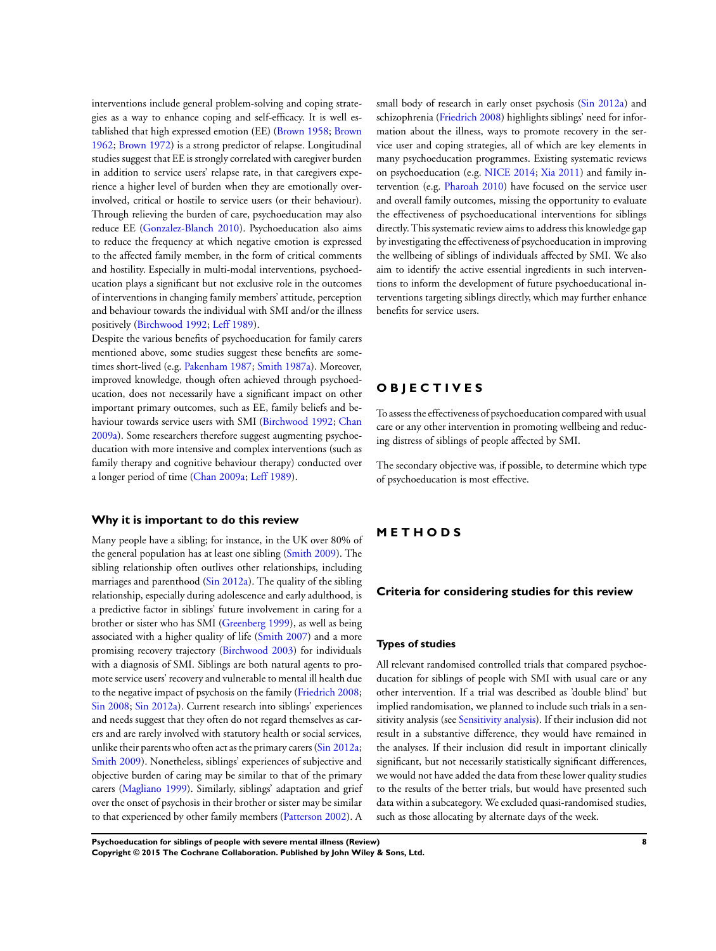interventions include general problem-solving and coping strategies as a way to enhance coping and self-efficacy. It is well established that high expressed emotion (EE) [\(Brown 1958;](#page-28-0) [Brown](#page-28-0) [1962](#page-28-0); [Brown 1972](#page-28-0)) is a strong predictor of relapse. Longitudinal studies suggest that EE is strongly correlated with caregiver burden in addition to service users' relapse rate, in that caregivers experience a higher level of burden when they are emotionally overinvolved, critical or hostile to service users (or their behaviour). Through relieving the burden of care, psychoeducation may also reduce EE ([Gonzalez-Blanch 2010](#page-28-0)). Psychoeducation also aims to reduce the frequency at which negative emotion is expressed to the affected family member, in the form of critical comments and hostility. Especially in multi-modal interventions, psychoeducation plays a significant but not exclusive role in the outcomes of interventions in changing family members' attitude, perception and behaviour towards the individual with SMI and/or the illness positively [\(Birchwood 1992](#page-28-0); [Leff 1989\)](#page-28-0).

Despite the various benefits of psychoeducation for family carers mentioned above, some studies suggest these benefits are sometimes short-lived (e.g. [Pakenham 1987;](#page-28-0) [Smith 1987a\)](#page-28-0). Moreover, improved knowledge, though often achieved through psychoeducation, does not necessarily have a significant impact on other important primary outcomes, such as EE, family beliefs and behaviour towards service users with SMI ([Birchwood 1992](#page-28-0); [Chan](#page-28-0) [2009a\)](#page-28-0). Some researchers therefore suggest augmenting psychoeducation with more intensive and complex interventions (such as family therapy and cognitive behaviour therapy) conducted over a longer period of time ([Chan 2009a](#page-28-0); [Leff 1989\)](#page-28-0).

# **Why it is important to do this review**

Many people have a sibling; for instance, in the UK over 80% of the general population has at least one sibling ([Smith 2009\)](#page-28-0). The sibling relationship often outlives other relationships, including marriages and parenthood [\(Sin 2012a\)](#page-28-0). The quality of the sibling relationship, especially during adolescence and early adulthood, is a predictive factor in siblings' future involvement in caring for a brother or sister who has SMI ([Greenberg 1999](#page-28-0)), as well as being associated with a higher quality of life ([Smith 2007](#page-28-0)) and a more promising recovery trajectory [\(Birchwood 2003](#page-28-0)) for individuals with a diagnosis of SMI. Siblings are both natural agents to promote service users' recovery and vulnerable to mental ill health due to the negative impact of psychosis on the family ([Friedrich 2008;](#page-28-0) [Sin 2008;](#page-28-0) [Sin 2012a\)](#page-28-0). Current research into siblings' experiences and needs suggest that they often do not regard themselves as carers and are rarely involved with statutory health or social services, unlike their parents who often act as the primary carers ([Sin 2012a;](#page-28-0) [Smith 2009](#page-28-0)). Nonetheless, siblings' experiences of subjective and objective burden of caring may be similar to that of the primary carers ([Magliano 1999\)](#page-28-0). Similarly, siblings' adaptation and grief over the onset of psychosis in their brother or sister may be similar to that experienced by other family members ([Patterson 2002](#page-28-0)). A

small body of research in early onset psychosis [\(Sin 2012a](#page-28-0)) and schizophrenia ([Friedrich 2008](#page-28-0)) highlights siblings' need for information about the illness, ways to promote recovery in the service user and coping strategies, all of which are key elements in many psychoeducation programmes. Existing systematic reviews on psychoeducation (e.g. [NICE 2014](#page-28-0); [Xia 2011\)](#page-28-0) and family intervention (e.g. [Pharoah 2010](#page-28-0)) have focused on the service user and overall family outcomes, missing the opportunity to evaluate the effectiveness of psychoeducational interventions for siblings directly. This systematic review aims to address this knowledge gap by investigating the effectiveness of psychoeducation in improving the wellbeing of siblings of individuals affected by SMI. We also aim to identify the active essential ingredients in such interventions to inform the development of future psychoeducational interventions targeting siblings directly, which may further enhance benefits for service users.

# **O B J E C T I V E S**

To assess the effectiveness of psychoeducation compared with usual care or any other intervention in promoting wellbeing and reducing distress of siblings of people affected by SMI.

The secondary objective was, if possible, to determine which type of psychoeducation is most effective.

# **M E T H O D S**

# **Criteria for considering studies for this review**

### **Types of studies**

All relevant randomised controlled trials that compared psychoeducation for siblings of people with SMI with usual care or any other intervention. If a trial was described as 'double blind' but implied randomisation, we planned to include such trials in a sensitivity analysis (see [Sensitivity analysis\)](#page-8-0). If their inclusion did not result in a substantive difference, they would have remained in the analyses. If their inclusion did result in important clinically significant, but not necessarily statistically significant differences, we would not have added the data from these lower quality studies to the results of the better trials, but would have presented such data within a subcategory. We excluded quasi-randomised studies, such as those allocating by alternate days of the week.

**Psychoeducation for siblings of people with severe mental illness (Review) 8 Copyright © 2015 The Cochrane Collaboration. Published by John Wiley & Sons, Ltd.**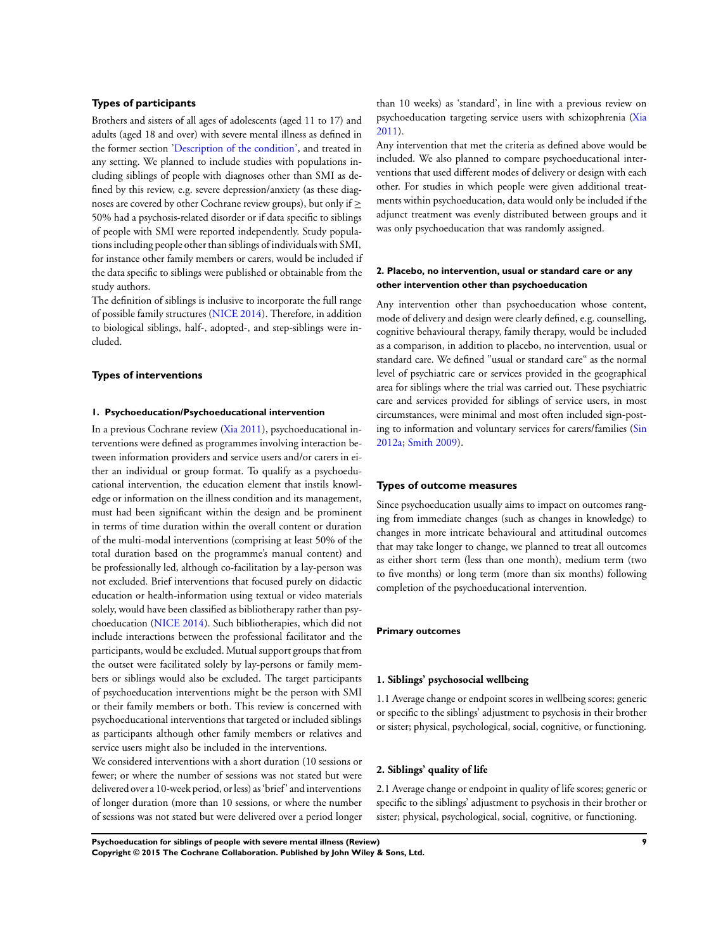### **Types of participants**

Brothers and sisters of all ages of adolescents (aged 11 to 17) and adults (aged 18 and over) with severe mental illness as defined in the former section '[Description of the condition](#page-8-0)', and treated in any setting. We planned to include studies with populations including siblings of people with diagnoses other than SMI as defined by this review, e.g. severe depression/anxiety (as these diagnoses are covered by other Cochrane review groups), but only if ≥ 50% had a psychosis-related disorder or if data specific to siblings of people with SMI were reported independently. Study populations including people other than siblings of individuals with SMI, for instance other family members or carers, would be included if the data specific to siblings were published or obtainable from the study authors.

The definition of siblings is inclusive to incorporate the full range of possible family structures [\(NICE 2014\)](#page-28-0). Therefore, in addition to biological siblings, half-, adopted-, and step-siblings were included.

# **Types of interventions**

### **1. Psychoeducation/Psychoeducational intervention**

In a previous Cochrane review [\(Xia 2011\)](#page-28-0), psychoeducational interventions were defined as programmes involving interaction between information providers and service users and/or carers in either an individual or group format. To qualify as a psychoeducational intervention, the education element that instils knowledge or information on the illness condition and its management, must had been significant within the design and be prominent in terms of time duration within the overall content or duration of the multi-modal interventions (comprising at least 50% of the total duration based on the programme's manual content) and be professionally led, although co-facilitation by a lay-person was not excluded. Brief interventions that focused purely on didactic education or health-information using textual or video materials solely, would have been classified as bibliotherapy rather than psychoeducation [\(NICE 2014\)](#page-28-0). Such bibliotherapies, which did not include interactions between the professional facilitator and the participants, would be excluded. Mutual support groups that from the outset were facilitated solely by lay-persons or family members or siblings would also be excluded. The target participants of psychoeducation interventions might be the person with SMI or their family members or both. This review is concerned with psychoeducational interventions that targeted or included siblings as participants although other family members or relatives and service users might also be included in the interventions.

We considered interventions with a short duration (10 sessions or fewer; or where the number of sessions was not stated but were delivered over a 10-week period, or less) as 'brief' and interventions of longer duration (more than 10 sessions, or where the number of sessions was not stated but were delivered over a period longer

than 10 weeks) as 'standard', in line with a previous review on psychoeducation targeting service users with schizophrenia [\(Xia](#page-28-0) [2011](#page-28-0)).

Any intervention that met the criteria as defined above would be included. We also planned to compare psychoeducational interventions that used different modes of delivery or design with each other. For studies in which people were given additional treatments within psychoeducation, data would only be included if the adjunct treatment was evenly distributed between groups and it was only psychoeducation that was randomly assigned.

### **2. Placebo, no intervention, usual or standard care or any other intervention other than psychoeducation**

Any intervention other than psychoeducation whose content, mode of delivery and design were clearly defined, e.g. counselling, cognitive behavioural therapy, family therapy, would be included as a comparison, in addition to placebo, no intervention, usual or standard care. We defined "usual or standard care" as the normal level of psychiatric care or services provided in the geographical area for siblings where the trial was carried out. These psychiatric care and services provided for siblings of service users, in most circumstances, were minimal and most often included sign-posting to information and voluntary services for carers/families ([Sin](#page-28-0) [2012a;](#page-28-0) [Smith 2009\)](#page-28-0).

### **Types of outcome measures**

Since psychoeducation usually aims to impact on outcomes ranging from immediate changes (such as changes in knowledge) to changes in more intricate behavioural and attitudinal outcomes that may take longer to change, we planned to treat all outcomes as either short term (less than one month), medium term (two to five months) or long term (more than six months) following completion of the psychoeducational intervention.

### **Primary outcomes**

### **1. Siblings' psychosocial wellbeing**

1.1 Average change or endpoint scores in wellbeing scores; generic or specific to the siblings' adjustment to psychosis in their brother or sister; physical, psychological, social, cognitive, or functioning.

### **2. Siblings' quality of life**

2.1 Average change or endpoint in quality of life scores; generic or specific to the siblings' adjustment to psychosis in their brother or sister; physical, psychological, social, cognitive, or functioning.

**Psychoeducation for siblings of people with severe mental illness (Review) 9 Copyright © 2015 The Cochrane Collaboration. Published by John Wiley & Sons, Ltd.**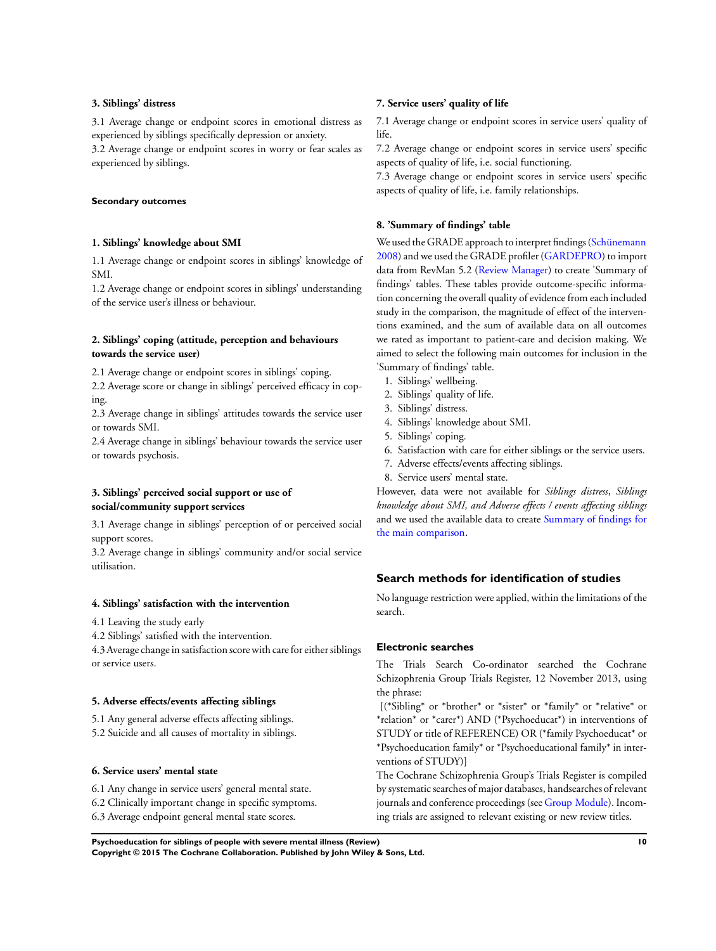### **3. Siblings' distress**

3.1 Average change or endpoint scores in emotional distress as experienced by siblings specifically depression or anxiety.

3.2 Average change or endpoint scores in worry or fear scales as experienced by siblings.

### **Secondary outcomes**

### **1. Siblings' knowledge about SMI**

1.1 Average change or endpoint scores in siblings' knowledge of SMI.

1.2 Average change or endpoint scores in siblings' understanding of the service user's illness or behaviour.

# **2. Siblings' coping (attitude, perception and behaviours towards the service user)**

2.1 Average change or endpoint scores in siblings' coping.

2.2 Average score or change in siblings' perceived efficacy in coping.

2.3 Average change in siblings' attitudes towards the service user or towards SMI.

2.4 Average change in siblings' behaviour towards the service user or towards psychosis.

# **3. Siblings' perceived social support or use of social/community support services**

3.1 Average change in siblings' perception of or perceived social support scores.

3.2 Average change in siblings' community and/or social service utilisation.

### **4. Siblings' satisfaction with the intervention**

4.1 Leaving the study early

4.2 Siblings' satisfied with the intervention.

4.3 Average change in satisfaction score with care for either siblings or service users.

# **5. Adverse effects/events affecting siblings**

5.1 Any general adverse effects affecting siblings. 5.2 Suicide and all causes of mortality in siblings.

# **6. Service users' mental state**

6.1 Any change in service users' general mental state. 6.2 Clinically important change in specific symptoms.

6.3 Average endpoint general mental state scores.

### **7. Service users' quality of life**

7.1 Average change or endpoint scores in service users' quality of life.

7.2 Average change or endpoint scores in service users' specific aspects of quality of life, i.e. social functioning.

7.3 Average change or endpoint scores in service users' specific aspects of quality of life, i.e. family relationships.

### **8. 'Summary of findings' table**

We used the GRADE approach to interpret findings ([Schünemann](#page-28-0) [2008](#page-28-0)) and we used the GRADE profiler ([GARDEPRO\)](http://www.ims.cochrane.org/revman/gradepro) to import data from RevMan 5.2 ([Review Manager](http://www.ims.cochrane.org/revman)) to create 'Summary of findings' tables. These tables provide outcome-specific information concerning the overall quality of evidence from each included study in the comparison, the magnitude of effect of the interventions examined, and the sum of available data on all outcomes we rated as important to patient-care and decision making. We aimed to select the following main outcomes for inclusion in the 'Summary of findings' table.

- 1. Siblings' wellbeing.
- 2. Siblings' quality of life.
- 3. Siblings' distress.
- 4. Siblings' knowledge about SMI.
- 5. Siblings' coping.
- 6. Satisfaction with care for either siblings or the service users.
- 7. Adverse effects/events affecting siblings.
- 8. Service users' mental state.

However, data were not available for *Siblings distress*, *Siblings knowledge about SMI, and Adverse effects / events affecting siblings* and we used the available data to create [Summary of findings for](#page-5-0) [the main comparison](#page-5-0).

# **Search methods for identification of studies**

No language restriction were applied, within the limitations of the search.

### **Electronic searches**

The Trials Search Co-ordinator searched the Cochrane Schizophrenia Group Trials Register, 12 November 2013, using the phrase:

[(\*Sibling\* or \*brother\* or \*sister\* or \*family\* or \*relative\* or \*relation\* or \*carer\*) AND (\*Psychoeducat\*) in interventions of STUDY or title of REFERENCE) OR (\*family Psychoeducat\* or \*Psychoeducation family\* or \*Psychoeducational family\* in interventions of STUDY)]

The Cochrane Schizophrenia Group's Trials Register is compiled by systematic searches of major databases, handsearches of relevant journals and conference proceedings (see [Group Module\)](http://onlinelibrary.wiley.com/o/cochrane/clabout/articles/SCHIZ/frame.html). Incoming trials are assigned to relevant existing or new review titles.

**Psychoeducation for siblings of people with severe mental illness (Review) 10**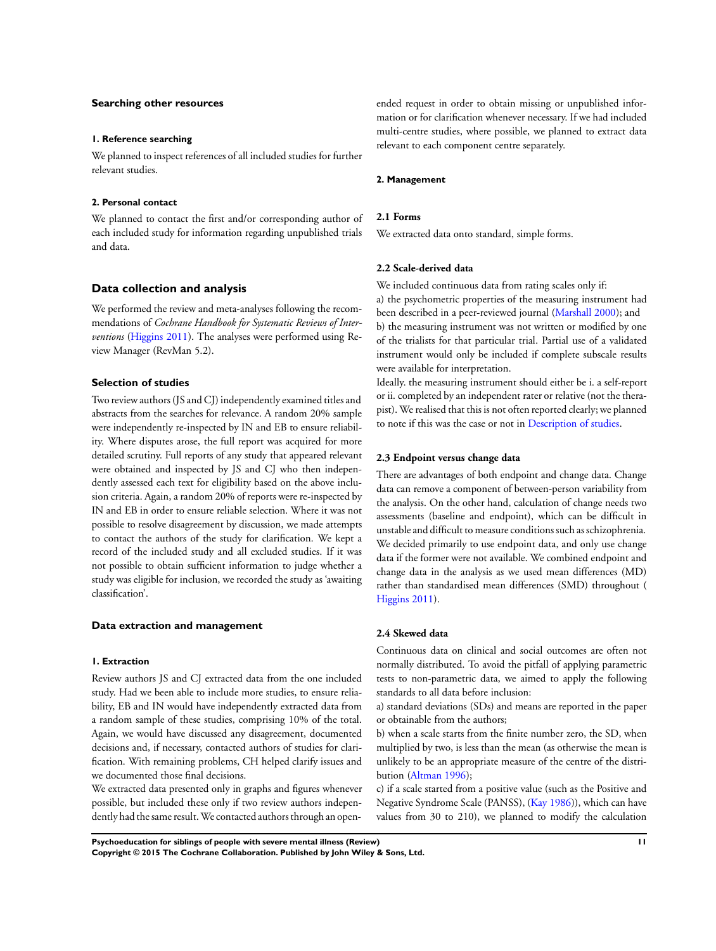# **Searching other resources**

### **1. Reference searching**

We planned to inspect references of all included studies for further relevant studies.

# **2. Personal contact**

We planned to contact the first and/or corresponding author of each included study for information regarding unpublished trials and data.

## **Data collection and analysis**

We performed the review and meta-analyses following the recommendations of *Cochrane Handbook for Systematic Reviews of Interventions* ([Higgins 2011](#page-28-0)). The analyses were performed using Review Manager (RevMan 5.2).

### **Selection of studies**

Two review authors (JS and CJ) independently examined titles and abstracts from the searches for relevance. A random 20% sample were independently re-inspected by IN and EB to ensure reliability. Where disputes arose, the full report was acquired for more detailed scrutiny. Full reports of any study that appeared relevant were obtained and inspected by JS and CJ who then independently assessed each text for eligibility based on the above inclusion criteria. Again, a random 20% of reports were re-inspected by IN and EB in order to ensure reliable selection. Where it was not possible to resolve disagreement by discussion, we made attempts to contact the authors of the study for clarification. We kept a record of the included study and all excluded studies. If it was not possible to obtain sufficient information to judge whether a study was eligible for inclusion, we recorded the study as 'awaiting classification'.

#### **Data extraction and management**

#### **1. Extraction**

Review authors JS and CJ extracted data from the one included study. Had we been able to include more studies, to ensure reliability, EB and IN would have independently extracted data from a random sample of these studies, comprising 10% of the total. Again, we would have discussed any disagreement, documented decisions and, if necessary, contacted authors of studies for clarification. With remaining problems, CH helped clarify issues and we documented those final decisions.

We extracted data presented only in graphs and figures whenever possible, but included these only if two review authors independently had the same result.We contacted authors through an openended request in order to obtain missing or unpublished information or for clarification whenever necessary. If we had included multi-centre studies, where possible, we planned to extract data relevant to each component centre separately.

# **2. Management**

# **2.1 Forms**

We extracted data onto standard, simple forms.

# **2.2 Scale-derived data**

We included continuous data from rating scales only if:

a) the psychometric properties of the measuring instrument had been described in a peer-reviewed journal ([Marshall 2000\)](#page-28-0); and b) the measuring instrument was not written or modified by one of the trialists for that particular trial. Partial use of a validated instrument would only be included if complete subscale results were available for interpretation.

Ideally. the measuring instrument should either be i. a self-report or ii. completed by an independent rater or relative (not the therapist). We realised that this is not often reported clearly; we planned to note if this was the case or not in [Description of studies](#page-8-0).

### **2.3 Endpoint versus change data**

There are advantages of both endpoint and change data. Change data can remove a component of between-person variability from the analysis. On the other hand, calculation of change needs two assessments (baseline and endpoint), which can be difficult in unstable and difficult to measure conditions such as schizophrenia. We decided primarily to use endpoint data, and only use change data if the former were not available. We combined endpoint and change data in the analysis as we used mean differences (MD) rather than standardised mean differences (SMD) throughout ( [Higgins 2011\)](#page-28-0).

### **2.4 Skewed data**

Continuous data on clinical and social outcomes are often not normally distributed. To avoid the pitfall of applying parametric tests to non-parametric data, we aimed to apply the following standards to all data before inclusion:

a) standard deviations (SDs) and means are reported in the paper or obtainable from the authors;

b) when a scale starts from the finite number zero, the SD, when multiplied by two, is less than the mean (as otherwise the mean is unlikely to be an appropriate measure of the centre of the distribution ([Altman 1996\)](#page-28-0);

c) if a scale started from a positive value (such as the Positive and Negative Syndrome Scale (PANSS), ([Kay 1986](#page-28-0))), which can have values from 30 to 210), we planned to modify the calculation

**Psychoeducation for siblings of people with severe mental illness (Review) 11 Copyright © 2015 The Cochrane Collaboration. Published by John Wiley & Sons, Ltd.**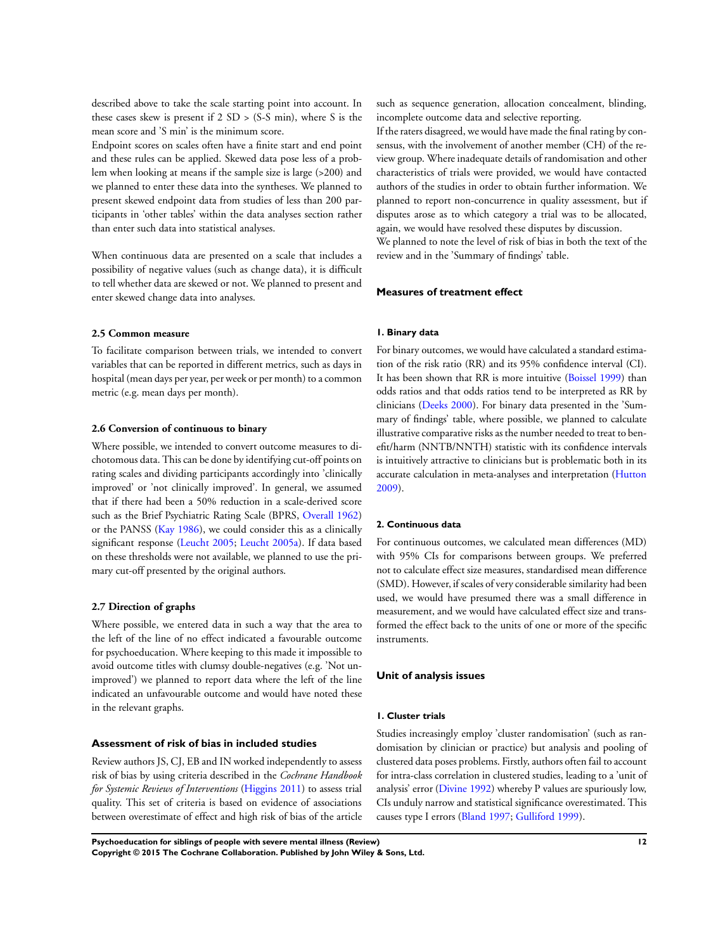described above to take the scale starting point into account. In these cases skew is present if 2 SD > (S-S min), where S is the mean score and 'S min' is the minimum score.

Endpoint scores on scales often have a finite start and end point and these rules can be applied. Skewed data pose less of a problem when looking at means if the sample size is large (>200) and we planned to enter these data into the syntheses. We planned to present skewed endpoint data from studies of less than 200 participants in 'other tables' within the data analyses section rather than enter such data into statistical analyses.

When continuous data are presented on a scale that includes a possibility of negative values (such as change data), it is difficult to tell whether data are skewed or not. We planned to present and enter skewed change data into analyses.

# **2.5 Common measure**

To facilitate comparison between trials, we intended to convert variables that can be reported in different metrics, such as days in hospital (mean days per year, per week or per month) to a common metric (e.g. mean days per month).

### **2.6 Conversion of continuous to binary**

Where possible, we intended to convert outcome measures to dichotomous data. This can be done by identifying cut-off points on rating scales and dividing participants accordingly into 'clinically improved' or 'not clinically improved'. In general, we assumed that if there had been a 50% reduction in a scale-derived score such as the Brief Psychiatric Rating Scale (BPRS, [Overall 1962](#page-28-0)) or the PANSS ([Kay 1986\)](#page-28-0), we could consider this as a clinically significant response ([Leucht 2005;](#page-28-0) [Leucht 2005a](#page-28-0)). If data based on these thresholds were not available, we planned to use the primary cut-off presented by the original authors.

# **2.7 Direction of graphs**

Where possible, we entered data in such a way that the area to the left of the line of no effect indicated a favourable outcome for psychoeducation. Where keeping to this made it impossible to avoid outcome titles with clumsy double-negatives (e.g. 'Not unimproved') we planned to report data where the left of the line indicated an unfavourable outcome and would have noted these in the relevant graphs.

# **Assessment of risk of bias in included studies**

Review authors JS, CJ, EB and IN worked independently to assess risk of bias by using criteria described in the *Cochrane Handbook for Systemic Reviews of Interventions* [\(Higgins 2011](#page-28-0)) to assess trial quality. This set of criteria is based on evidence of associations between overestimate of effect and high risk of bias of the article

such as sequence generation, allocation concealment, blinding, incomplete outcome data and selective reporting.

If the raters disagreed, we would have made the final rating by consensus, with the involvement of another member (CH) of the review group. Where inadequate details of randomisation and other characteristics of trials were provided, we would have contacted authors of the studies in order to obtain further information. We planned to report non-concurrence in quality assessment, but if disputes arose as to which category a trial was to be allocated, again, we would have resolved these disputes by discussion.

We planned to note the level of risk of bias in both the text of the review and in the 'Summary of findings' table.

# **Measures of treatment effect**

### **1. Binary data**

For binary outcomes, we would have calculated a standard estimation of the risk ratio (RR) and its 95% confidence interval (CI). It has been shown that RR is more intuitive ([Boissel 1999\)](#page-28-0) than odds ratios and that odds ratios tend to be interpreted as RR by clinicians [\(Deeks 2000](#page-28-0)). For binary data presented in the 'Summary of findings' table, where possible, we planned to calculate illustrative comparative risks as the number needed to treat to benefit/harm (NNTB/NNTH) statistic with its confidence intervals is intuitively attractive to clinicians but is problematic both in its accurate calculation in meta-analyses and interpretation ([Hutton](#page-28-0) [2009](#page-28-0)).

### **2. Continuous data**

For continuous outcomes, we calculated mean differences (MD) with 95% CIs for comparisons between groups. We preferred not to calculate effect size measures, standardised mean difference (SMD). However, if scales of very considerable similarity had been used, we would have presumed there was a small difference in measurement, and we would have calculated effect size and transformed the effect back to the units of one or more of the specific instruments.

# **Unit of analysis issues**

### **1. Cluster trials**

Studies increasingly employ 'cluster randomisation' (such as randomisation by clinician or practice) but analysis and pooling of clustered data poses problems. Firstly, authors often fail to account for intra-class correlation in clustered studies, leading to a 'unit of analysis' error [\(Divine 1992\)](#page-28-0) whereby P values are spuriously low, CIs unduly narrow and statistical significance overestimated. This causes type I errors ([Bland 1997;](#page-28-0) [Gulliford 1999\)](#page-28-0).

**Psychoeducation for siblings of people with severe mental illness (Review) 12 Copyright © 2015 The Cochrane Collaboration. Published by John Wiley & Sons, Ltd.**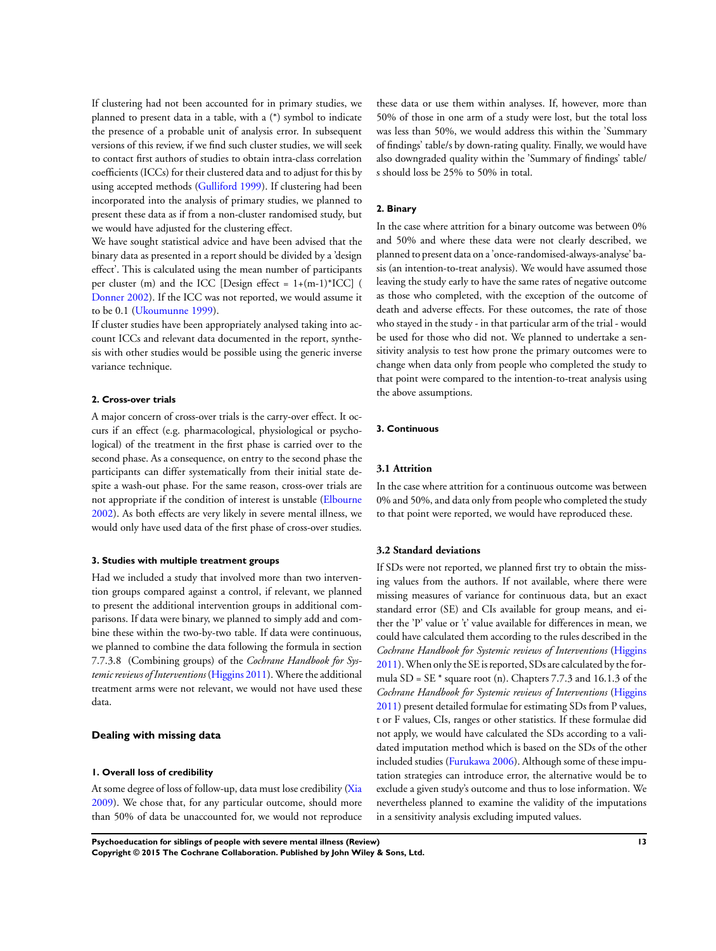If clustering had not been accounted for in primary studies, we planned to present data in a table, with a (\*) symbol to indicate the presence of a probable unit of analysis error. In subsequent versions of this review, if we find such cluster studies, we will seek to contact first authors of studies to obtain intra-class correlation coefficients (ICCs) for their clustered data and to adjust for this by using accepted methods ([Gulliford 1999\)](#page-28-0). If clustering had been incorporated into the analysis of primary studies, we planned to present these data as if from a non-cluster randomised study, but we would have adjusted for the clustering effect.

We have sought statistical advice and have been advised that the binary data as presented in a report should be divided by a 'design effect'. This is calculated using the mean number of participants per cluster (m) and the ICC [Design effect =  $1+(m-1)*\text{ICC}$ ] ( [Donner 2002\)](#page-28-0). If the ICC was not reported, we would assume it to be 0.1 [\(Ukoumunne 1999](#page-28-0)).

If cluster studies have been appropriately analysed taking into account ICCs and relevant data documented in the report, synthesis with other studies would be possible using the generic inverse variance technique.

### **2. Cross-over trials**

A major concern of cross-over trials is the carry-over effect. It occurs if an effect (e.g. pharmacological, physiological or psychological) of the treatment in the first phase is carried over to the second phase. As a consequence, on entry to the second phase the participants can differ systematically from their initial state despite a wash-out phase. For the same reason, cross-over trials are not appropriate if the condition of interest is unstable [\(Elbourne](#page-28-0) [2002](#page-28-0)). As both effects are very likely in severe mental illness, we would only have used data of the first phase of cross-over studies.

### **3. Studies with multiple treatment groups**

Had we included a study that involved more than two intervention groups compared against a control, if relevant, we planned to present the additional intervention groups in additional comparisons. If data were binary, we planned to simply add and combine these within the two-by-two table. If data were continuous, we planned to combine the data following the formula in section 7.7.3.8 (Combining groups) of the *Cochrane Handbook for Systemic reviews of Interventions* ([Higgins 2011](#page-28-0)). Where the additional treatment arms were not relevant, we would not have used these data.

# **Dealing with missing data**

### **1. Overall loss of credibility**

At some degree of loss of follow-up, data must lose credibility [\(Xia](#page-28-0) [2009](#page-28-0)). We chose that, for any particular outcome, should more than 50% of data be unaccounted for, we would not reproduce

these data or use them within analyses. If, however, more than 50% of those in one arm of a study were lost, but the total loss was less than 50%, we would address this within the 'Summary of findings' table/s by down-rating quality. Finally, we would have also downgraded quality within the 'Summary of findings' table/ s should loss be 25% to 50% in total.

# **2. Binary**

In the case where attrition for a binary outcome was between 0% and 50% and where these data were not clearly described, we planned to present data on a 'once-randomised-always-analyse' basis (an intention-to-treat analysis). We would have assumed those leaving the study early to have the same rates of negative outcome as those who completed, with the exception of the outcome of death and adverse effects. For these outcomes, the rate of those who stayed in the study - in that particular arm of the trial - would be used for those who did not. We planned to undertake a sensitivity analysis to test how prone the primary outcomes were to change when data only from people who completed the study to that point were compared to the intention-to-treat analysis using the above assumptions.

### **3. Continuous**

### **3.1 Attrition**

In the case where attrition for a continuous outcome was between 0% and 50%, and data only from people who completed the study to that point were reported, we would have reproduced these.

# **3.2 Standard deviations**

If SDs were not reported, we planned first try to obtain the missing values from the authors. If not available, where there were missing measures of variance for continuous data, but an exact standard error (SE) and CIs available for group means, and either the 'P' value or 't' value available for differences in mean, we could have calculated them according to the rules described in the *Cochrane Handbook for Systemic reviews of Interventions* ([Higgins](#page-28-0) [2011](#page-28-0)).When only the SE is reported, SDs are calculated by the formula  $SD = SE * square root (n)$ . Chapters 7.7.3 and 16.1.3 of the *Cochrane Handbook for Systemic reviews of Interventions* ([Higgins](#page-28-0) [2011](#page-28-0)) present detailed formulae for estimating SDs from P values, t or F values, CIs, ranges or other statistics. If these formulae did not apply, we would have calculated the SDs according to a validated imputation method which is based on the SDs of the other included studies [\(Furukawa 2006\)](#page-28-0). Although some of these imputation strategies can introduce error, the alternative would be to exclude a given study's outcome and thus to lose information. We nevertheless planned to examine the validity of the imputations in a sensitivity analysis excluding imputed values.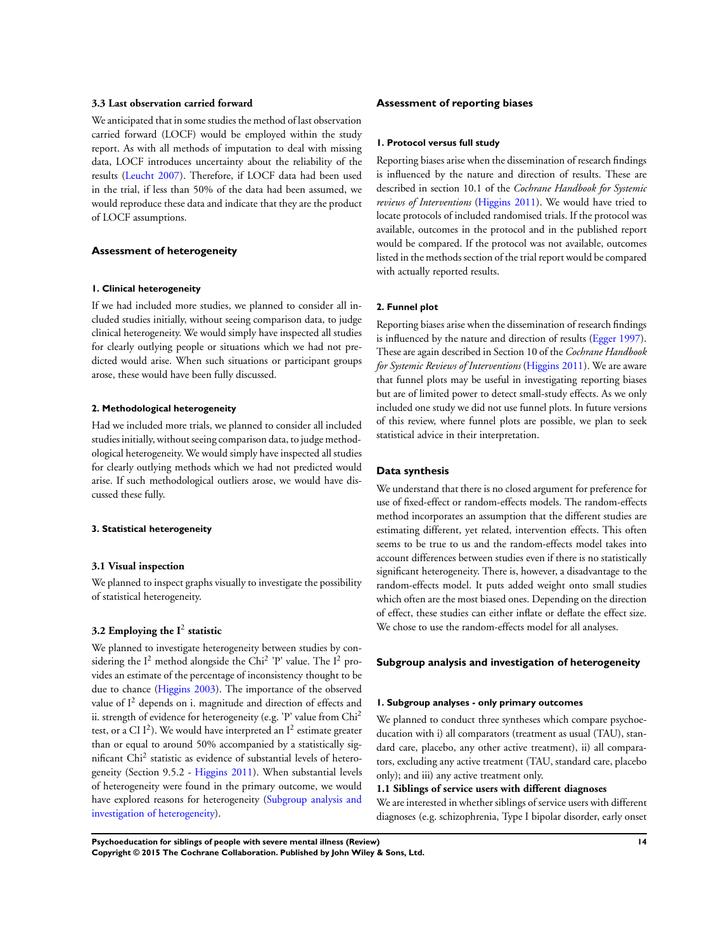### **3.3 Last observation carried forward**

We anticipated that in some studies the method of last observation carried forward (LOCF) would be employed within the study report. As with all methods of imputation to deal with missing data, LOCF introduces uncertainty about the reliability of the results [\(Leucht 2007\)](#page-28-0). Therefore, if LOCF data had been used in the trial, if less than 50% of the data had been assumed, we would reproduce these data and indicate that they are the product of LOCF assumptions.

### **Assessment of heterogeneity**

### **1. Clinical heterogeneity**

If we had included more studies, we planned to consider all included studies initially, without seeing comparison data, to judge clinical heterogeneity. We would simply have inspected all studies for clearly outlying people or situations which we had not predicted would arise. When such situations or participant groups arose, these would have been fully discussed.

# **2. Methodological heterogeneity**

Had we included more trials, we planned to consider all included studies initially, without seeing comparison data, to judge methodological heterogeneity. We would simply have inspected all studies for clearly outlying methods which we had not predicted would arise. If such methodological outliers arose, we would have discussed these fully.

### **3. Statistical heterogeneity**

### **3.1 Visual inspection**

We planned to inspect graphs visually to investigate the possibility of statistical heterogeneity.

# **3.2 Employing the I**<sup>2</sup> **statistic**

We planned to investigate heterogeneity between studies by considering the  $I^2$  method alongside the Chi<sup>2</sup> 'P' value. The  $I^2$  provides an estimate of the percentage of inconsistency thought to be due to chance [\(Higgins 2003\)](#page-28-0). The importance of the observed value of  $I<sup>2</sup>$  depends on i. magnitude and direction of effects and ii. strength of evidence for heterogeneity (e.g. 'P' value from Chi<sup>2</sup> test, or a CI I<sup>2</sup>). We would have interpreted an I<sup>2</sup> estimate greater than or equal to around 50% accompanied by a statistically significant Chi<sup>2</sup> statistic as evidence of substantial levels of heterogeneity (Section 9.5.2 - [Higgins 2011](#page-28-0)). When substantial levels of heterogeneity were found in the primary outcome, we would have explored reasons for heterogeneity ([Subgroup analysis and](#page-8-0) [investigation of heterogeneity\)](#page-8-0).

# **Assessment of reporting biases**

# **1. Protocol versus full study**

Reporting biases arise when the dissemination of research findings is influenced by the nature and direction of results. These are described in section 10.1 of the *Cochrane Handbook for Systemic reviews of Interventions* ([Higgins 2011](#page-28-0)). We would have tried to locate protocols of included randomised trials. If the protocol was available, outcomes in the protocol and in the published report would be compared. If the protocol was not available, outcomes listed in the methods section of the trial report would be compared with actually reported results.

### **2. Funnel plot**

Reporting biases arise when the dissemination of research findings is influenced by the nature and direction of results ([Egger 1997](#page-28-0)). These are again described in Section 10 of the *Cochrane Handbook for Systemic Reviews of Interventions* [\(Higgins 2011\)](#page-28-0). We are aware that funnel plots may be useful in investigating reporting biases but are of limited power to detect small-study effects. As we only included one study we did not use funnel plots. In future versions of this review, where funnel plots are possible, we plan to seek statistical advice in their interpretation.

# **Data synthesis**

We understand that there is no closed argument for preference for use of fixed-effect or random-effects models. The random-effects method incorporates an assumption that the different studies are estimating different, yet related, intervention effects. This often seems to be true to us and the random-effects model takes into account differences between studies even if there is no statistically significant heterogeneity. There is, however, a disadvantage to the random-effects model. It puts added weight onto small studies which often are the most biased ones. Depending on the direction of effect, these studies can either inflate or deflate the effect size. We chose to use the random-effects model for all analyses.

# **Subgroup analysis and investigation of heterogeneity**

### **1. Subgroup analyses - only primary outcomes**

We planned to conduct three syntheses which compare psychoeducation with i) all comparators (treatment as usual (TAU), standard care, placebo, any other active treatment), ii) all comparators, excluding any active treatment (TAU, standard care, placebo only); and iii) any active treatment only.

### **1.1 Siblings of service users with different diagnoses**

We are interested in whether siblings of service users with different diagnoses (e.g. schizophrenia, Type I bipolar disorder, early onset

**Psychoeducation for siblings of people with severe mental illness (Review) 14 Copyright © 2015 The Cochrane Collaboration. Published by John Wiley & Sons, Ltd.**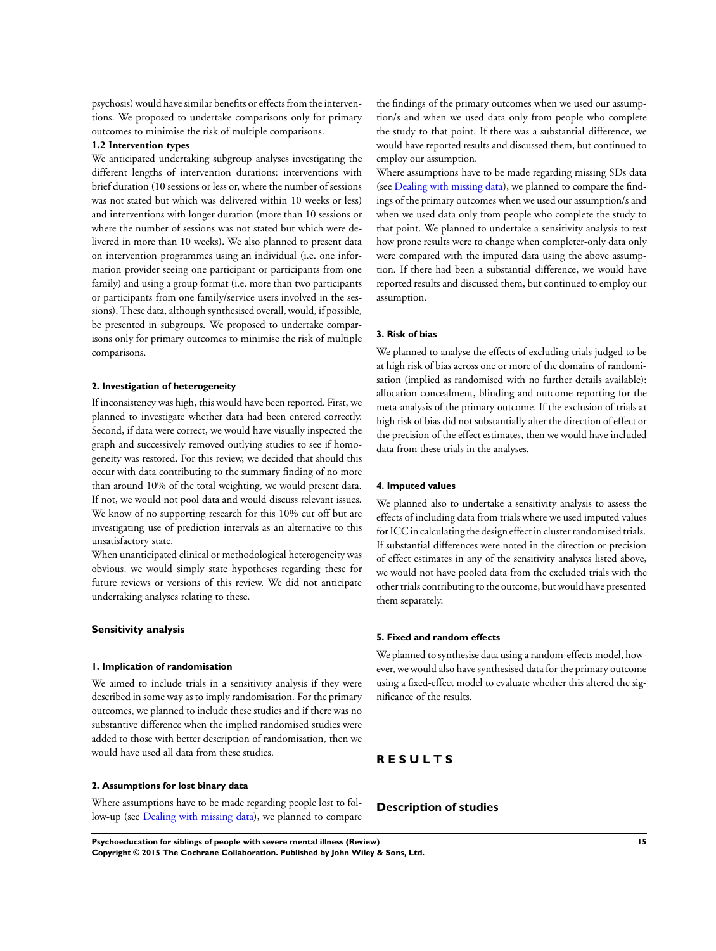psychosis) would have similar benefits or effects from the interventions. We proposed to undertake comparisons only for primary outcomes to minimise the risk of multiple comparisons.

### **1.2 Intervention types**

We anticipated undertaking subgroup analyses investigating the different lengths of intervention durations: interventions with brief duration (10 sessions or less or, where the number of sessions was not stated but which was delivered within 10 weeks or less) and interventions with longer duration (more than 10 sessions or where the number of sessions was not stated but which were delivered in more than 10 weeks). We also planned to present data on intervention programmes using an individual (i.e. one information provider seeing one participant or participants from one family) and using a group format (i.e. more than two participants or participants from one family/service users involved in the sessions). These data, although synthesised overall, would, if possible, be presented in subgroups. We proposed to undertake comparisons only for primary outcomes to minimise the risk of multiple comparisons.

### **2. Investigation of heterogeneity**

If inconsistency was high, this would have been reported. First, we planned to investigate whether data had been entered correctly. Second, if data were correct, we would have visually inspected the graph and successively removed outlying studies to see if homogeneity was restored. For this review, we decided that should this occur with data contributing to the summary finding of no more than around 10% of the total weighting, we would present data. If not, we would not pool data and would discuss relevant issues. We know of no supporting research for this 10% cut off but are investigating use of prediction intervals as an alternative to this unsatisfactory state.

When unanticipated clinical or methodological heterogeneity was obvious, we would simply state hypotheses regarding these for future reviews or versions of this review. We did not anticipate undertaking analyses relating to these.

### **Sensitivity analysis**

### **1. Implication of randomisation**

We aimed to include trials in a sensitivity analysis if they were described in some way as to imply randomisation. For the primary outcomes, we planned to include these studies and if there was no substantive difference when the implied randomised studies were added to those with better description of randomisation, then we would have used all data from these studies.

# **2. Assumptions for lost binary data**

Where assumptions have to be made regarding people lost to follow-up (see [Dealing with missing data\)](#page-8-0), we planned to compare

the findings of the primary outcomes when we used our assumption/s and when we used data only from people who complete the study to that point. If there was a substantial difference, we would have reported results and discussed them, but continued to employ our assumption.

Where assumptions have to be made regarding missing SDs data (see [Dealing with missing data](#page-8-0)), we planned to compare the findings of the primary outcomes when we used our assumption/s and when we used data only from people who complete the study to that point. We planned to undertake a sensitivity analysis to test how prone results were to change when completer-only data only were compared with the imputed data using the above assumption. If there had been a substantial difference, we would have reported results and discussed them, but continued to employ our assumption.

# **3. Risk of bias**

We planned to analyse the effects of excluding trials judged to be at high risk of bias across one or more of the domains of randomisation (implied as randomised with no further details available): allocation concealment, blinding and outcome reporting for the meta-analysis of the primary outcome. If the exclusion of trials at high risk of bias did not substantially alter the direction of effect or the precision of the effect estimates, then we would have included data from these trials in the analyses.

### **4. Imputed values**

We planned also to undertake a sensitivity analysis to assess the effects of including data from trials where we used imputed values for ICC in calculating the design effect in cluster randomised trials. If substantial differences were noted in the direction or precision of effect estimates in any of the sensitivity analyses listed above, we would not have pooled data from the excluded trials with the other trials contributing to the outcome, but would have presented them separately.

### **5. Fixed and random effects**

We planned to synthesise data using a random-effects model, however, we would also have synthesised data for the primary outcome using a fixed-effect model to evaluate whether this altered the significance of the results.

# **R E S U L T S**

**Description of studies**

**Psychoeducation for siblings of people with severe mental illness (Review) 15 Copyright © 2015 The Cochrane Collaboration. Published by John Wiley & Sons, Ltd.**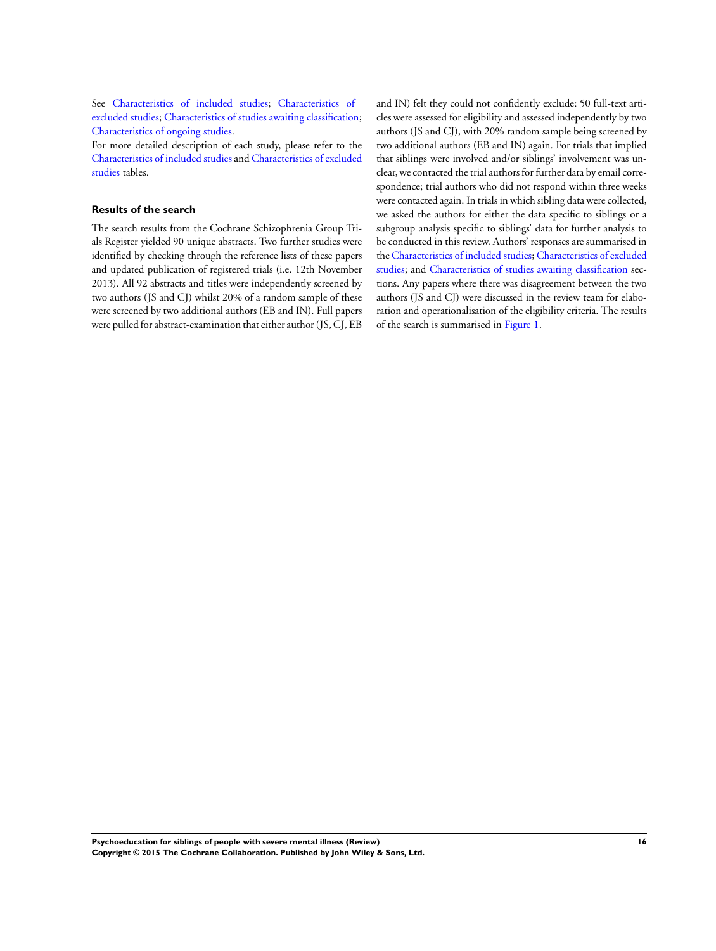See [Characteristics of included studies](#page-34-0); [Characteristics of](#page-35-0) [excluded studies](#page-35-0); [Characteristics of studies awaiting classification;](#page-38-0) [Characteristics of ongoing studies.](#page-39-0)

For more detailed description of each study, please refer to the [Characteristics of included studies](#page-34-0) and [Characteristics of excluded](#page-35-0) [studies](#page-35-0) tables.

# **Results of the search**

The search results from the Cochrane Schizophrenia Group Trials Register yielded 90 unique abstracts. Two further studies were identified by checking through the reference lists of these papers and updated publication of registered trials (i.e. 12th November 2013). All 92 abstracts and titles were independently screened by two authors (JS and CJ) whilst 20% of a random sample of these were screened by two additional authors (EB and IN). Full papers were pulled for abstract-examination that either author (JS,CJ, EB

and IN) felt they could not confidently exclude: 50 full-text articles were assessed for eligibility and assessed independently by two authors (JS and CJ), with 20% random sample being screened by two additional authors (EB and IN) again. For trials that implied that siblings were involved and/or siblings' involvement was unclear, we contacted the trial authors for further data by email correspondence; trial authors who did not respond within three weeks were contacted again. In trials in which sibling data were collected, we asked the authors for either the data specific to siblings or a subgroup analysis specific to siblings' data for further analysis to be conducted in this review. Authors' responses are summarised in the [Characteristics of included studies;](#page-34-0) [Characteristics of excluded](#page-35-0) [studies;](#page-35-0) and [Characteristics of studies awaiting classification](#page-38-0) sections. Any papers where there was disagreement between the two authors (JS and CJ) were discussed in the review team for elaboration and operationalisation of the eligibility criteria. The results of the search is summarised in [Figure 1](#page-18-0).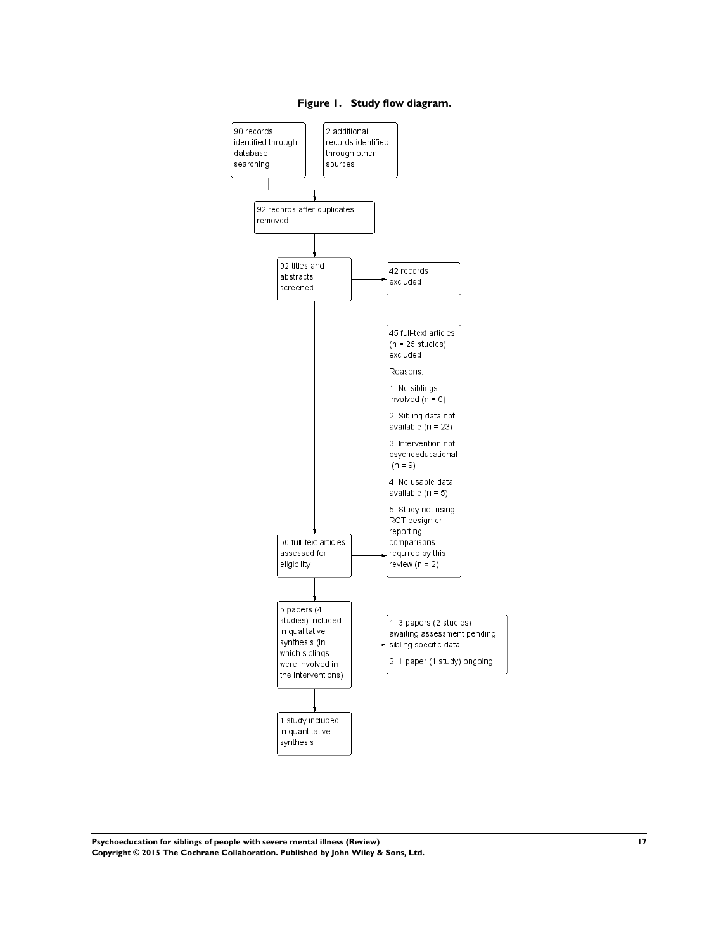<span id="page-18-0"></span>

**Figure 1. Study flow diagram.**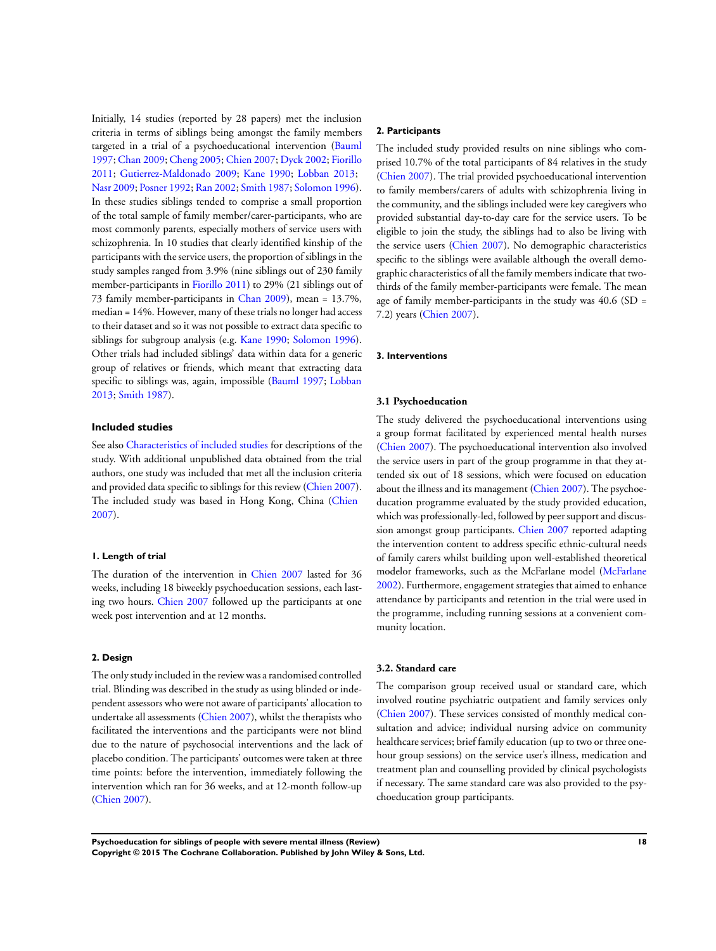Initially, 14 studies (reported by 28 papers) met the inclusion criteria in terms of siblings being amongst the family members targeted in a trial of a psychoeducational intervention [\(Bauml](#page-28-0) [1997](#page-28-0); [Chan 2009](#page-28-0); [Cheng 2005](#page-28-0); [Chien 2007](#page-28-0); [Dyck 2002;](#page-28-0) [Fiorillo](#page-28-0) [2011](#page-28-0); [Gutierrez-Maldonado 2009](#page-28-0); [Kane 1990;](#page-28-0) [Lobban 2013;](#page-28-0) [Nasr 2009](#page-28-0); [Posner 1992;](#page-28-0) [Ran 2002](#page-28-0); [Smith 1987](#page-28-0); [Solomon 1996](#page-28-0)). In these studies siblings tended to comprise a small proportion of the total sample of family member/carer-participants, who are most commonly parents, especially mothers of service users with schizophrenia. In 10 studies that clearly identified kinship of the participants with the service users, the proportion of siblings in the study samples ranged from 3.9% (nine siblings out of 230 family member-participants in [Fiorillo 2011](#page-28-0)) to 29% (21 siblings out of 73 family member-participants in [Chan 2009](#page-28-0)), mean = 13.7%, median = 14%. However, many of these trials no longer had access to their dataset and so it was not possible to extract data specific to siblings for subgroup analysis (e.g. [Kane 1990;](#page-28-0) [Solomon 1996](#page-28-0)). Other trials had included siblings' data within data for a generic group of relatives or friends, which meant that extracting data specific to siblings was, again, impossible ([Bauml 1997;](#page-28-0) [Lobban](#page-28-0) [2013](#page-28-0); [Smith 1987\)](#page-28-0).

### **Included studies**

See also [Characteristics of included studies](#page-34-0) for descriptions of the study. With additional unpublished data obtained from the trial authors, one study was included that met all the inclusion criteria and provided data specific to siblings for this review [\(Chien 2007](#page-28-0)). The included study was based in Hong Kong, China [\(Chien](#page-28-0) [2007](#page-28-0)).

### **1. Length of trial**

The duration of the intervention in [Chien 2007](#page-28-0) lasted for 36 weeks, including 18 biweekly psychoeducation sessions, each lasting two hours. [Chien 2007](#page-28-0) followed up the participants at one week post intervention and at 12 months.

#### **2. Design**

The only study included in the review was a randomised controlled trial. Blinding was described in the study as using blinded or independent assessors who were not aware of participants' allocation to undertake all assessments ([Chien 2007\)](#page-28-0), whilst the therapists who facilitated the interventions and the participants were not blind due to the nature of psychosocial interventions and the lack of placebo condition. The participants' outcomes were taken at three time points: before the intervention, immediately following the intervention which ran for 36 weeks, and at 12-month follow-up [\(Chien 2007\)](#page-28-0).

# **2. Participants**

The included study provided results on nine siblings who comprised 10.7% of the total participants of 84 relatives in the study [\(Chien 2007\)](#page-28-0). The trial provided psychoeducational intervention to family members/carers of adults with schizophrenia living in the community, and the siblings included were key caregivers who provided substantial day-to-day care for the service users. To be eligible to join the study, the siblings had to also be living with the service users [\(Chien 2007](#page-28-0)). No demographic characteristics specific to the siblings were available although the overall demographic characteristics of all the family members indicate that twothirds of the family member-participants were female. The mean age of family member-participants in the study was  $40.6$  (SD = 7.2) years ([Chien 2007](#page-28-0)).

### **3. Interventions**

### **3.1 Psychoeducation**

The study delivered the psychoeducational interventions using a group format facilitated by experienced mental health nurses [\(Chien 2007\)](#page-28-0). The psychoeducational intervention also involved the service users in part of the group programme in that they attended six out of 18 sessions, which were focused on education about the illness and its management ([Chien 2007](#page-28-0)). The psychoeducation programme evaluated by the study provided education, which was professionally-led, followed by peer support and discussion amongst group participants. [Chien 2007](#page-28-0) reported adapting the intervention content to address specific ethnic-cultural needs of family carers whilst building upon well-established theoretical modelor frameworks, such as the McFarlane model [\(McFarlane](#page-28-0) [2002](#page-28-0)). Furthermore, engagement strategies that aimed to enhance attendance by participants and retention in the trial were used in the programme, including running sessions at a convenient community location.

### **3.2. Standard care**

The comparison group received usual or standard care, which involved routine psychiatric outpatient and family services only [\(Chien 2007](#page-28-0)). These services consisted of monthly medical consultation and advice; individual nursing advice on community healthcare services; brief family education (up to two or three onehour group sessions) on the service user's illness, medication and treatment plan and counselling provided by clinical psychologists if necessary. The same standard care was also provided to the psychoeducation group participants.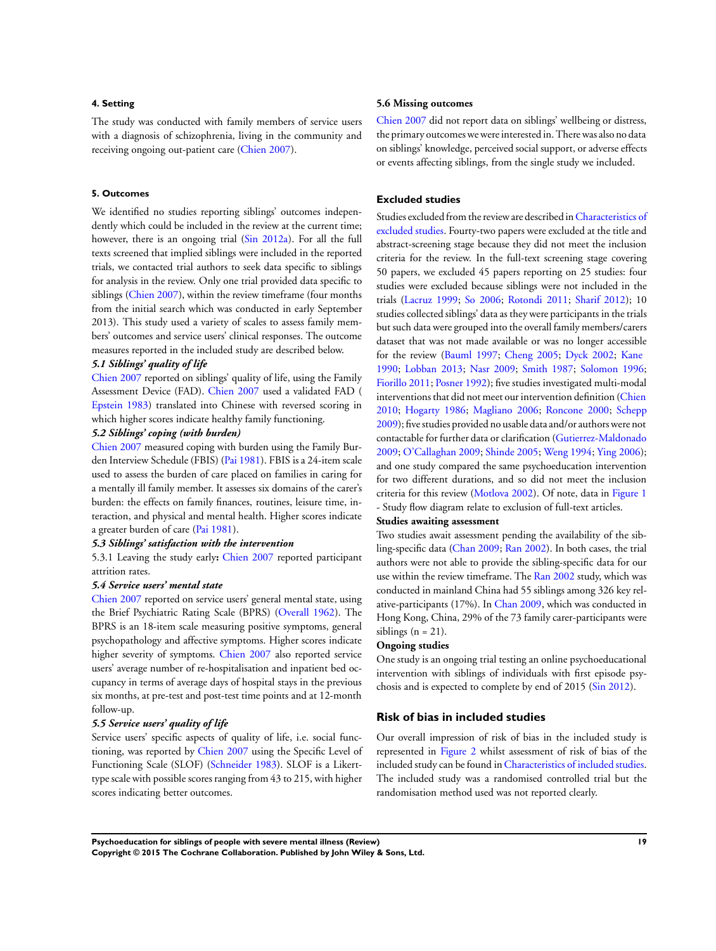### **4. Setting**

The study was conducted with family members of service users with a diagnosis of schizophrenia, living in the community and receiving ongoing out-patient care [\(Chien 2007\)](#page-28-0).

## **5. Outcomes**

We identified no studies reporting siblings' outcomes independently which could be included in the review at the current time; however, there is an ongoing trial [\(Sin 2012a\)](#page-28-0). For all the full texts screened that implied siblings were included in the reported trials, we contacted trial authors to seek data specific to siblings for analysis in the review. Only one trial provided data specific to siblings [\(Chien 2007\)](#page-28-0), within the review timeframe (four months from the initial search which was conducted in early September 2013). This study used a variety of scales to assess family members' outcomes and service users' clinical responses. The outcome measures reported in the included study are described below.

### *5.1 Siblings' quality of life*

[Chien 2007](#page-28-0) reported on siblings' quality of life, using the Family Assessment Device (FAD). [Chien 2007](#page-28-0) used a validated FAD ( [Epstein 1983](#page-28-0)) translated into Chinese with reversed scoring in which higher scores indicate healthy family functioning.

# *5.2 Siblings' coping (with burden)*

[Chien 2007](#page-28-0) measured coping with burden using the Family Burden Interview Schedule (FBIS) ([Pai 1981\)](#page-28-0). FBIS is a 24-item scale used to assess the burden of care placed on families in caring for a mentally ill family member. It assesses six domains of the carer's burden: the effects on family finances, routines, leisure time, interaction, and physical and mental health. Higher scores indicate a greater burden of care ([Pai 1981\)](#page-28-0).

# *5.3 Siblings' satisfaction with the intervention*

5.3.1 Leaving the study early**:** [Chien 2007](#page-28-0) reported participant attrition rates.

### *5.4 Service users' mental state*

[Chien 2007](#page-28-0) reported on service users' general mental state, using the Brief Psychiatric Rating Scale (BPRS) [\(Overall 1962\)](#page-28-0). The BPRS is an 18-item scale measuring positive symptoms, general psychopathology and affective symptoms. Higher scores indicate higher severity of symptoms. [Chien 2007](#page-28-0) also reported service users' average number of re-hospitalisation and inpatient bed occupancy in terms of average days of hospital stays in the previous six months, at pre-test and post-test time points and at 12-month follow-up.

#### *5.5 Service users' quality of life*

Service users' specific aspects of quality of life, i.e. social functioning, was reported by [Chien 2007](#page-28-0) using the Specific Level of Functioning Scale (SLOF) [\(Schneider 1983](#page-28-0)). SLOF is a Likerttype scale with possible scores ranging from 43 to 215, with higher scores indicating better outcomes.

### **5.6 Missing outcomes**

[Chien 2007](#page-28-0) did not report data on siblings' wellbeing or distress, the primary outcomes we were interested in. There was also no data on siblings' knowledge, perceived social support, or adverse effects or events affecting siblings, from the single study we included.

### **Excluded studies**

Studies excluded from the review are described in [Characteristics of](#page-35-0) [excluded studies](#page-35-0). Fourty-two papers were excluded at the title and abstract-screening stage because they did not meet the inclusion criteria for the review. In the full-text screening stage covering 50 papers, we excluded 45 papers reporting on 25 studies: four studies were excluded because siblings were not included in the trials [\(Lacruz 1999](#page-28-0); [So 2006](#page-28-0); [Rotondi 2011;](#page-28-0) [Sharif 2012\)](#page-28-0); 10 studies collected siblings' data as they were participants in the trials but such data were grouped into the overall family members/carers dataset that was not made available or was no longer accessible for the review ([Bauml 1997](#page-28-0); [Cheng 2005;](#page-28-0) [Dyck 2002;](#page-28-0) [Kane](#page-28-0) [1990](#page-28-0); [Lobban 2013](#page-28-0); [Nasr 2009;](#page-28-0) [Smith 1987](#page-28-0); [Solomon 1996;](#page-28-0) [Fiorillo 2011](#page-28-0); [Posner 1992](#page-28-0)); five studies investigated multi-modal interventions that did not meet our intervention definition [\(Chien](#page-28-0) [2010](#page-28-0); [Hogarty 1986;](#page-28-0) [Magliano 2006](#page-28-0); [Roncone 2000](#page-28-0); [Schepp](#page-28-0) [2009](#page-28-0)); five studies provided no usable data and/or authors were not contactable for further data or clarification [\(Gutierrez-Maldonado](#page-28-0) [2009](#page-28-0); [O'Callaghan 2009;](#page-28-0) [Shinde 2005](#page-28-0); [Weng 1994;](#page-28-0) [Ying 2006](#page-28-0)); and one study compared the same psychoeducation intervention for two different durations, and so did not meet the inclusion criteria for this review [\(Motlova 2002\)](#page-28-0). Of note, data in [Figure 1](#page-18-0) - Study flow diagram relate to exclusion of full-text articles.

### **Studies awaiting assessment**

Two studies await assessment pending the availability of the sibling-specific data [\(Chan 2009;](#page-28-0) [Ran 2002\)](#page-28-0). In both cases, the trial authors were not able to provide the sibling-specific data for our use within the review timeframe. The [Ran 2002](#page-28-0) study, which was conducted in mainland China had 55 siblings among 326 key relative-participants (17%). In [Chan 2009,](#page-28-0) which was conducted in Hong Kong, China, 29% of the 73 family carer-participants were siblings  $(n = 21)$ .

#### **Ongoing studies**

One study is an ongoing trial testing an online psychoeducational intervention with siblings of individuals with first episode psychosis and is expected to complete by end of 2015 ([Sin 2012](#page-28-0)).

# **Risk of bias in included studies**

Our overall impression of risk of bias in the included study is represented in [Figure 2](#page-21-0) whilst assessment of risk of bias of the included study can be found in[Characteristics of included studies.](#page-34-0) The included study was a randomised controlled trial but the randomisation method used was not reported clearly.

**Psychoeducation for siblings of people with severe mental illness (Review) 19 Copyright © 2015 The Cochrane Collaboration. Published by John Wiley & Sons, Ltd.**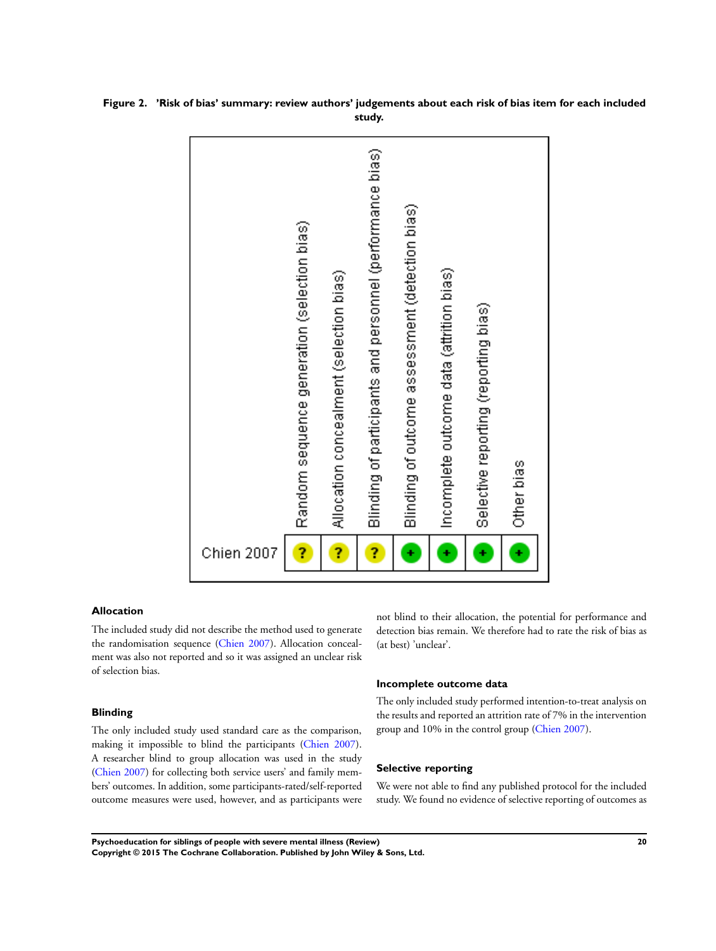

# <span id="page-21-0"></span>**Figure 2. 'Risk of bias' summary: review authors' judgements about each risk of bias item for each included study.**

## **Allocation**

The included study did not describe the method used to generate the randomisation sequence ([Chien 2007\)](#page-28-0). Allocation concealment was also not reported and so it was assigned an unclear risk of selection bias.

### **Blinding**

The only included study used standard care as the comparison, making it impossible to blind the participants [\(Chien 2007](#page-28-0)). A researcher blind to group allocation was used in the study [\(Chien 2007](#page-28-0)) for collecting both service users' and family members' outcomes. In addition, some participants-rated/self-reported outcome measures were used, however, and as participants were

not blind to their allocation, the potential for performance and detection bias remain. We therefore had to rate the risk of bias as (at best) 'unclear'.

#### **Incomplete outcome data**

The only included study performed intention-to-treat analysis on the results and reported an attrition rate of 7% in the intervention group and 10% in the control group [\(Chien 2007](#page-28-0)).

# **Selective reporting**

We were not able to find any published protocol for the included study. We found no evidence of selective reporting of outcomes as

**Psychoeducation for siblings of people with severe mental illness (Review) 20 Copyright © 2015 The Cochrane Collaboration. Published by John Wiley & Sons, Ltd.**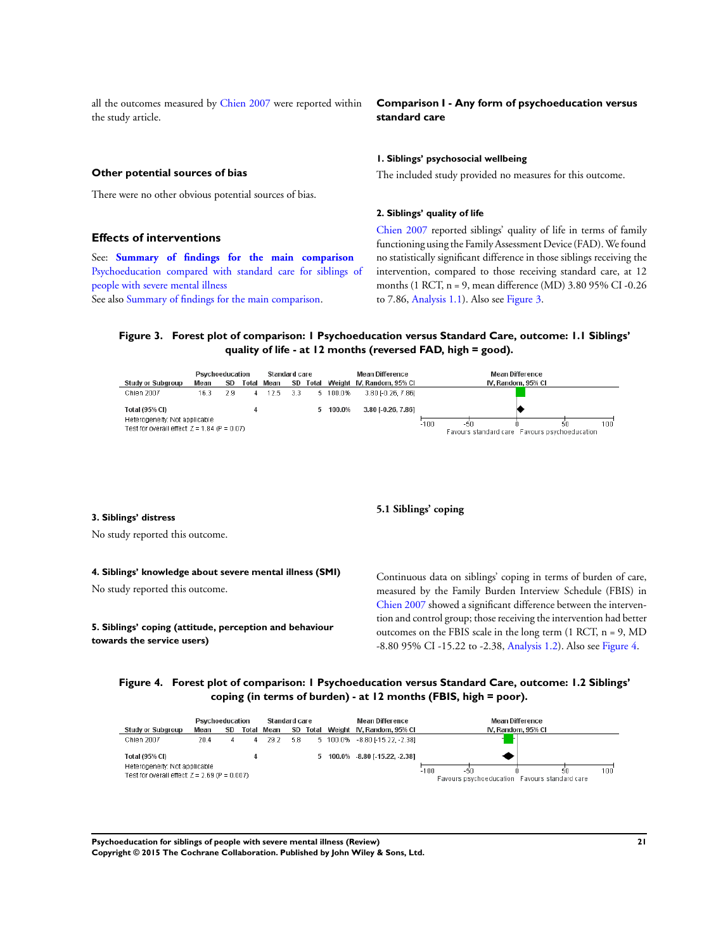all the outcomes measured by [Chien 2007](#page-28-0) were reported within the study article.

# **Comparison I - Any form of psychoeducation versus standard care**

#### **Other potential sources of bias**

There were no other obvious potential sources of bias.

### **Effects of interventions**

See: **[Summary of findings for the main comparison](#page-5-0)** [Psychoeducation compared with standard care for siblings of](#page-5-0) [people with severe mental illness](#page-5-0) See also [Summary of findings for the main comparison.](#page-5-0)

# **1. Siblings' psychosocial wellbeing**

The included study provided no measures for this outcome.

### **2. Siblings' quality of life**

[Chien 2007](#page-28-0) reported siblings' quality of life in terms of family functioning using the Family Assessment Device (FAD). We found no statistically significant difference in those siblings receiving the intervention, compared to those receiving standard care, at 12 months (1 RCT, n = 9, mean difference (MD) 3.80 95% CI -0.26 to 7.86, [Analysis 1.1\)](#page-42-0). Also see Figure 3.

# **Figure 3. Forest plot of comparison: 1 Psychoeducation versus Standard Care, outcome: 1.1 Siblings' quality of life - at 12 months (reversed FAD, high = good).**



### **3. Siblings' distress**

No study reported this outcome.

### **4. Siblings' knowledge about severe mental illness (SMI)**

No study reported this outcome.

**5. Siblings' coping (attitude, perception and behaviour towards the service users)**

**5.1 Siblings' coping**

Continuous data on siblings' coping in terms of burden of care, measured by the Family Burden Interview Schedule (FBIS) in [Chien 2007](#page-28-0) showed a significant difference between the intervention and control group; those receiving the intervention had better outcomes on the FBIS scale in the long term  $(1 RCT, n = 9, MD)$ -8.80 95% CI -15.22 to -2.38, [Analysis 1.2](#page-42-0)). Also see Figure 4.

# **Figure 4. Forest plot of comparison: 1 Psychoeducation versus Standard Care, outcome: 1.2 Siblings' coping (in terms of burden) - at 12 months (FBIS, high = poor).**



**Psychoeducation for siblings of people with severe mental illness (Review) 21 Copyright © 2015 The Cochrane Collaboration. Published by John Wiley & Sons, Ltd.**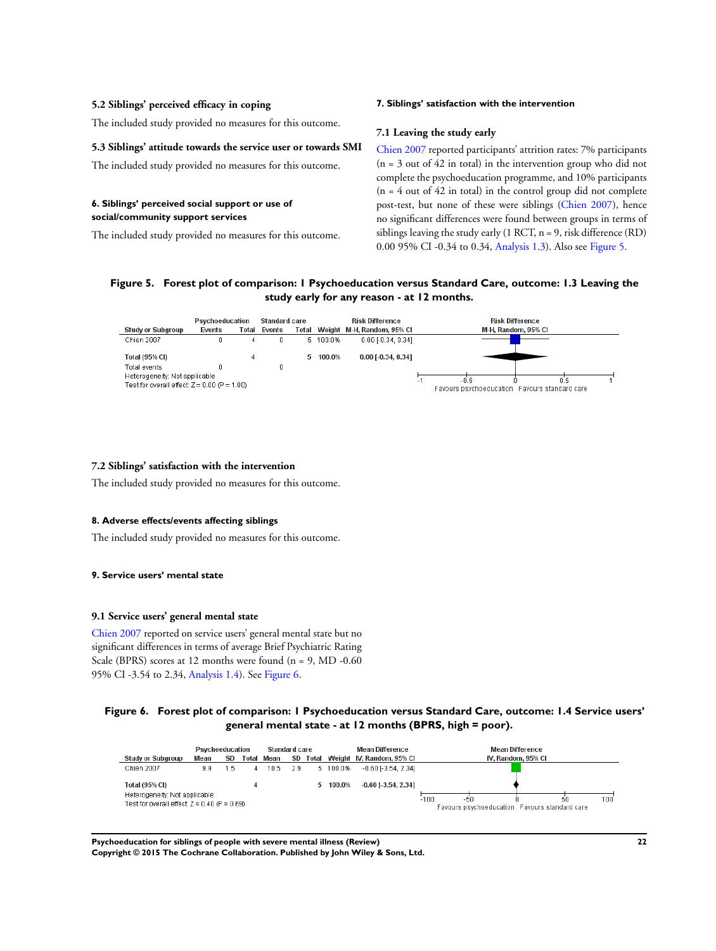# **5.2 Siblings' perceived efficacy in coping**

The included study provided no measures for this outcome.

## **5.3 Siblings' attitude towards the service user or towards SMI**

The included study provided no measures for this outcome.

# **6. Siblings' perceived social support or use of social/community support services**

The included study provided no measures for this outcome.

# **7. Siblings' satisfaction with the intervention**

### **7.1 Leaving the study early**

[Chien 2007](#page-28-0) reported participants' attrition rates: 7% participants  $(n = 3$  out of 42 in total) in the intervention group who did not complete the psychoeducation programme, and 10% participants  $(n = 4$  out of  $42$  in total) in the control group did not complete post-test, but none of these were siblings ([Chien 2007\)](#page-28-0), hence no significant differences were found between groups in terms of siblings leaving the study early  $(1 RCT, n = 9, risk difference (RD))$ 0.00 95% CI -0.34 to 0.34, [Analysis 1.3\)](#page-42-0). Also see Figure 5.

# **Figure 5. Forest plot of comparison: 1 Psychoeducation versus Standard Care, outcome: 1.3 Leaving the study early for any reason - at 12 months.**



### **7.2 Siblings' satisfaction with the intervention**

The included study provided no measures for this outcome.

### **8. Adverse effects/events affecting siblings**

The included study provided no measures for this outcome.

# **9. Service users' mental state**

# **9.1 Service users' general mental state**

[Chien 2007](#page-28-0) reported on service users' general mental state but no significant differences in terms of average Brief Psychiatric Rating Scale (BPRS) scores at 12 months were found (n = 9, MD -0.60 95% CI -3.54 to 2.34, [Analysis 1.4\)](#page-43-0). See Figure 6.

# **Figure 6. Forest plot of comparison: 1 Psychoeducation versus Standard Care, outcome: 1.4 Service users' general mental state - at 12 months (BPRS, high = poor).**



**Psychoeducation for siblings of people with severe mental illness (Review) 22 Copyright © 2015 The Cochrane Collaboration. Published by John Wiley & Sons, Ltd.**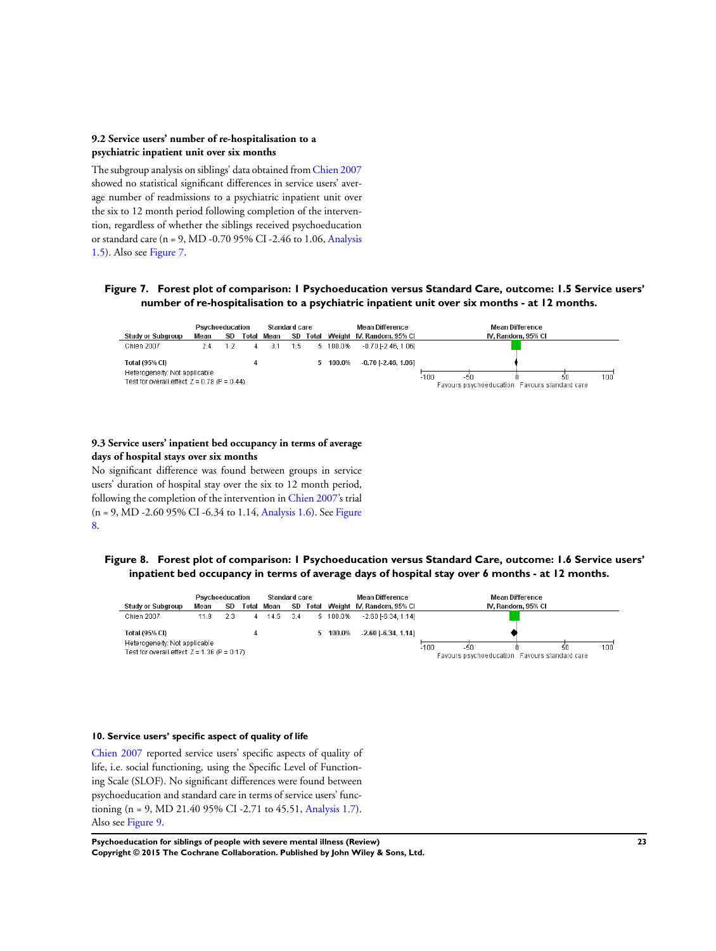# **9.2 Service users' number of re-hospitalisation to a psychiatric inpatient unit over six months**

The subgroup analysis on siblings' data obtained from [Chien 2007](#page-28-0) showed no statistical significant differences in service users' average number of readmissions to a psychiatric inpatient unit over the six to 12 month period following completion of the intervention, regardless of whether the siblings received psychoeducation or standard care (n = 9, MD -0.70 95% CI -2.46 to 1.06, [Analysis](#page-44-0) [1.5](#page-44-0)). Also see Figure 7.

# **Figure 7. Forest plot of comparison: 1 Psychoeducation versus Standard Care, outcome: 1.5 Service users' number of re-hospitalisation to a psychiatric inpatient unit over six months - at 12 months.**



# **9.3 Service users' inpatient bed occupancy in terms of average days of hospital stays over six months**

No significant difference was found between groups in service users' duration of hospital stay over the six to 12 month period, following the completion of the intervention in [Chien 2007](#page-28-0)'s trial (n = 9, MD -2.60 95% CI -6.34 to 1.14, [Analysis 1.6\)](#page-45-0). See Figure 8.

**Figure 8. Forest plot of comparison: 1 Psychoeducation versus Standard Care, outcome: 1.6 Service users' inpatient bed occupancy in terms of average days of hospital stay over 6 months - at 12 months.**



#### **10. Service users' specific aspect of quality of life**

[Chien 2007](#page-28-0) reported service users' specific aspects of quality of life, i.e. social functioning, using the Specific Level of Functioning Scale (SLOF). No significant differences were found between psychoeducation and standard care in terms of service users' functioning (n = 9, MD 21.40 95% CI -2.71 to 45.51, [Analysis 1.7](#page-45-0)). Also see Figure 9.

**Psychoeducation for siblings of people with severe mental illness (Review) 23 Copyright © 2015 The Cochrane Collaboration. Published by John Wiley & Sons, Ltd.**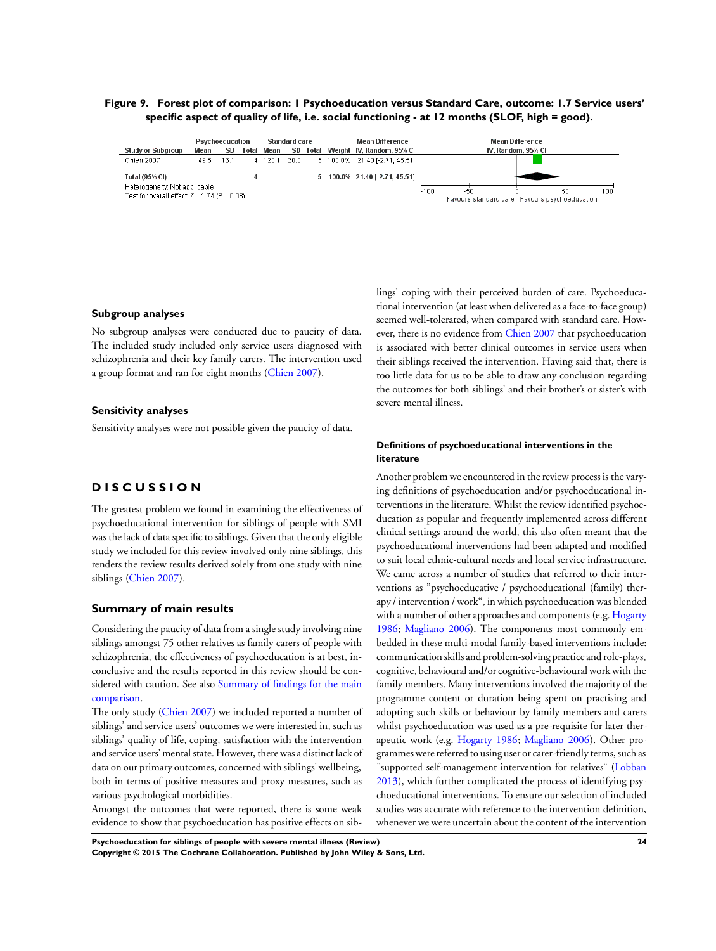# **Figure 9. Forest plot of comparison: 1 Psychoeducation versus Standard Care, outcome: 1.7 Service users' specific aspect of quality of life, i.e. social functioning - at 12 months (SLOF, high = good).**



### **Subgroup analyses**

No subgroup analyses were conducted due to paucity of data. The included study included only service users diagnosed with schizophrenia and their key family carers. The intervention used a group format and ran for eight months ([Chien 2007](#page-28-0)).

### **Sensitivity analyses**

Sensitivity analyses were not possible given the paucity of data.

# **D I S C U S S I O N**

The greatest problem we found in examining the effectiveness of psychoeducational intervention for siblings of people with SMI was the lack of data specific to siblings. Given that the only eligible study we included for this review involved only nine siblings, this renders the review results derived solely from one study with nine siblings [\(Chien 2007](#page-28-0)).

# **Summary of main results**

Considering the paucity of data from a single study involving nine siblings amongst 75 other relatives as family carers of people with schizophrenia, the effectiveness of psychoeducation is at best, inconclusive and the results reported in this review should be con-sidered with caution. See also [Summary of findings for the main](#page-5-0) [comparison.](#page-5-0)

The only study ([Chien 2007\)](#page-28-0) we included reported a number of siblings' and service users' outcomes we were interested in, such as siblings' quality of life, coping, satisfaction with the intervention and service users' mental state. However, there was a distinct lack of data on our primary outcomes, concerned with siblings' wellbeing, both in terms of positive measures and proxy measures, such as various psychological morbidities.

Amongst the outcomes that were reported, there is some weak evidence to show that psychoeducation has positive effects on siblings' coping with their perceived burden of care. Psychoeducational intervention (at least when delivered as a face-to-face group) seemed well-tolerated, when compared with standard care. However, there is no evidence from [Chien 2007](#page-28-0) that psychoeducation is associated with better clinical outcomes in service users when their siblings received the intervention. Having said that, there is too little data for us to be able to draw any conclusion regarding the outcomes for both siblings' and their brother's or sister's with severe mental illness.

# **Definitions of psychoeducational interventions in the literature**

Another problem we encountered in the review process is the varying definitions of psychoeducation and/or psychoeducational interventions in the literature. Whilst the review identified psychoeducation as popular and frequently implemented across different clinical settings around the world, this also often meant that the psychoeducational interventions had been adapted and modified to suit local ethnic-cultural needs and local service infrastructure. We came across a number of studies that referred to their interventions as "psychoeducative / psychoeducational (family) therapy / intervention / work", in which psychoeducation was blended with a number of other approaches and components (e.g. [Hogarty](#page-28-0) [1986](#page-28-0); [Magliano 2006](#page-28-0)). The components most commonly embedded in these multi-modal family-based interventions include: communication skills and problem-solving practice and role-plays, cognitive, behavioural and/or cognitive-behavioural work with the family members. Many interventions involved the majority of the programme content or duration being spent on practising and adopting such skills or behaviour by family members and carers whilst psychoeducation was used as a pre-requisite for later therapeutic work (e.g. [Hogarty 1986;](#page-28-0) [Magliano 2006\)](#page-28-0). Other programmes were referred to using user or carer-friendly terms, such as "supported self-management intervention for relatives" [\(Lobban](#page-28-0) [2013](#page-28-0)), which further complicated the process of identifying psychoeducational interventions. To ensure our selection of included studies was accurate with reference to the intervention definition, whenever we were uncertain about the content of the intervention

**Psychoeducation for siblings of people with severe mental illness (Review) 24 Copyright © 2015 The Cochrane Collaboration. Published by John Wiley & Sons, Ltd.**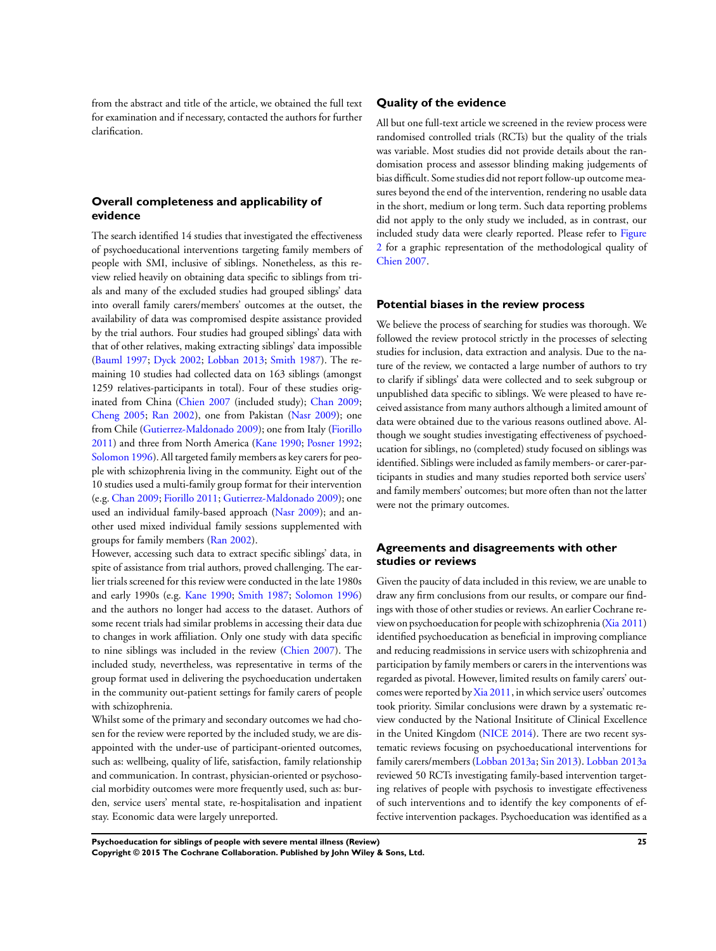from the abstract and title of the article, we obtained the full text for examination and if necessary, contacted the authors for further clarification.

# **Overall completeness and applicability of evidence**

The search identified 14 studies that investigated the effectiveness of psychoeducational interventions targeting family members of people with SMI, inclusive of siblings. Nonetheless, as this review relied heavily on obtaining data specific to siblings from trials and many of the excluded studies had grouped siblings' data into overall family carers/members' outcomes at the outset, the availability of data was compromised despite assistance provided by the trial authors. Four studies had grouped siblings' data with that of other relatives, making extracting siblings' data impossible [\(Bauml 1997;](#page-28-0) [Dyck 2002;](#page-28-0) [Lobban 2013](#page-28-0); [Smith 1987](#page-28-0)). The remaining 10 studies had collected data on 163 siblings (amongst 1259 relatives-participants in total). Four of these studies originated from China ([Chien 2007](#page-28-0) (included study); [Chan 2009;](#page-28-0) [Cheng 2005;](#page-28-0) [Ran 2002](#page-28-0)), one from Pakistan [\(Nasr 2009\)](#page-28-0); one from Chile [\(Gutierrez-Maldonado 2009\)](#page-28-0); one from Italy ([Fiorillo](#page-28-0) [2011](#page-28-0)) and three from North America [\(Kane 1990;](#page-28-0) [Posner 1992;](#page-28-0) [Solomon 1996](#page-28-0)). All targeted family members as key carers for people with schizophrenia living in the community. Eight out of the 10 studies used a multi-family group format for their intervention (e.g. [Chan 2009](#page-28-0); [Fiorillo 2011;](#page-28-0) [Gutierrez-Maldonado 2009\)](#page-28-0); one used an individual family-based approach ([Nasr 2009](#page-28-0)); and another used mixed individual family sessions supplemented with groups for family members ([Ran 2002](#page-28-0)).

However, accessing such data to extract specific siblings' data, in spite of assistance from trial authors, proved challenging. The earlier trials screened for this review were conducted in the late 1980s and early 1990s (e.g. [Kane 1990;](#page-28-0) [Smith 1987](#page-28-0); [Solomon 1996](#page-28-0)) and the authors no longer had access to the dataset. Authors of some recent trials had similar problems in accessing their data due to changes in work affiliation. Only one study with data specific to nine siblings was included in the review [\(Chien 2007\)](#page-28-0). The included study, nevertheless, was representative in terms of the group format used in delivering the psychoeducation undertaken in the community out-patient settings for family carers of people with schizophrenia.

Whilst some of the primary and secondary outcomes we had chosen for the review were reported by the included study, we are disappointed with the under-use of participant-oriented outcomes, such as: wellbeing, quality of life, satisfaction, family relationship and communication. In contrast, physician-oriented or psychosocial morbidity outcomes were more frequently used, such as: burden, service users' mental state, re-hospitalisation and inpatient stay. Economic data were largely unreported.

# **Quality of the evidence**

All but one full-text article we screened in the review process were randomised controlled trials (RCTs) but the quality of the trials was variable. Most studies did not provide details about the randomisation process and assessor blinding making judgements of bias difficult. Some studies did not report follow-up outcome measures beyond the end of the intervention, rendering no usable data in the short, medium or long term. Such data reporting problems did not apply to the only study we included, as in contrast, our included study data were clearly reported. Please refer to [Figure](#page-21-0) [2](#page-21-0) for a graphic representation of the methodological quality of [Chien 2007.](#page-28-0)

# **Potential biases in the review process**

We believe the process of searching for studies was thorough. We followed the review protocol strictly in the processes of selecting studies for inclusion, data extraction and analysis. Due to the nature of the review, we contacted a large number of authors to try to clarify if siblings' data were collected and to seek subgroup or unpublished data specific to siblings. We were pleased to have received assistance from many authors although a limited amount of data were obtained due to the various reasons outlined above. Although we sought studies investigating effectiveness of psychoeducation for siblings, no (completed) study focused on siblings was identified. Siblings were included as family members- or carer-participants in studies and many studies reported both service users' and family members' outcomes; but more often than not the latter were not the primary outcomes.

# **Agreements and disagreements with other studies or reviews**

Given the paucity of data included in this review, we are unable to draw any firm conclusions from our results, or compare our findings with those of other studies or reviews. An earlier Cochrane re-view on psychoeducation for people with schizophrenia ([Xia 2011](#page-28-0)) identified psychoeducation as beneficial in improving compliance and reducing readmissions in service users with schizophrenia and participation by family members or carers in the interventions was regarded as pivotal. However, limited results on family carers' outcomes were reported by [Xia 2011](#page-28-0), in which service users' outcomes took priority. Similar conclusions were drawn by a systematic review conducted by the National Insititute of Clinical Excellence in the United Kingdom [\(NICE 2014](#page-28-0)). There are two recent systematic reviews focusing on psychoeducational interventions for family carers/members ([Lobban 2013a;](#page-28-0) [Sin 2013](#page-28-0)). [Lobban 2013a](#page-28-0) reviewed 50 RCTs investigating family-based intervention targeting relatives of people with psychosis to investigate effectiveness of such interventions and to identify the key components of effective intervention packages. Psychoeducation was identified as a

**Psychoeducation for siblings of people with severe mental illness (Review) 25 Copyright © 2015 The Cochrane Collaboration. Published by John Wiley & Sons, Ltd.**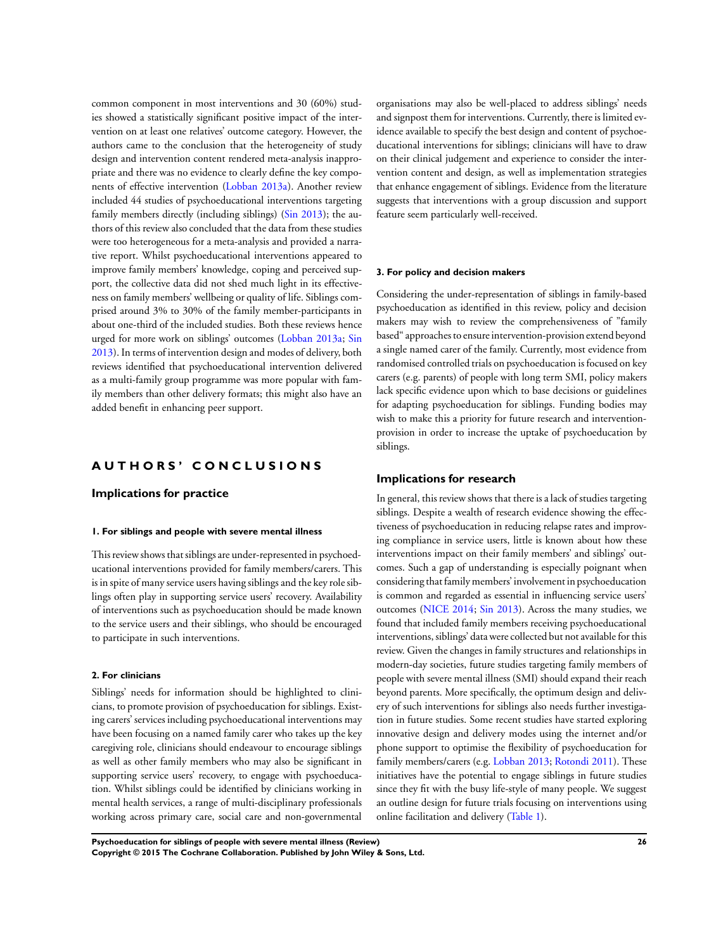common component in most interventions and 30 (60%) studies showed a statistically significant positive impact of the intervention on at least one relatives' outcome category. However, the authors came to the conclusion that the heterogeneity of study design and intervention content rendered meta-analysis inappropriate and there was no evidence to clearly define the key components of effective intervention ([Lobban 2013a](#page-28-0)). Another review included 44 studies of psychoeducational interventions targeting family members directly (including siblings) ([Sin 2013\)](#page-28-0); the authors of this review also concluded that the data from these studies were too heterogeneous for a meta-analysis and provided a narrative report. Whilst psychoeducational interventions appeared to improve family members' knowledge, coping and perceived support, the collective data did not shed much light in its effectiveness on family members' wellbeing or quality of life. Siblings comprised around 3% to 30% of the family member-participants in about one-third of the included studies. Both these reviews hence urged for more work on siblings' outcomes ([Lobban 2013a;](#page-28-0) [Sin](#page-28-0) [2013](#page-28-0)). In terms of intervention design and modes of delivery, both reviews identified that psychoeducational intervention delivered as a multi-family group programme was more popular with family members than other delivery formats; this might also have an added benefit in enhancing peer support.

# **A U T H O R S ' C O N C L U S I O N S**

# **Implications for practice**

### **1. For siblings and people with severe mental illness**

This review shows that siblings are under-represented in psychoeducational interventions provided for family members/carers. This is in spite of many service users having siblings and the key role siblings often play in supporting service users' recovery. Availability of interventions such as psychoeducation should be made known to the service users and their siblings, who should be encouraged to participate in such interventions.

# **2. For clinicians**

Siblings' needs for information should be highlighted to clinicians, to promote provision of psychoeducation for siblings. Existing carers' services including psychoeducational interventions may have been focusing on a named family carer who takes up the key caregiving role, clinicians should endeavour to encourage siblings as well as other family members who may also be significant in supporting service users' recovery, to engage with psychoeducation. Whilst siblings could be identified by clinicians working in mental health services, a range of multi-disciplinary professionals working across primary care, social care and non-governmental

organisations may also be well-placed to address siblings' needs and signpost them for interventions. Currently, there is limited evidence available to specify the best design and content of psychoeducational interventions for siblings; clinicians will have to draw on their clinical judgement and experience to consider the intervention content and design, as well as implementation strategies that enhance engagement of siblings. Evidence from the literature suggests that interventions with a group discussion and support feature seem particularly well-received.

### **3. For policy and decision makers**

Considering the under-representation of siblings in family-based psychoeducation as identified in this review, policy and decision makers may wish to review the comprehensiveness of "family based" approaches to ensure intervention-provision extend beyond a single named carer of the family. Currently, most evidence from randomised controlled trials on psychoeducation is focused on key carers (e.g. parents) of people with long term SMI, policy makers lack specific evidence upon which to base decisions or guidelines for adapting psychoeducation for siblings. Funding bodies may wish to make this a priority for future research and interventionprovision in order to increase the uptake of psychoeducation by siblings.

### **Implications for research**

In general, this review shows that there is a lack of studies targeting siblings. Despite a wealth of research evidence showing the effectiveness of psychoeducation in reducing relapse rates and improving compliance in service users, little is known about how these interventions impact on their family members' and siblings' outcomes. Such a gap of understanding is especially poignant when considering that family members' involvement in psychoeducation is common and regarded as essential in influencing service users' outcomes [\(NICE 2014](#page-28-0); [Sin 2013\)](#page-28-0). Across the many studies, we found that included family members receiving psychoeducational interventions, siblings' data were collected but not available for this review. Given the changes in family structures and relationships in modern-day societies, future studies targeting family members of people with severe mental illness (SMI) should expand their reach beyond parents. More specifically, the optimum design and delivery of such interventions for siblings also needs further investigation in future studies. Some recent studies have started exploring innovative design and delivery modes using the internet and/or phone support to optimise the flexibility of psychoeducation for family members/carers (e.g. [Lobban 2013](#page-28-0); [Rotondi 2011](#page-28-0)). These initiatives have the potential to engage siblings in future studies since they fit with the busy life-style of many people. We suggest an outline design for future trials focusing on interventions using online facilitation and delivery [\(Table 1](#page-46-0)).

**Psychoeducation for siblings of people with severe mental illness (Review) 26 Copyright © 2015 The Cochrane Collaboration. Published by John Wiley & Sons, Ltd.**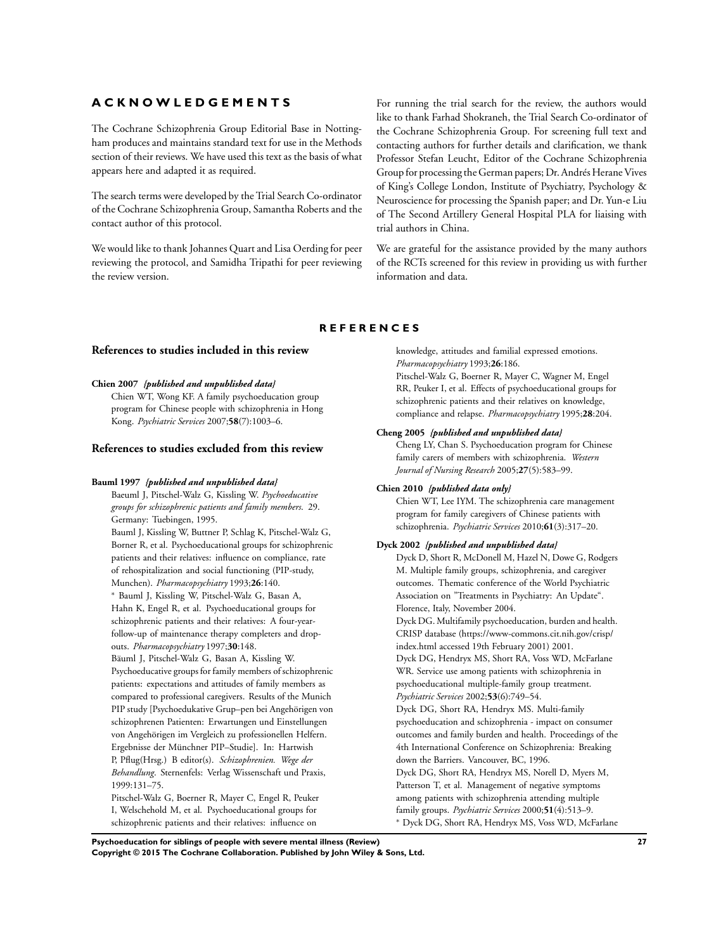# <span id="page-28-0"></span>**A C K N O W L E D G E M E N T S**

The Cochrane Schizophrenia Group Editorial Base in Nottingham produces and maintains standard text for use in the Methods section of their reviews. We have used this text as the basis of what appears here and adapted it as required.

The search terms were developed by the Trial Search Co-ordinator of the Cochrane Schizophrenia Group, Samantha Roberts and the contact author of this protocol.

We would like to thank Johannes Quart and Lisa Oerding for peer reviewing the protocol, and Samidha Tripathi for peer reviewing the review version.

For running the trial search for the review, the authors would like to thank Farhad Shokraneh, the Trial Search Co-ordinator of the Cochrane Schizophrenia Group. For screening full text and contacting authors for further details and clarification, we thank Professor Stefan Leucht, Editor of the Cochrane Schizophrenia Group for processing the German papers; Dr. Andrés Herane Vives of King's College London, Institute of Psychiatry, Psychology & Neuroscience for processing the Spanish paper; and Dr. Yun-e Liu of The Second Artillery General Hospital PLA for liaising with trial authors in China.

We are grateful for the assistance provided by the many authors of the RCTs screened for this review in providing us with further information and data.

# **R E F E R E N C E S**

# **References to studies included in this review**

### **Chien 2007** *{published and unpublished data}*

Chien WT, Wong KF. A family psychoeducation group program for Chinese people with schizophrenia in Hong Kong. *Psychiatric Services* 2007;**58**(7):1003–6.

### **References to studies excluded from this review**

#### **Bauml 1997** *{published and unpublished data}*

Baeuml J, Pitschel-Walz G, Kissling W. *Psychoeducative groups for schizophrenic patients and family members*. 29. Germany: Tuebingen, 1995.

Bauml J, Kissling W, Buttner P, Schlag K, Pitschel-Walz G, Borner R, et al. Psychoeducational groups for schizophrenic patients and their relatives: influence on compliance, rate of rehospitalization and social functioning (PIP-study, Munchen). *Pharmacopsychiatry* 1993;**26**:140.

<sup>∗</sup> Bauml J, Kissling W, Pitschel-Walz G, Basan A, Hahn K, Engel R, et al. Psychoeducational groups for schizophrenic patients and their relatives: A four-yearfollow-up of maintenance therapy completers and dropouts. *Pharmacopsychiatry* 1997;**30**:148.

Bäuml J, Pitschel-Walz G, Basan A, Kissling W. Psychoeducative groups for family members of schizophrenic patients: expectations and attitudes of family members as compared to professional caregivers. Results of the Munich PIP study [Psychoedukative Grup–pen bei Angehörigen von schizophrenen Patienten: Erwartungen und Einstellungen von Angehörigen im Vergleich zu professionellen Helfern. Ergebnisse der Münchner PIP–Studie]. In: Hartwish P, Pflug(Hrsg.) B editor(s). *Schizophrenien. Wege der Behandlung*. Sternenfels: Verlag Wissenschaft und Praxis, 1999:131–75.

Pitschel-Walz G, Boerner R, Mayer C, Engel R, Peuker I, Welschehold M, et al. Psychoeducational groups for schizophrenic patients and their relatives: influence on

knowledge, attitudes and familial expressed emotions. *Pharmacopsychiatry* 1993;**26**:186.

Pitschel-Walz G, Boerner R, Mayer C, Wagner M, Engel RR, Peuker I, et al. Effects of psychoeducational groups for schizophrenic patients and their relatives on knowledge, compliance and relapse. *Pharmacopsychiatry* 1995;**28**:204.

# **Cheng 2005** *{published and unpublished data}*

Cheng LY, Chan S. Psychoeducation program for Chinese family carers of members with schizophrenia. *Western Journal of Nursing Research* 2005;**27**(5):583–99.

### **Chien 2010** *{published data only}*

Chien WT, Lee IYM. The schizophrenia care management program for family caregivers of Chinese patients with schizophrenia. *Psychiatric Services* 2010;**61**(3):317–20.

# **Dyck 2002** *{published and unpublished data}*

Dyck D, Short R, McDonell M, Hazel N, Dowe G, Rodgers M. Multiple family groups, schizophrenia, and caregiver outcomes. Thematic conference of the World Psychiatric Association on "Treatments in Psychiatry: An Update". Florence, Italy, November 2004.

Dyck DG. Multifamily psychoeducation, burden and health. CRISP database (https://www-commons.cit.nih.gov/crisp/ index.html accessed 19th February 2001) 2001.

Dyck DG, Hendryx MS, Short RA, Voss WD, McFarlane WR. Service use among patients with schizophrenia in psychoeducational multiple-family group treatment. *Psychiatric Services* 2002;**53**(6):749–54.

Dyck DG, Short RA, Hendryx MS. Multi-family psychoeducation and schizophrenia - impact on consumer outcomes and family burden and health. Proceedings of the 4th International Conference on Schizophrenia: Breaking down the Barriers. Vancouver, BC, 1996.

Dyck DG, Short RA, Hendryx MS, Norell D, Myers M, Patterson T, et al. Management of negative symptoms among patients with schizophrenia attending multiple family groups. *Psychiatric Services* 2000;**51**(4):513–9. <sup>∗</sup> Dyck DG, Short RA, Hendryx MS, Voss WD, McFarlane

**Psychoeducation for siblings of people with severe mental illness (Review) 27**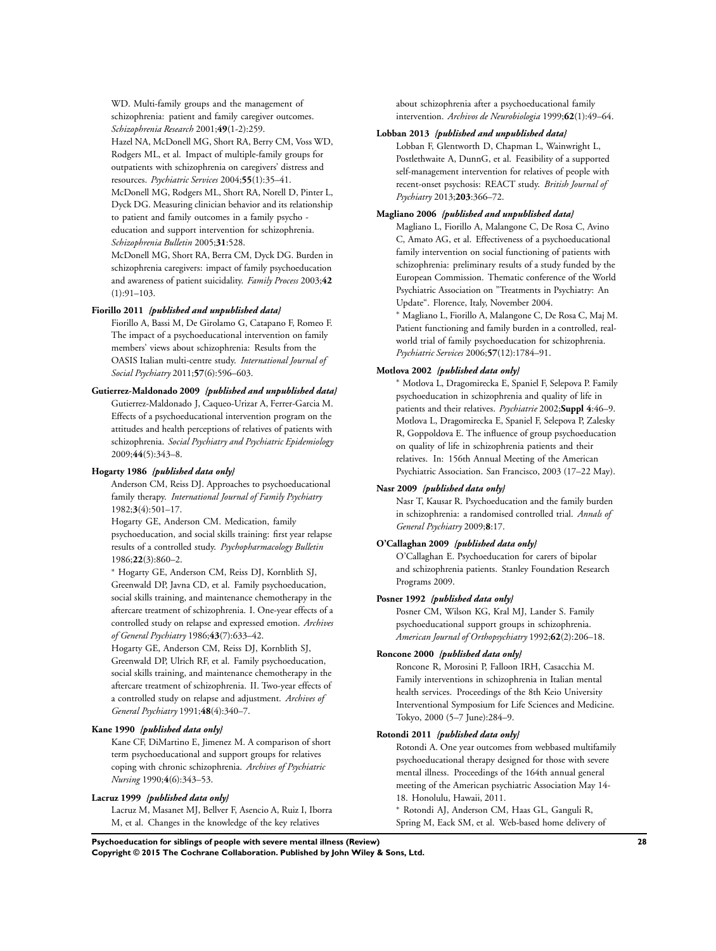WD. Multi-family groups and the management of schizophrenia: patient and family caregiver outcomes. *Schizophrenia Research* 2001;**49**(1-2):259.

Hazel NA, McDonell MG, Short RA, Berry CM, Voss WD, Rodgers ML, et al. Impact of multiple-family groups for outpatients with schizophrenia on caregivers' distress and resources. *Psychiatric Services* 2004;**55**(1):35–41.

McDonell MG, Rodgers ML, Short RA, Norell D, Pinter L, Dyck DG. Measuring clinician behavior and its relationship to patient and family outcomes in a family psycho education and support intervention for schizophrenia. *Schizophrenia Bulletin* 2005;**31**:528.

McDonell MG, Short RA, Berra CM, Dyck DG. Burden in schizophrenia caregivers: impact of family psychoeducation and awareness of patient suicidality. *Family Process* 2003;**42**  $(1):91-103.$ 

#### **Fiorillo 2011** *{published and unpublished data}*

Fiorillo A, Bassi M, De Girolamo G, Catapano F, Romeo F. The impact of a psychoeducational intervention on family members' views about schizophrenia: Results from the OASIS Italian multi-centre study. *International Journal of Social Psychiatry* 2011;**57**(6):596–603.

**Gutierrez-Maldonado 2009** *{published and unpublished data}* Gutierrez-Maldonado J, Caqueo-Urizar A, Ferrer-Garcia M. Effects of a psychoeducational intervention program on the

attitudes and health perceptions of relatives of patients with schizophrenia. *Social Psychiatry and Psychiatric Epidemiology* 2009;**44**(5):343–8.

# **Hogarty 1986** *{published data only}*

Anderson CM, Reiss DJ. Approaches to psychoeducational family therapy. *International Journal of Family Psychiatry* 1982;**3**(4):501–17.

Hogarty GE, Anderson CM. Medication, family psychoeducation, and social skills training: first year relapse results of a controlled study. *Psychopharmacology Bulletin* 1986;**22**(3):860–2.

<sup>∗</sup> Hogarty GE, Anderson CM, Reiss DJ, Kornblith SJ, Greenwald DP, Javna CD, et al. Family psychoeducation, social skills training, and maintenance chemotherapy in the aftercare treatment of schizophrenia. I. One-year effects of a controlled study on relapse and expressed emotion. *Archives of General Psychiatry* 1986;**43**(7):633–42.

Hogarty GE, Anderson CM, Reiss DJ, Kornblith SJ, Greenwald DP, Ulrich RF, et al. Family psychoeducation, social skills training, and maintenance chemotherapy in the aftercare treatment of schizophrenia. II. Two-year effects of a controlled study on relapse and adjustment. *Archives of General Psychiatry* 1991;**48**(4):340–7.

### **Kane 1990** *{published data only}*

Kane CF, DiMartino E, Jimenez M. A comparison of short term psychoeducational and support groups for relatives coping with chronic schizophrenia. *Archives of Psychiatric Nursing* 1990;**4**(6):343–53.

#### **Lacruz 1999** *{published data only}*

Lacruz M, Masanet MJ, Bellver F, Asencio A, Ruiz I, Iborra M, et al. Changes in the knowledge of the key relatives

about schizophrenia after a psychoeducational family intervention. *Archivos de Neurobiologia* 1999;**62**(1):49–64.

### **Lobban 2013** *{published and unpublished data}*

Lobban F, Glentworth D, Chapman L, Wainwright L, Postlethwaite A, DunnG, et al. Feasibility of a supported self-management intervention for relatives of people with recent-onset psychosis: REACT study. *British Journal of Psychiatry* 2013;**203**:366–72.

# **Magliano 2006** *{published and unpublished data}*

Magliano L, Fiorillo A, Malangone C, De Rosa C, Avino C, Amato AG, et al. Effectiveness of a psychoeducational family intervention on social functioning of patients with schizophrenia: preliminary results of a study funded by the European Commission. Thematic conference of the World Psychiatric Association on "Treatments in Psychiatry: An Update". Florence, Italy, November 2004.

<sup>∗</sup> Magliano L, Fiorillo A, Malangone C, De Rosa C, Maj M. Patient functioning and family burden in a controlled, realworld trial of family psychoeducation for schizophrenia. *Psychiatric Services* 2006;**57**(12):1784–91.

#### **Motlova 2002** *{published data only}*

<sup>∗</sup> Motlova L, Dragomirecka E, Spaniel F, Selepova P. Family psychoeducation in schizophrenia and quality of life in patients and their relatives. *Psychiatrie* 2002;**Suppl 4**:46–9. Motlova L, Dragomirecka E, Spaniel F, Selepova P, Zalesky R, Goppoldova E. The influence of group psychoeducation on quality of life in schizophrenia patients and their relatives. In: 156th Annual Meeting of the American Psychiatric Association. San Francisco, 2003 (17–22 May).

#### **Nasr 2009** *{published data only}*

Nasr T, Kausar R. Psychoeducation and the family burden in schizophrenia: a randomised controlled trial. *Annals of General Psychiatry* 2009;**8**:17.

# **O'Callaghan 2009** *{published data only}*

O'Callaghan E. Psychoeducation for carers of bipolar and schizophrenia patients. Stanley Foundation Research Programs 2009.

#### **Posner 1992** *{published data only}*

Posner CM, Wilson KG, Kral MJ, Lander S. Family psychoeducational support groups in schizophrenia. *American Journal of Orthopsychiatry* 1992;**62**(2):206–18.

# **Roncone 2000** *{published data only}*

Roncone R, Morosini P, Falloon IRH, Casacchia M. Family interventions in schizophrenia in Italian mental health services. Proceedings of the 8th Keio University Interventional Symposium for Life Sciences and Medicine. Tokyo, 2000 (5–7 June):284–9.

### **Rotondi 2011** *{published data only}*

Rotondi A. One year outcomes from webbased multifamily psychoeducational therapy designed for those with severe mental illness. Proceedings of the 164th annual general meeting of the American psychiatric Association May 14- 18. Honolulu, Hawaii, 2011.

<sup>∗</sup> Rotondi AJ, Anderson CM, Haas GL, Ganguli R, Spring M, Eack SM, et al. Web-based home delivery of

**Psychoeducation for siblings of people with severe mental illness (Review) 28**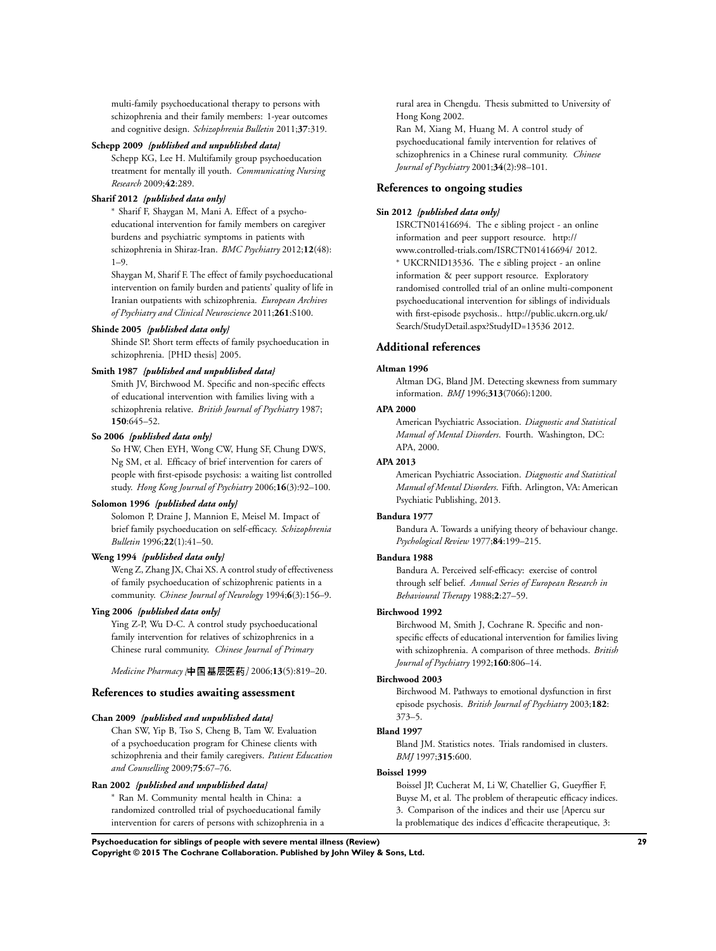multi-family psychoeducational therapy to persons with schizophrenia and their family members: 1-year outcomes and cognitive design. *Schizophrenia Bulletin* 2011;**37**:319.

### **Schepp 2009** *{published and unpublished data}*

Schepp KG, Lee H. Multifamily group psychoeducation treatment for mentally ill youth. *Communicating Nursing Research* 2009;**42**:289.

### **Sharif 2012** *{published data only}*

<sup>∗</sup> Sharif F, Shaygan M, Mani A. Effect of a psychoeducational intervention for family members on caregiver burdens and psychiatric symptoms in patients with schizophrenia in Shiraz-Iran. *BMC Psychiatry* 2012;**12**(48):  $1-9.$ 

Shaygan M, Sharif F. The effect of family psychoeducational intervention on family burden and patients' quality of life in Iranian outpatients with schizophrenia. *European Archives of Psychiatry and Clinical Neuroscience* 2011;**261**:S100.

### **Shinde 2005** *{published data only}*

Shinde SP. Short term effects of family psychoeducation in schizophrenia. [PHD thesis] 2005.

# **Smith 1987** *{published and unpublished data}*

Smith JV, Birchwood M. Specific and non-specific effects of educational intervention with families living with a schizophrenia relative. *British Journal of Psychiatry* 1987; **150**:645–52.

#### **So 2006** *{published data only}*

So HW, Chen EYH, Wong CW, Hung SF, Chung DWS, Ng SM, et al. Efficacy of brief intervention for carers of people with first-episode psychosis: a waiting list controlled study. *Hong Kong Journal of Psychiatry* 2006;**16**(3):92–100.

### **Solomon 1996** *{published data only}*

Solomon P, Draine J, Mannion E, Meisel M. Impact of brief family psychoeducation on self-efficacy. *Schizophrenia Bulletin* 1996;**22**(1):41–50.

### **Weng 1994** *{published data only}*

Weng Z, Zhang JX, Chai XS. A control study of effectiveness of family psychoeducation of schizophrenic patients in a community. *Chinese Journal of Neurology* 1994;**6**(3):156–9.

### **Ying 2006** *{published data only}*

Ying Z-P, Wu D-C. A control study psychoeducational family intervention for relatives of schizophrenics in a Chinese rural community. *Chinese Journal of Primary*

*Medicine Pharmacy* (中国基层医药 / 2006;13(5):819-20.

### **References to studies awaiting assessment**

# **Chan 2009** *{published and unpublished data}*

Chan SW, Yip B, Tso S, Cheng B, Tam W. Evaluation of a psychoeducation program for Chinese clients with schizophrenia and their family caregivers. *Patient Education and Counselling* 2009;**75**:67–76.

### **Ran 2002** *{published and unpublished data}*

<sup>∗</sup> Ran M. Community mental health in China: a randomized controlled trial of psychoeducational family intervention for carers of persons with schizophrenia in a rural area in Chengdu. Thesis submitted to University of Hong Kong 2002.

Ran M, Xiang M, Huang M. A control study of psychoeducational family intervention for relatives of schizophrenics in a Chinese rural community. *Chinese Journal of Psychiatry* 2001;**34**(2):98–101.

# **References to ongoing studies**

### **Sin 2012** *{published data only}*

ISRCTN01416694. The e sibling project - an online information and peer support resource. http:// www.controlled-trials.com/ISRCTN01416694/ 2012. <sup>∗</sup> UKCRNID13536. The e sibling project - an online information & peer support resource. Exploratory randomised controlled trial of an online multi-component psychoeducational intervention for siblings of individuals with first-episode psychosis.. http://public.ukcrn.org.uk/ Search/StudyDetail.aspx?StudyID=13536 2012.

# **Additional references**

### **Altman 1996**

Altman DG, Bland JM. Detecting skewness from summary information. *BMJ* 1996;**313**(7066):1200.

### **APA 2000**

American Psychiatric Association. *Diagnostic and Statistical Manual of Mental Disorders*. Fourth. Washington, DC: APA, 2000.

#### **APA 2013**

American Psychiatric Association. *Diagnostic and Statistical Manual of Mental Disorders*. Fifth. Arlington, VA: American Psychiatic Publishing, 2013.

#### **Bandura 1977**

Bandura A. Towards a unifying theory of behaviour change. *Psychological Review* 1977;**84**:199–215.

# **Bandura 1988**

Bandura A. Perceived self-efficacy: exercise of control through self belief. *Annual Series of European Research in Behavioural Therapy* 1988;**2**:27–59.

### **Birchwood 1992**

Birchwood M, Smith J, Cochrane R. Specific and nonspecific effects of educational intervention for families living with schizophrenia. A comparison of three methods. *British Journal of Psychiatry* 1992;**160**:806–14.

### **Birchwood 2003**

Birchwood M. Pathways to emotional dysfunction in first episode psychosis. *British Journal of Psychiatry* 2003;**182**: 373–5.

#### **Bland 1997**

Bland JM. Statistics notes. Trials randomised in clusters. *BMJ* 1997;**315**:600.

### **Boissel 1999**

Boissel JP, Cucherat M, Li W, Chatellier G, Gueyffier F, Buyse M, et al. The problem of therapeutic efficacy indices. 3. Comparison of the indices and their use [Apercu sur la problematique des indices d'efficacite therapeutique, 3:

**Psychoeducation for siblings of people with severe mental illness (Review) 29**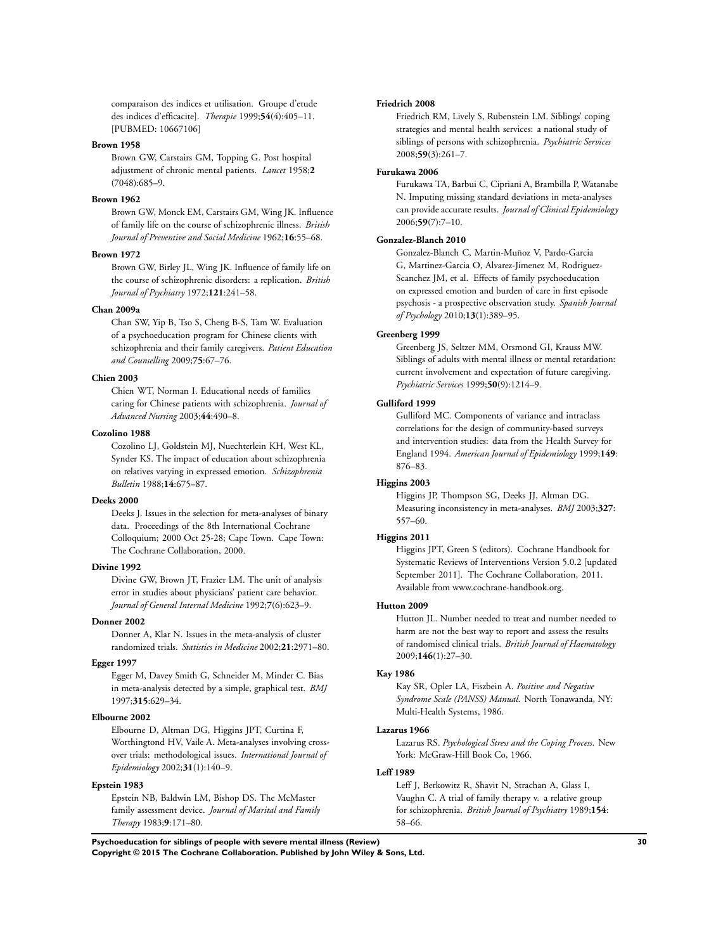comparaison des indices et utilisation. Groupe d'etude des indices d'efficacite]. *Therapie* 1999;**54**(4):405–11. [PUBMED: 10667106]

### **Brown 1958**

Brown GW, Carstairs GM, Topping G. Post hospital adjustment of chronic mental patients. *Lancet* 1958;**2** (7048):685–9.

### **Brown 1962**

Brown GW, Monck EM, Carstairs GM, Wing JK. Influence of family life on the course of schizophrenic illness. *British Journal of Preventive and Social Medicine* 1962;**16**:55–68.

# **Brown 1972**

Brown GW, Birley JL, Wing JK. Influence of family life on the course of schizophrenic disorders: a replication. *British Journal of Psychiatry* 1972;**121**:241–58.

### **Chan 2009a**

Chan SW, Yip B, Tso S, Cheng B-S, Tam W. Evaluation of a psychoeducation program for Chinese clients with schizophrenia and their family caregivers. *Patient Education and Counselling* 2009;**75**:67–76.

### **Chien 2003**

Chien WT, Norman I. Educational needs of families caring for Chinese patients with schizophrenia. *Journal of Advanced Nursing* 2003;**44**:490–8.

### **Cozolino 1988**

Cozolino LJ, Goldstein MJ, Nuechterlein KH, West KL, Synder KS. The impact of education about schizophrenia on relatives varying in expressed emotion. *Schizophrenia Bulletin* 1988;**14**:675–87.

# **Deeks 2000**

Deeks J. Issues in the selection for meta-analyses of binary data. Proceedings of the 8th International Cochrane Colloquium; 2000 Oct 25-28; Cape Town. Cape Town: The Cochrane Collaboration, 2000.

#### **Divine 1992**

Divine GW, Brown JT, Frazier LM. The unit of analysis error in studies about physicians' patient care behavior. *Journal of General Internal Medicine* 1992;**7**(6):623–9.

# **Donner 2002**

Donner A, Klar N. Issues in the meta-analysis of cluster randomized trials. *Statistics in Medicine* 2002;**21**:2971–80.

# **Egger 1997**

Egger M, Davey Smith G, Schneider M, Minder C. Bias in meta-analysis detected by a simple, graphical test. *BMJ* 1997;**315**:629–34.

### **Elbourne 2002**

Elbourne D, Altman DG, Higgins JPT, Curtina F, Worthingtond HV, Vaile A. Meta-analyses involving crossover trials: methodological issues. *International Journal of Epidemiology* 2002;**31**(1):140–9.

# **Epstein 1983**

Epstein NB, Baldwin LM, Bishop DS. The McMaster family assessment device. *Journal of Marital and Family Therapy* 1983;**9**:171–80.

#### **Friedrich 2008**

Friedrich RM, Lively S, Rubenstein LM. Siblings' coping strategies and mental health services: a national study of siblings of persons with schizophrenia. *Psychiatric Services* 2008;**59**(3):261–7.

### **Furukawa 2006**

Furukawa TA, Barbui C, Cipriani A, Brambilla P, Watanabe N. Imputing missing standard deviations in meta-analyses can provide accurate results. *Journal of Clinical Epidemiology* 2006;**59**(7):7–10.

### **Gonzalez-Blanch 2010**

Gonzalez-Blanch C, Martin-Muñoz V, Pardo-Garcia G, Martinez-Garcia O, Alvarez-Jimenez M, Rodriguez-Scanchez JM, et al. Effects of family psychoeducation on expressed emotion and burden of care in first episode psychosis - a prospective observation study. *Spanish Journal of Psychology* 2010;**13**(1):389–95.

### **Greenberg 1999**

Greenberg JS, Seltzer MM, Orsmond GI, Krauss MW. Siblings of adults with mental illness or mental retardation: current involvement and expectation of future caregiving. *Psychiatric Services* 1999;**50**(9):1214–9.

### **Gulliford 1999**

Gulliford MC. Components of variance and intraclass correlations for the design of community-based surveys and intervention studies: data from the Health Survey for England 1994. *American Journal of Epidemiology* 1999;**149**: 876–83.

# **Higgins 2003**

Higgins JP, Thompson SG, Deeks JJ, Altman DG. Measuring inconsistency in meta-analyses. *BMJ* 2003;**327**: 557–60.

### **Higgins 2011**

Higgins JPT, Green S (editors). Cochrane Handbook for Systematic Reviews of Interventions Version 5.0.2 [updated September 2011]. The Cochrane Collaboration, 2011. Available from www.cochrane-handbook.org.

#### **Hutton 2009**

Hutton JL. Number needed to treat and number needed to harm are not the best way to report and assess the results of randomised clinical trials. *British Journal of Haematology* 2009;**146**(1):27–30.

# **Kay 1986**

Kay SR, Opler LA, Fiszbein A. *Positive and Negative Syndrome Scale (PANSS) Manual*. North Tonawanda, NY: Multi-Health Systems, 1986.

#### **Lazarus 1966**

Lazarus RS. *Psychological Stress and the Coping Process*. New York: McGraw-Hill Book Co, 1966.

### **Leff 1989**

Leff J, Berkowitz R, Shavit N, Strachan A, Glass I, Vaughn C. A trial of family therapy v. a relative group for schizophrenia. *British Journal of Psychiatry* 1989;**154**: 58–66.

**Psychoeducation for siblings of people with severe mental illness (Review) 30**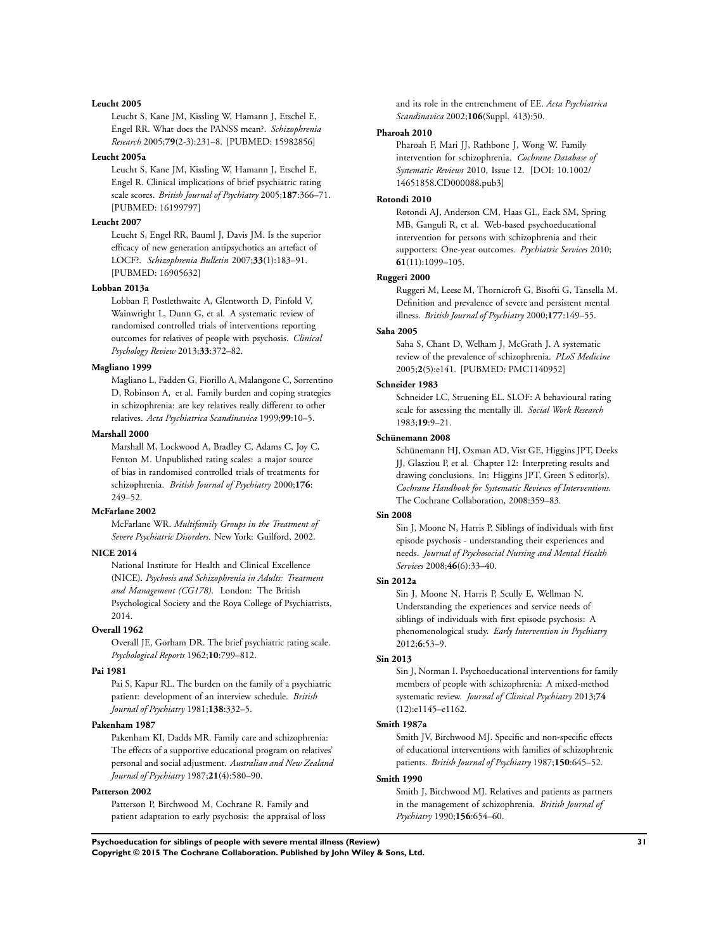### **Leucht 2005**

Leucht S, Kane JM, Kissling W, Hamann J, Etschel E, Engel RR. What does the PANSS mean?. *Schizophrenia Research* 2005;**79**(2-3):231–8. [PUBMED: 15982856]

# **Leucht 2005a**

Leucht S, Kane JM, Kissling W, Hamann J, Etschel E, Engel R. Clinical implications of brief psychiatric rating scale scores. *British Journal of Psychiatry* 2005;**187**:366–71. [PUBMED: 16199797]

### **Leucht 2007**

Leucht S, Engel RR, Bauml J, Davis JM. Is the superior efficacy of new generation antipsychotics an artefact of LOCF?. *Schizophrenia Bulletin* 2007;**33**(1):183–91. [PUBMED: 16905632]

### **Lobban 2013a**

Lobban F, Postlethwaite A, Glentworth D, Pinfold V, Wainwright L, Dunn G, et al. A systematic review of randomised controlled trials of interventions reporting outcomes for relatives of people with psychosis. *Clinical Psychology Review* 2013;**33**:372–82.

### **Magliano 1999**

Magliano L, Fadden G, Fiorillo A, Malangone C, Sorrentino D, Robinson A, et al. Family burden and coping strategies in schizophrenia: are key relatives really different to other relatives. *Acta Psychiatrica Scandinavica* 1999;**99**:10–5.

### **Marshall 2000**

Marshall M, Lockwood A, Bradley C, Adams C, Joy C, Fenton M. Unpublished rating scales: a major source of bias in randomised controlled trials of treatments for schizophrenia. *British Journal of Psychiatry* 2000;**176**: 249–52.

### **McFarlane 2002**

McFarlane WR. *Multifamily Groups in the Treatment of Severe Psychiatric Disorders*. New York: Guilford, 2002.

### **NICE 2014**

National Institute for Health and Clinical Excellence (NICE). *Psychosis and Schizophrenia in Adults: Treatment and Management (CG178)*. London: The British Psychological Society and the Roya College of Psychiatrists, 2014.

#### **Overall 1962**

Overall JE, Gorham DR. The brief psychiatric rating scale. *Psychological Reports* 1962;**10**:799–812.

# **Pai 1981**

Pai S, Kapur RL. The burden on the family of a psychiatric patient: development of an interview schedule. *British Journal of Psychiatry* 1981;**138**:332–5.

# **Pakenham 1987**

Pakenham KI, Dadds MR. Family care and schizophrenia: The effects of a supportive educational program on relatives' personal and social adjustment. *Australian and New Zealand Journal of Psychiatry* 1987;**21**(4):580–90.

# **Patterson 2002**

Patterson P, Birchwood M, Cochrane R. Family and patient adaptation to early psychosis: the appraisal of loss and its role in the entrenchment of EE. *Acta Psychiatrica Scandinavica* 2002;**106**(Suppl. 413):50.

### **Pharoah 2010**

Pharoah F, Mari JJ, Rathbone J, Wong W. Family intervention for schizophrenia. *Cochrane Database of Systematic Reviews* 2010, Issue 12. [DOI: 10.1002/ 14651858.CD000088.pub3]

### **Rotondi 2010**

Rotondi AJ, Anderson CM, Haas GL, Eack SM, Spring MB, Ganguli R, et al. Web-based psychoeducational intervention for persons with schizophrenia and their supporters: One-year outcomes. *Psychiatric Services* 2010; **61**(11):1099–105.

# **Ruggeri 2000**

Ruggeri M, Leese M, Thornicroft G, Bisofti G, Tansella M. Definition and prevalence of severe and persistent mental illness. *British Journal of Psychiatry* 2000;**177**:149–55.

#### **Saha 2005**

Saha S, Chant D, Welham J, McGrath J. A systematic review of the prevalence of schizophrenia. *PLoS Medicine* 2005;**2**(5):e141. [PUBMED: PMC1140952]

### **Schneider 1983**

Schneider LC, Struening EL. SLOF: A behavioural rating scale for assessing the mentally ill. *Social Work Research* 1983;**19**:9–21.

### **Schünemann 2008**

Schünemann HJ, Oxman AD, Vist GE, Higgins JPT, Deeks JJ, Glasziou P, et al. Chapter 12: Interpreting results and drawing conclusions. In: Higgins JPT, Green S editor(s). *Cochrane Handbook for Systematic Reviews of Interventions*. The Cochrane Collaboration, 2008:359–83.

# **Sin 2008**

Sin J, Moone N, Harris P. Siblings of individuals with first episode psychosis - understanding their experiences and needs. *Journal of Psychosocial Nursing and Mental Health Services* 2008;**46**(6):33–40.

### **Sin 2012a**

Sin J, Moone N, Harris P, Scully E, Wellman N. Understanding the experiences and service needs of siblings of individuals with first episode psychosis: A phenomenological study. *Early Intervention in Psychiatry* 2012;**6**:53–9.

### **Sin 2013**

Sin J, Norman I. Psychoeducational interventions for family members of people with schizophrenia: A mixed-method systematic review. *Journal of Clinical Psychiatry* 2013;**74** (12):e1145–e1162.

### **Smith 1987a**

Smith JV, Birchwood MJ. Specific and non-specific effects of educational interventions with families of schizophrenic patients. *British Journal of Psychiatry* 1987;**150**:645–52.

### **Smith 1990**

Smith J, Birchwood MJ. Relatives and patients as partners in the management of schizophrenia. *British Journal of Psychiatry* 1990;**156**:654–60.

**Psychoeducation for siblings of people with severe mental illness (Review) 31 Copyright © 2015 The Cochrane Collaboration. Published by John Wiley & Sons, Ltd.**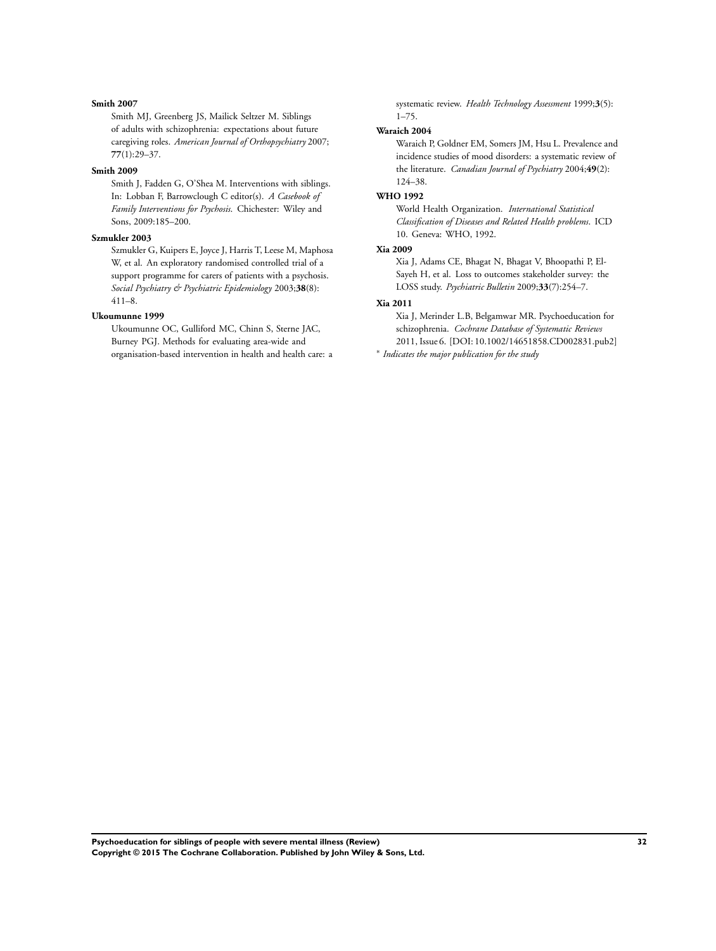### **Smith 2007**

Smith MJ, Greenberg JS, Mailick Seltzer M. Siblings of adults with schizophrenia: expectations about future caregiving roles. *American Journal of Orthopsychiatry* 2007; **77**(1):29–37.

#### **Smith 2009**

Smith J, Fadden G, O'Shea M. Interventions with siblings. In: Lobban F, Barrowclough C editor(s). *A Casebook of Family Interventions for Psychosis*. Chichester: Wiley and Sons, 2009:185–200.

### **Szmukler 2003**

Szmukler G, Kuipers E, Joyce J, Harris T, Leese M, Maphosa W, et al. An exploratory randomised controlled trial of a support programme for carers of patients with a psychosis. *Social Psychiatry & Psychiatric Epidemiology* 2003;**38**(8): 411–8.

### **Ukoumunne 1999**

Ukoumunne OC, Gulliford MC, Chinn S, Sterne JAC, Burney PGJ. Methods for evaluating area-wide and organisation-based intervention in health and health care: a systematic review. *Health Technology Assessment* 1999;**3**(5): 1–75.

### **Waraich 2004**

Waraich P, Goldner EM, Somers JM, Hsu L. Prevalence and incidence studies of mood disorders: a systematic review of the literature. *Canadian Journal of Psychiatry* 2004;**49**(2): 124–38.

# **WHO 1992**

World Health Organization. *International Statistical Classification of Diseases and Related Health problems*. ICD 10. Geneva: WHO, 1992.

### **Xia 2009**

Xia J, Adams CE, Bhagat N, Bhagat V, Bhoopathi P, El-Sayeh H, et al. Loss to outcomes stakeholder survey: the LOSS study. *Psychiatric Bulletin* 2009;**33**(7):254–7.

#### **Xia 2011**

Xia J, Merinder L.B, Belgamwar MR. Psychoeducation for schizophrenia. *Cochrane Database of Systematic Reviews* 2011, Issue 6. [DOI: 10.1002/14651858.CD002831.pub2]

∗ *Indicates the major publication for the study*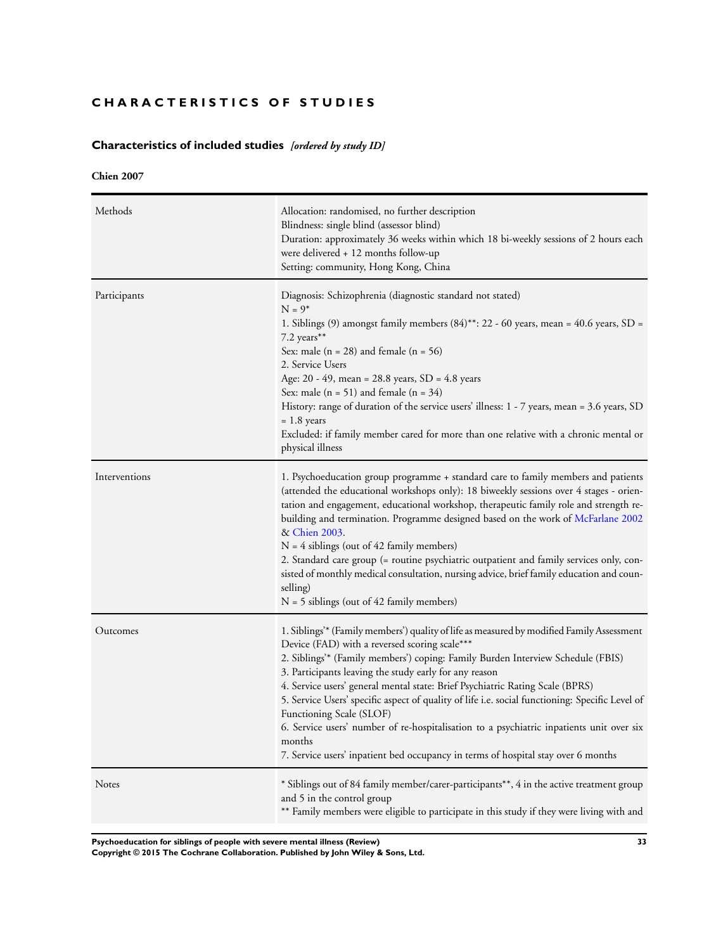# <span id="page-34-0"></span>**CHARACTERISTICS OF STUDIES**

# **Characteristics of included studies** *[ordered by study ID]*

**Chien 2007**

| Methods       | Allocation: randomised, no further description<br>Blindness: single blind (assessor blind)<br>Duration: approximately 36 weeks within which 18 bi-weekly sessions of 2 hours each<br>were delivered + 12 months follow-up<br>Setting: community, Hong Kong, China                                                                                                                                                                                                                                                                                                                                                                                                                                  |
|---------------|----------------------------------------------------------------------------------------------------------------------------------------------------------------------------------------------------------------------------------------------------------------------------------------------------------------------------------------------------------------------------------------------------------------------------------------------------------------------------------------------------------------------------------------------------------------------------------------------------------------------------------------------------------------------------------------------------|
| Participants  | Diagnosis: Schizophrenia (diagnostic standard not stated)<br>$N = 9^*$<br>1. Siblings (9) amongst family members $(84)$ **: 22 - 60 years, mean = 40.6 years, SD =<br>7.2 years**<br>Sex: male ( $n = 28$ ) and female ( $n = 56$ )<br>2. Service Users<br>Age: 20 - 49, mean = 28.8 years, $SD = 4.8$ years<br>Sex: male ( $n = 51$ ) and female ( $n = 34$ )<br>History: range of duration of the service users' illness: 1 - 7 years, mean = 3.6 years, SD<br>$= 1.8$ years<br>Excluded: if family member cared for more than one relative with a chronic mental or<br>physical illness                                                                                                         |
| Interventions | 1. Psychoeducation group programme + standard care to family members and patients<br>(attended the educational workshops only): 18 biweekly sessions over 4 stages - orien-<br>tation and engagement, educational workshop, therapeutic family role and strength re-<br>building and termination. Programme designed based on the work of McFarlane 2002<br>& Chien 2003.<br>$N = 4$ siblings (out of 42 family members)<br>2. Standard care group (= routine psychiatric outpatient and family services only, con-<br>sisted of monthly medical consultation, nursing advice, brief family education and coun-<br>selling)<br>$N = 5$ siblings (out of 42 family members)                         |
| Outcomes      | 1. Siblings'* (Family members') quality of life as measured by modified Family Assessment<br>Device (FAD) with a reversed scoring scale***<br>2. Siblings'* (Family members') coping: Family Burden Interview Schedule (FBIS)<br>3. Participants leaving the study early for any reason<br>4. Service users' general mental state: Brief Psychiatric Rating Scale (BPRS)<br>5. Service Users' specific aspect of quality of life i.e. social functioning: Specific Level of<br>Functioning Scale (SLOF)<br>6. Service users' number of re-hospitalisation to a psychiatric inpatients unit over six<br>months<br>7. Service users' inpatient bed occupancy in terms of hospital stay over 6 months |
| Notes         | * Siblings out of 84 family member/carer-participants**, 4 in the active treatment group<br>and 5 in the control group<br>** Family members were eligible to participate in this study if they were living with and                                                                                                                                                                                                                                                                                                                                                                                                                                                                                |

**Psychoeducation for siblings of people with severe mental illness (Review) 33**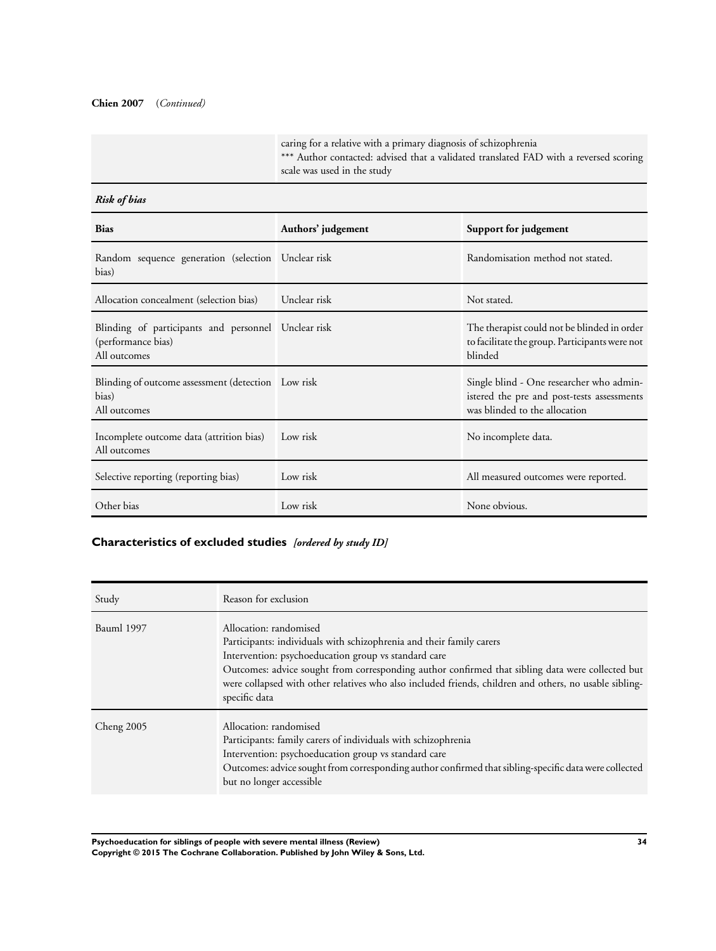caring for a relative with a primary diagnosis of schizophrenia \*\*\* Author contacted: advised that a validated translated FAD with a reversed scoring scale was used in the study

# <span id="page-35-0"></span>*Risk of bias*

| <b>Bias</b>                                                                               | Authors' judgement | Support for judgement                                                                                                   |
|-------------------------------------------------------------------------------------------|--------------------|-------------------------------------------------------------------------------------------------------------------------|
| Random sequence generation (selection Unclear risk<br>bias)                               |                    | Randomisation method not stated.                                                                                        |
| Allocation concealment (selection bias)                                                   | Unclear risk       | Not stated.                                                                                                             |
| Blinding of participants and personnel Unclear risk<br>(performance bias)<br>All outcomes |                    | The therapist could not be blinded in order<br>to facilitate the group. Participants were not<br>blinded                |
| Blinding of outcome assessment (detection Low risk<br>bias)<br>All outcomes               |                    | Single blind - One researcher who admin-<br>istered the pre and post-tests assessments<br>was blinded to the allocation |
| Incomplete outcome data (attrition bias)<br>All outcomes                                  | Low risk           | No incomplete data.                                                                                                     |
| Selective reporting (reporting bias)                                                      | Low risk           | All measured outcomes were reported.                                                                                    |
| Other bias                                                                                | Low risk           | None obvious.                                                                                                           |

# **Characteristics of excluded studies** *[ordered by study ID]*

| Study      | Reason for exclusion                                                                                                                                                                                                                                                                                                                                                                  |
|------------|---------------------------------------------------------------------------------------------------------------------------------------------------------------------------------------------------------------------------------------------------------------------------------------------------------------------------------------------------------------------------------------|
| Bauml 1997 | Allocation: randomised<br>Participants: individuals with schizophrenia and their family carers<br>Intervention: psychoeducation group vs standard care<br>Outcomes: advice sought from corresponding author confirmed that sibling data were collected but<br>were collapsed with other relatives who also included friends, children and others, no usable sibling-<br>specific data |
| Cheng 2005 | Allocation: randomised<br>Participants: family carers of individuals with schizophrenia<br>Intervention: psychoeducation group vs standard care<br>Outcomes: advice sought from corresponding author confirmed that sibling-specific data were collected<br>but no longer accessible                                                                                                  |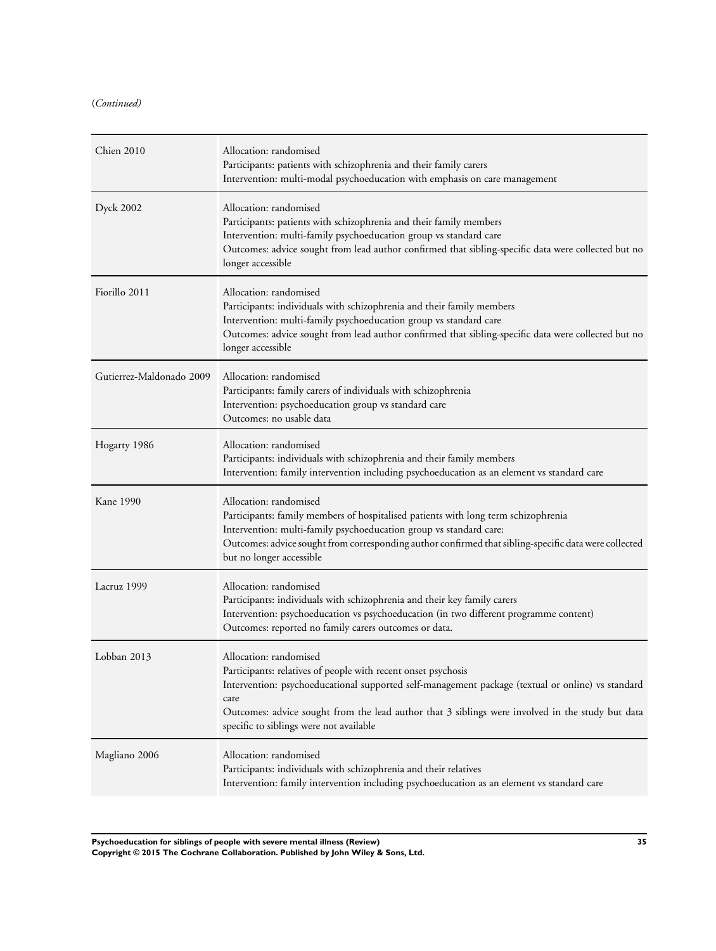(*Continued)*

| Chien 2010               | Allocation: randomised<br>Participants: patients with schizophrenia and their family carers<br>Intervention: multi-modal psychoeducation with emphasis on care management                                                                                                                                                                           |
|--------------------------|-----------------------------------------------------------------------------------------------------------------------------------------------------------------------------------------------------------------------------------------------------------------------------------------------------------------------------------------------------|
| <b>Dyck 2002</b>         | Allocation: randomised<br>Participants: patients with schizophrenia and their family members<br>Intervention: multi-family psychoeducation group vs standard care<br>Outcomes: advice sought from lead author confirmed that sibling-specific data were collected but no<br>longer accessible                                                       |
| Fiorillo 2011            | Allocation: randomised<br>Participants: individuals with schizophrenia and their family members<br>Intervention: multi-family psychoeducation group vs standard care<br>Outcomes: advice sought from lead author confirmed that sibling-specific data were collected but no<br>longer accessible                                                    |
| Gutierrez-Maldonado 2009 | Allocation: randomised<br>Participants: family carers of individuals with schizophrenia<br>Intervention: psychoeducation group vs standard care<br>Outcomes: no usable data                                                                                                                                                                         |
| Hogarty 1986             | Allocation: randomised<br>Participants: individuals with schizophrenia and their family members<br>Intervention: family intervention including psychoeducation as an element vs standard care                                                                                                                                                       |
| <b>Kane 1990</b>         | Allocation: randomised<br>Participants: family members of hospitalised patients with long term schizophrenia<br>Intervention: multi-family psychoeducation group vs standard care:<br>Outcomes: advice sought from corresponding author confirmed that sibling-specific data were collected<br>but no longer accessible                             |
| Lacruz 1999              | Allocation: randomised<br>Participants: individuals with schizophrenia and their key family carers<br>Intervention: psychoeducation vs psychoeducation (in two different programme content)<br>Outcomes: reported no family carers outcomes or data.                                                                                                |
| Lobban 2013              | Allocation: randomised<br>Participants: relatives of people with recent onset psychosis<br>Intervention: psychoeducational supported self-management package (textual or online) vs standard<br>care<br>Outcomes: advice sought from the lead author that 3 siblings were involved in the study but data<br>specific to siblings were not available |
| Magliano 2006            | Allocation: randomised<br>Participants: individuals with schizophrenia and their relatives<br>Intervention: family intervention including psychoeducation as an element vs standard care                                                                                                                                                            |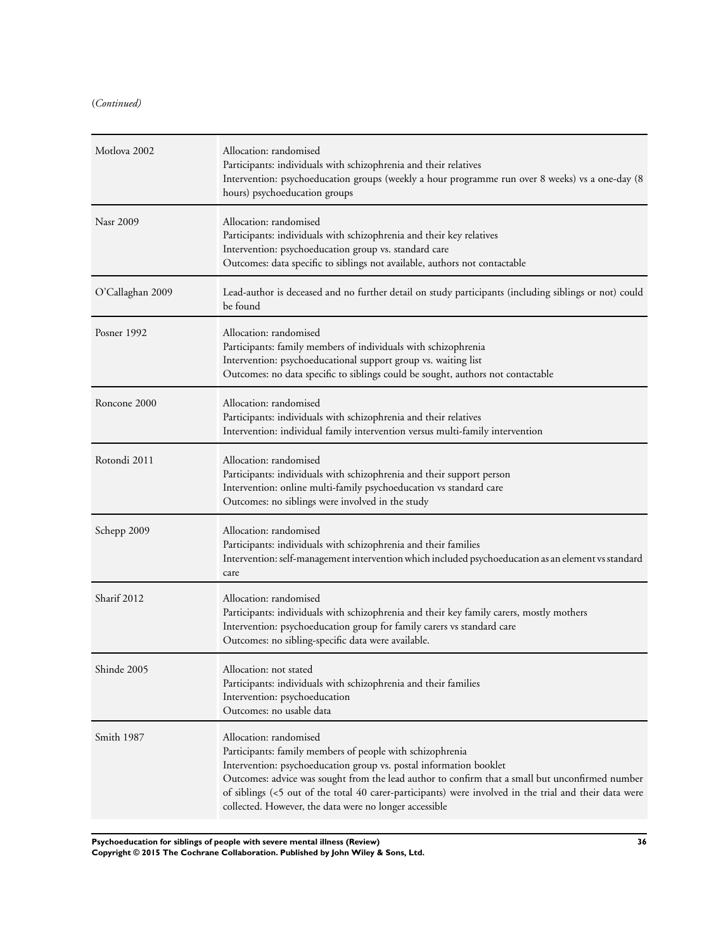(*Continued)*

| Motlova 2002     | Allocation: randomised<br>Participants: individuals with schizophrenia and their relatives<br>Intervention: psychoeducation groups (weekly a hour programme run over 8 weeks) vs a one-day (8<br>hours) psychoeducation groups                                                                                                                                                                                                   |
|------------------|----------------------------------------------------------------------------------------------------------------------------------------------------------------------------------------------------------------------------------------------------------------------------------------------------------------------------------------------------------------------------------------------------------------------------------|
| Nasr 2009        | Allocation: randomised<br>Participants: individuals with schizophrenia and their key relatives<br>Intervention: psychoeducation group vs. standard care<br>Outcomes: data specific to siblings not available, authors not contactable                                                                                                                                                                                            |
| O'Callaghan 2009 | Lead-author is deceased and no further detail on study participants (including siblings or not) could<br>be found                                                                                                                                                                                                                                                                                                                |
| Posner 1992      | Allocation: randomised<br>Participants: family members of individuals with schizophrenia<br>Intervention: psychoeducational support group vs. waiting list<br>Outcomes: no data specific to siblings could be sought, authors not contactable                                                                                                                                                                                    |
| Roncone 2000     | Allocation: randomised<br>Participants: individuals with schizophrenia and their relatives<br>Intervention: individual family intervention versus multi-family intervention                                                                                                                                                                                                                                                      |
| Rotondi 2011     | Allocation: randomised<br>Participants: individuals with schizophrenia and their support person<br>Intervention: online multi-family psychoeducation vs standard care<br>Outcomes: no siblings were involved in the study                                                                                                                                                                                                        |
| Schepp 2009      | Allocation: randomised<br>Participants: individuals with schizophrenia and their families<br>Intervention: self-management intervention which included psychoeducation as an element vs standard<br>care                                                                                                                                                                                                                         |
| Sharif 2012      | Allocation: randomised<br>Participants: individuals with schizophrenia and their key family carers, mostly mothers<br>Intervention: psychoeducation group for family carers vs standard care<br>Outcomes: no sibling-specific data were available.                                                                                                                                                                               |
| Shinde 2005      | Allocation: not stated<br>Participants: individuals with schizophrenia and their families<br>Intervention: psychoeducation<br>Outcomes: no usable data                                                                                                                                                                                                                                                                           |
| Smith 1987       | Allocation: randomised<br>Participants: family members of people with schizophrenia<br>Intervention: psychoeducation group vs. postal information booklet<br>Outcomes: advice was sought from the lead author to confirm that a small but unconfirmed number<br>of siblings (<5 out of the total 40 carer-participants) were involved in the trial and their data were<br>collected. However, the data were no longer accessible |

**Psychoeducation for siblings of people with severe mental illness (Review) 36 Copyright © 2015 The Cochrane Collaboration. Published by John Wiley & Sons, Ltd.**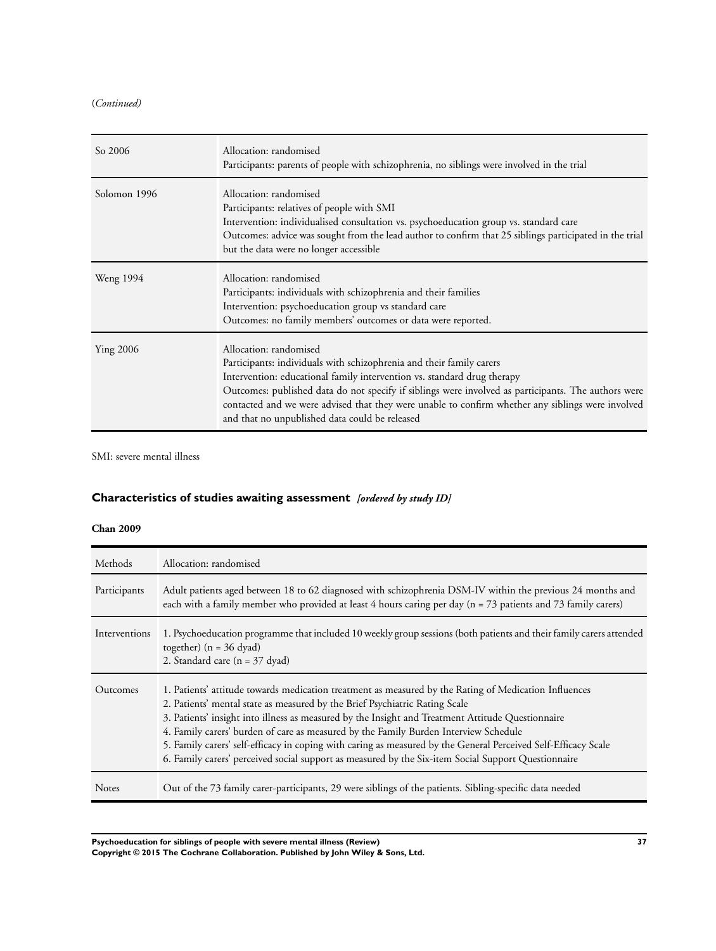<span id="page-38-0"></span>(*Continued)*

| So $2006$    | Allocation: randomised<br>Participants: parents of people with schizophrenia, no siblings were involved in the trial                                                                                                                                                                                                                                                                                                                    |
|--------------|-----------------------------------------------------------------------------------------------------------------------------------------------------------------------------------------------------------------------------------------------------------------------------------------------------------------------------------------------------------------------------------------------------------------------------------------|
| Solomon 1996 | Allocation: randomised<br>Participants: relatives of people with SMI<br>Intervention: individualised consultation vs. psychoeducation group vs. standard care<br>Outcomes: advice was sought from the lead author to confirm that 25 siblings participated in the trial<br>but the data were no longer accessible                                                                                                                       |
| Weng 1994    | Allocation: randomised<br>Participants: individuals with schizophrenia and their families<br>Intervention: psychoeducation group vs standard care<br>Outcomes: no family members' outcomes or data were reported.                                                                                                                                                                                                                       |
| Ying 2006    | Allocation: randomised<br>Participants: individuals with schizophrenia and their family carers<br>Intervention: educational family intervention vs. standard drug therapy<br>Outcomes: published data do not specify if siblings were involved as participants. The authors were<br>contacted and we were advised that they were unable to confirm whether any siblings were involved<br>and that no unpublished data could be released |

SMI: severe mental illness

# **Characteristics of studies awaiting assessment** *[ordered by study ID]*

# **Chan 2009**

| Methods       | Allocation: randomised                                                                                                                                                                                                                                                                                                                                                                                                                                                                                                                                                                                     |
|---------------|------------------------------------------------------------------------------------------------------------------------------------------------------------------------------------------------------------------------------------------------------------------------------------------------------------------------------------------------------------------------------------------------------------------------------------------------------------------------------------------------------------------------------------------------------------------------------------------------------------|
| Participants  | Adult patients aged between 18 to 62 diagnosed with schizophrenia DSM-IV within the previous 24 months and<br>each with a family member who provided at least 4 hours caring per day ( $n = 73$ patients and 73 family carers)                                                                                                                                                                                                                                                                                                                                                                             |
| Interventions | 1. Psychoeducation programme that included 10 weekly group sessions (both patients and their family carers attended<br>together) $(n = 36 \text{ dyad})$<br>2. Standard care ( $n = 37$ dyad)                                                                                                                                                                                                                                                                                                                                                                                                              |
| Outcomes      | 1. Patients' attitude towards medication treatment as measured by the Rating of Medication Influences<br>2. Patients' mental state as measured by the Brief Psychiatric Rating Scale<br>3. Patients' insight into illness as measured by the Insight and Treatment Attitude Questionnaire<br>4. Family carers' burden of care as measured by the Family Burden Interview Schedule<br>5. Family carers' self-efficacy in coping with caring as measured by the General Perceived Self-Efficacy Scale<br>6. Family carers' perceived social support as measured by the Six-item Social Support Questionnaire |
| <b>Notes</b>  | Out of the 73 family carer-participants, 29 were siblings of the patients. Sibling-specific data needed                                                                                                                                                                                                                                                                                                                                                                                                                                                                                                    |

**Psychoeducation for siblings of people with severe mental illness (Review) 37 Copyright © 2015 The Cochrane Collaboration. Published by John Wiley & Sons, Ltd.**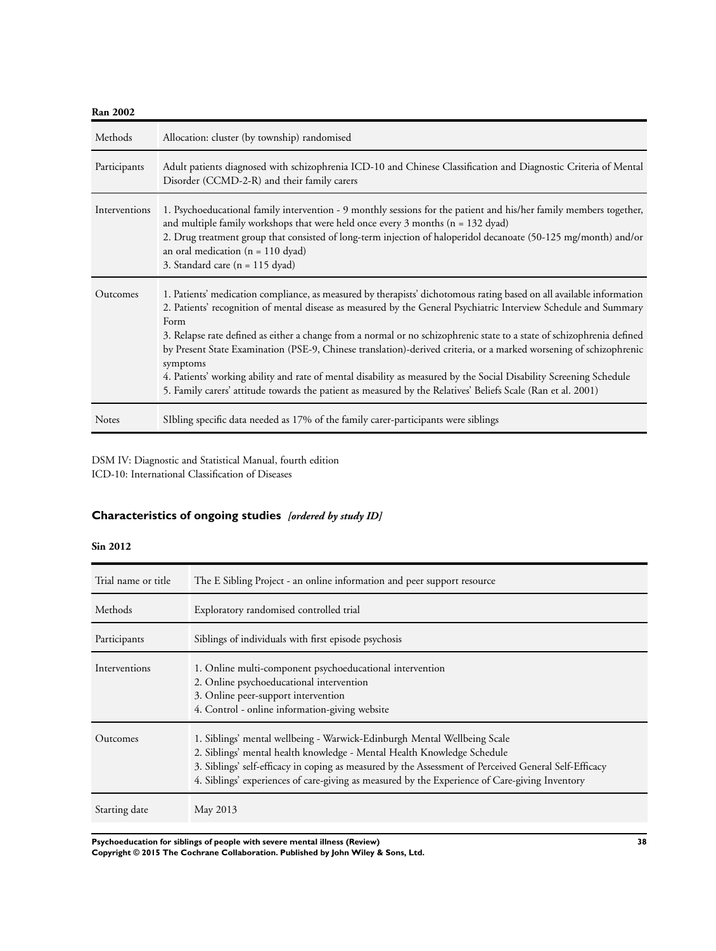<span id="page-39-0"></span>

| <b>Ran 2002</b> |                                                                                                                                                                                                                                                                                                                                                                                                                                                                                                                                                                                                                                                                                                                                                    |
|-----------------|----------------------------------------------------------------------------------------------------------------------------------------------------------------------------------------------------------------------------------------------------------------------------------------------------------------------------------------------------------------------------------------------------------------------------------------------------------------------------------------------------------------------------------------------------------------------------------------------------------------------------------------------------------------------------------------------------------------------------------------------------|
| Methods         | Allocation: cluster (by township) randomised                                                                                                                                                                                                                                                                                                                                                                                                                                                                                                                                                                                                                                                                                                       |
| Participants    | Adult patients diagnosed with schizophrenia ICD-10 and Chinese Classification and Diagnostic Criteria of Mental<br>Disorder (CCMD-2-R) and their family carers                                                                                                                                                                                                                                                                                                                                                                                                                                                                                                                                                                                     |
| Interventions   | 1. Psychoeducational family intervention - 9 monthly sessions for the patient and his/her family members together,<br>and multiple family workshops that were held once every $3$ months ( $n = 132$ dyad)<br>2. Drug treatment group that consisted of long-term injection of haloperidol decanoate (50-125 mg/month) and/or<br>an oral medication ( $n = 110$ dyad)<br>3. Standard care $(n = 115 \text{ dyad})$                                                                                                                                                                                                                                                                                                                                 |
| Outcomes        | 1. Patients' medication compliance, as measured by therapists' dichotomous rating based on all available information<br>2. Patients' recognition of mental disease as measured by the General Psychiatric Interview Schedule and Summary<br>Form<br>3. Relapse rate defined as either a change from a normal or no schizophrenic state to a state of schizophrenia defined<br>by Present State Examination (PSE-9, Chinese translation)-derived criteria, or a marked worsening of schizophrenic<br>symptoms<br>4. Patients' working ability and rate of mental disability as measured by the Social Disability Screening Schedule<br>5. Family carers' attitude towards the patient as measured by the Relatives' Beliefs Scale (Ran et al. 2001) |
| <b>Notes</b>    | SIbling specific data needed as 17% of the family carer-participants were siblings                                                                                                                                                                                                                                                                                                                                                                                                                                                                                                                                                                                                                                                                 |

DSM IV: Diagnostic and Statistical Manual, fourth edition ICD-10: International Classification of Diseases

# **Characteristics of ongoing studies** *[ordered by study ID]*

| Sin 2012            |                                                                                                                                                                                                                                                                                                                                                                |
|---------------------|----------------------------------------------------------------------------------------------------------------------------------------------------------------------------------------------------------------------------------------------------------------------------------------------------------------------------------------------------------------|
| Trial name or title | The E Sibling Project - an online information and peer support resource                                                                                                                                                                                                                                                                                        |
| Methods             | Exploratory randomised controlled trial                                                                                                                                                                                                                                                                                                                        |
| Participants        | Siblings of individuals with first episode psychosis                                                                                                                                                                                                                                                                                                           |
| Interventions       | 1. Online multi-component psychoeducational intervention<br>2. Online psychoeducational intervention<br>3. Online peer-support intervention<br>4. Control - online information-giving website                                                                                                                                                                  |
| Outcomes            | 1. Siblings' mental wellbeing - Warwick-Edinburgh Mental Wellbeing Scale<br>2. Siblings' mental health knowledge - Mental Health Knowledge Schedule<br>3. Siblings' self-efficacy in coping as measured by the Assessment of Perceived General Self-Efficacy<br>4. Siblings' experiences of care-giving as measured by the Experience of Care-giving Inventory |
| Starting date       | May 2013                                                                                                                                                                                                                                                                                                                                                       |

**Psychoeducation for siblings of people with severe mental illness (Review) 38 Copyright © 2015 The Cochrane Collaboration. Published by John Wiley & Sons, Ltd.**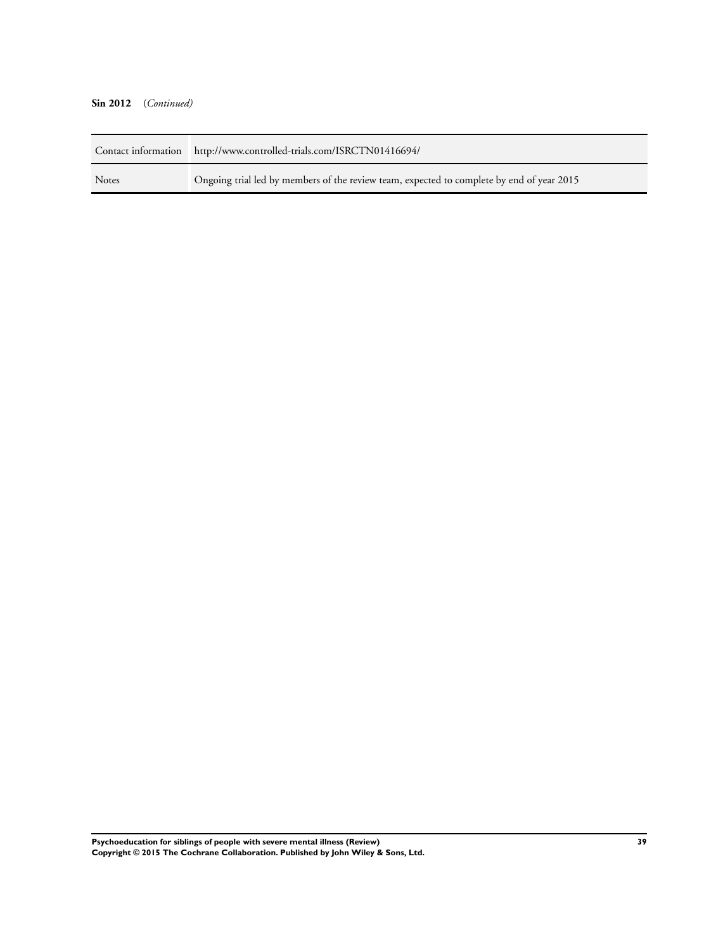# **Sin 2012** (*Continued)*

|              | Contact information http://www.controlled-trials.com/ISRCTN01416694/                      |
|--------------|-------------------------------------------------------------------------------------------|
| <b>Notes</b> | Ongoing trial led by members of the review team, expected to complete by end of year 2015 |

**Psychoeducation for siblings of people with severe mental illness (Review) 39 Copyright © 2015 The Cochrane Collaboration. Published by John Wiley & Sons, Ltd.**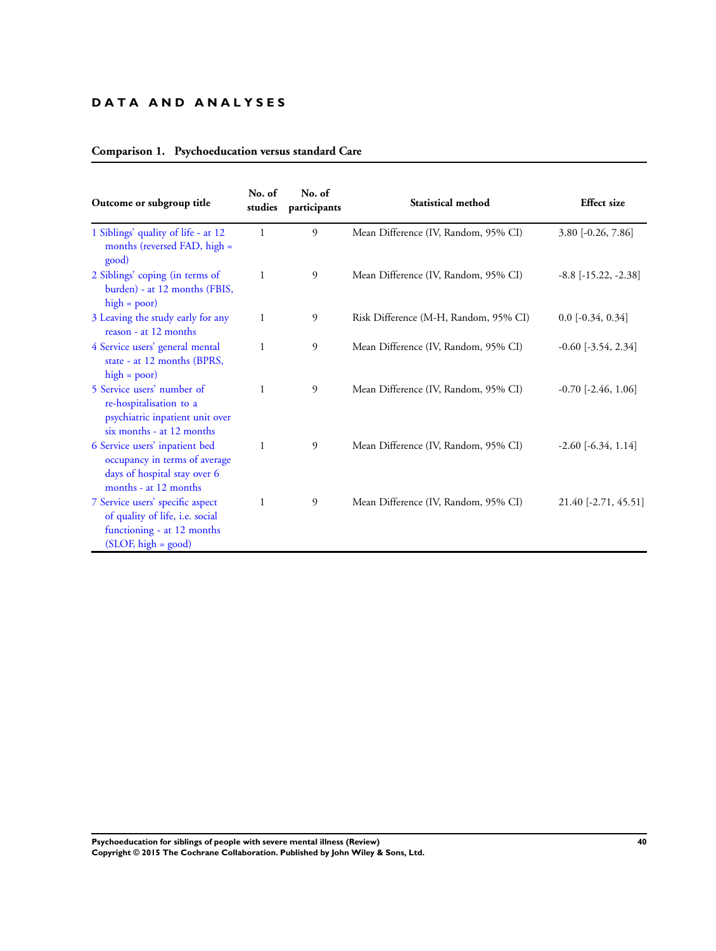# **D A T A A N D A N A L Y S E S**

# **Comparison 1. Psychoeducation versus standard Care**

| Outcome or subgroup title                                                                                                | No. of<br>studies | No. of<br>participants | Statistical method                    | <b>Effect</b> size            |
|--------------------------------------------------------------------------------------------------------------------------|-------------------|------------------------|---------------------------------------|-------------------------------|
| 1 Siblings' quality of life - at 12<br>months (reversed FAD, high =<br>good)                                             | $\mathbf{1}$      | 9                      | Mean Difference (IV, Random, 95% CI)  | $3.80$ [-0.26, 7.86]          |
| 2 Siblings' coping (in terms of<br>burden) - at 12 months (FBIS,<br>$high = poor$                                        | 1                 | 9                      | Mean Difference (IV, Random, 95% CI)  | $-8.8$ [ $-15.22$ , $-2.38$ ] |
| 3 Leaving the study early for any<br>reason - at 12 months                                                               | 1                 | 9                      | Risk Difference (M-H, Random, 95% CI) | $0.0$ [-0.34, 0.34]           |
| 4 Service users' general mental<br>state - at 12 months (BPRS,<br>$high = poor$ )                                        | 1                 | 9                      | Mean Difference (IV, Random, 95% CI)  | $-0.60$ [ $-3.54$ , 2.34]     |
| 5 Service users' number of<br>re-hospitalisation to a<br>psychiatric inpatient unit over<br>six months - at 12 months    | $\mathbf{1}$      | 9                      | Mean Difference (IV, Random, 95% CI)  | $-0.70$ [ $-2.46$ , 1.06]     |
| 6 Service users' inpatient bed<br>occupancy in terms of average<br>days of hospital stay over 6<br>months - at 12 months | $\mathbf{1}$      | 9                      | Mean Difference (IV, Random, 95% CI)  | $-2.60$ [ $-6.34$ , 1.14]     |
| 7 Service users' specific aspect<br>of quality of life, i.e. social<br>functioning - at 12 months<br>(SLOF, high = good) | $\mathbf{1}$      | 9                      | Mean Difference (IV, Random, 95% CI)  | 21.40 [-2.71, 45.51]          |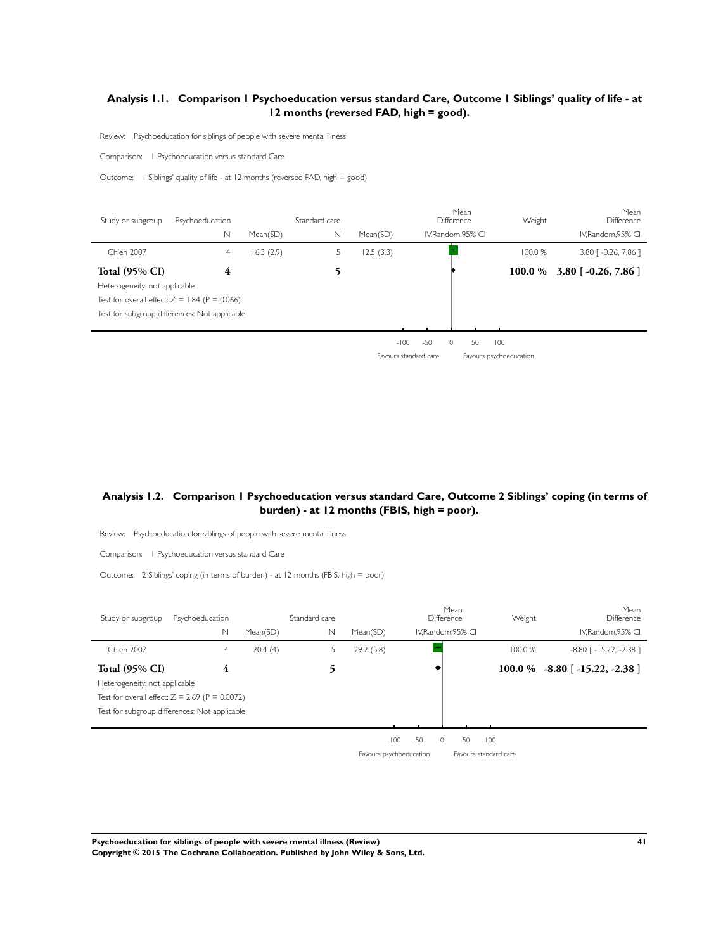# <span id="page-42-0"></span>**Analysis 1.1. Comparison 1 Psychoeducation versus standard Care, Outcome 1 Siblings' quality of life - at 12 months (reversed FAD, high = good).**

Review: Psychoeducation for siblings of people with severe mental illness

Comparison: 1 Psychoeducation versus standard Care

Outcome: 1 Siblings' quality of life - at 12 months (reversed FAD, high = good)

| Study or subgroup             | Psychoeducation                                 |           | Standard care |           |                       |       | Difference | Mean               |     | Weight                  | Mean<br>Difference                 |
|-------------------------------|-------------------------------------------------|-----------|---------------|-----------|-----------------------|-------|------------|--------------------|-----|-------------------------|------------------------------------|
|                               | N                                               | Mean(SD)  | N             | Mean(SD)  |                       |       |            | IV, Random, 95% CI |     |                         | IV, Random, 95% CI                 |
| Chien 2007                    | 4                                               | 16.3(2.9) | 5             | 12.5(3.3) |                       |       |            |                    |     | 100.0 %                 | $3.80$ $\lceil -0.26, 7.86 \rceil$ |
| <b>Total (95% CI)</b>         | 4                                               |           | 5             |           |                       |       |            |                    |     | 100.0 %                 | $3.80$ [ -0.26, 7.86 ]             |
| Heterogeneity: not applicable |                                                 |           |               |           |                       |       |            |                    |     |                         |                                    |
|                               | Test for overall effect: $Z = 1.84$ (P = 0.066) |           |               |           |                       |       |            |                    |     |                         |                                    |
|                               | Test for subgroup differences: Not applicable   |           |               |           |                       |       |            |                    |     |                         |                                    |
|                               |                                                 |           |               |           |                       |       |            |                    |     |                         |                                    |
|                               |                                                 |           |               |           | $-100$                | $-50$ | $\circ$    | 50                 | 100 |                         |                                    |
|                               |                                                 |           |               |           | Favours standard care |       |            |                    |     | Favours psychoeducation |                                    |

# **Analysis 1.2. Comparison 1 Psychoeducation versus standard Care, Outcome 2 Siblings' coping (in terms of burden) - at 12 months (FBIS, high = poor).**

Review: Psychoeducation for siblings of people with severe mental illness

Comparison: 1 Psychoeducation versus standard Care

Outcome: 2 Siblings' coping (in terms of burden) - at 12 months (FBIS, high = poor)

| Study or subgroup                                | Psychoeducation |          | Standard care |                         |       | Mean<br>Difference | Weight                | Mean<br>Difference              |
|--------------------------------------------------|-----------------|----------|---------------|-------------------------|-------|--------------------|-----------------------|---------------------------------|
|                                                  | N               | Mean(SD) | Ν             | Mean(SD)                |       | IV.Random.95% CI   |                       | IV.Random.95% CI                |
| <b>Chien 2007</b>                                | 4               | 20.4(4)  | 5.            | 29.2(5.8)               |       |                    | 100.0%                | $-8.80$ [ $-15.22$ , $-2.38$ ]  |
| <b>Total (95% CI)</b>                            | 4               |          |               |                         |       |                    |                       | $100.0\%$ -8.80 [-15.22, -2.38] |
| Heterogeneity: not applicable                    |                 |          |               |                         |       |                    |                       |                                 |
| Test for overall effect: $Z = 2.69$ (P = 0.0072) |                 |          |               |                         |       |                    |                       |                                 |
| Test for subgroup differences: Not applicable    |                 |          |               |                         |       |                    |                       |                                 |
|                                                  |                 |          |               |                         |       |                    |                       |                                 |
|                                                  |                 |          |               | $-100$                  | $-50$ | 50<br>$\circ$      | 100                   |                                 |
|                                                  |                 |          |               | Favours psychoeducation |       |                    | Favours standard care |                                 |

**Psychoeducation for siblings of people with severe mental illness (Review) 41 Copyright © 2015 The Cochrane Collaboration. Published by John Wiley & Sons, Ltd.**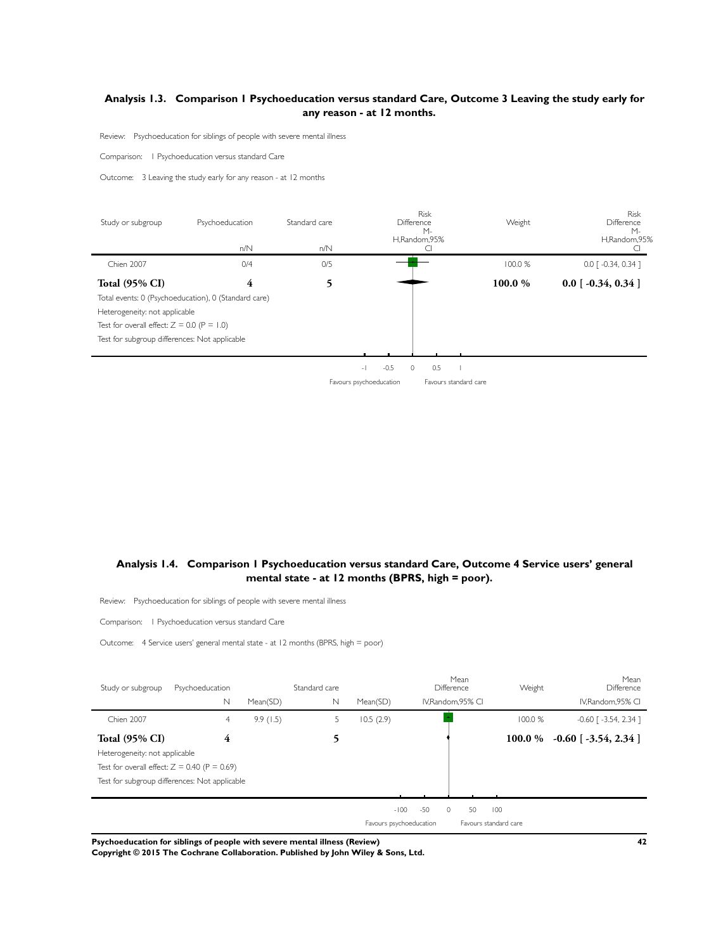# <span id="page-43-0"></span>**Analysis 1.3. Comparison 1 Psychoeducation versus standard Care, Outcome 3 Leaving the study early for any reason - at 12 months.**

Review: Psychoeducation for siblings of people with severe mental illness

Comparison: 1 Psychoeducation versus standard Care

Outcome: 3 Leaving the study early for any reason - at 12 months

| Study or subgroup                             | <b>Risk</b><br>Difference<br>Psychoeducation<br>Standard care<br>$M -$<br>H,Random,95% |     | Weight               | <b>Risk</b><br>Difference<br>$M -$<br>H,Random,95% |                                   |
|-----------------------------------------------|----------------------------------------------------------------------------------------|-----|----------------------|----------------------------------------------------|-----------------------------------|
|                                               | n/N                                                                                    | n/N |                      |                                                    |                                   |
| Chien 2007                                    | O/4                                                                                    | 0/5 |                      | 100.0%                                             | $0.0$ $\lceil -0.34, 0.34 \rceil$ |
| <b>Total (95% CI)</b>                         | 4                                                                                      |     |                      | 100.0%                                             | $0.0$ [ -0.34, 0.34 ]             |
|                                               | Total events: 0 (Psychoeducation), 0 (Standard care)                                   |     |                      |                                                    |                                   |
| Heterogeneity: not applicable                 |                                                                                        |     |                      |                                                    |                                   |
| Test for overall effect: $Z = 0.0$ (P = 1.0)  |                                                                                        |     |                      |                                                    |                                   |
| Test for subgroup differences: Not applicable |                                                                                        |     |                      |                                                    |                                   |
|                                               |                                                                                        |     |                      |                                                    |                                   |
|                                               |                                                                                        |     | 0.5<br>$-0.5$<br>- 1 |                                                    |                                   |

Favours psychoeducation Favours standard care

# **Analysis 1.4. Comparison 1 Psychoeducation versus standard Care, Outcome 4 Service users' general mental state - at 12 months (BPRS, high = poor).**

Review: Psychoeducation for siblings of people with severe mental illness

Comparison: 1 Psychoeducation versus standard Care

Outcome: 4 Service users' general mental state - at 12 months (BPRS, high = poor)

| Study or subgroup                              | Psychoeducation |          | Standard care |           |                         | Mean<br>Difference | Weight                | Mean<br>Difference         |
|------------------------------------------------|-----------------|----------|---------------|-----------|-------------------------|--------------------|-----------------------|----------------------------|
|                                                | $\mathbb N$     | Mean(SD) | N             | Mean(SD)  |                         | IV.Random.95% CI   |                       | IV, Random, 95% CI         |
| Chien 2007                                     | 4               | 9.9(1.5) | 5             | 10.5(2.9) |                         |                    | 100.0%                | $-0.60$ [ $-3.54$ , 2.34 ] |
| <b>Total (95% CI)</b>                          | 4               |          |               |           |                         |                    | $100.0\%$             | $-0.60$ [ $-3.54$ , 2.34 ] |
| Heterogeneity: not applicable                  |                 |          |               |           |                         |                    |                       |                            |
| Test for overall effect: $Z = 0.40$ (P = 0.69) |                 |          |               |           |                         |                    |                       |                            |
| Test for subgroup differences: Not applicable  |                 |          |               |           |                         |                    |                       |                            |
|                                                |                 |          |               |           |                         |                    |                       |                            |
|                                                |                 |          |               |           | $-50$<br>$-100$         | $\Omega$<br>50     | 100                   |                            |
|                                                |                 |          |               |           | Favours psychoeducation |                    | Favours standard care |                            |

**Psychoeducation for siblings of people with severe mental illness (Review) 42**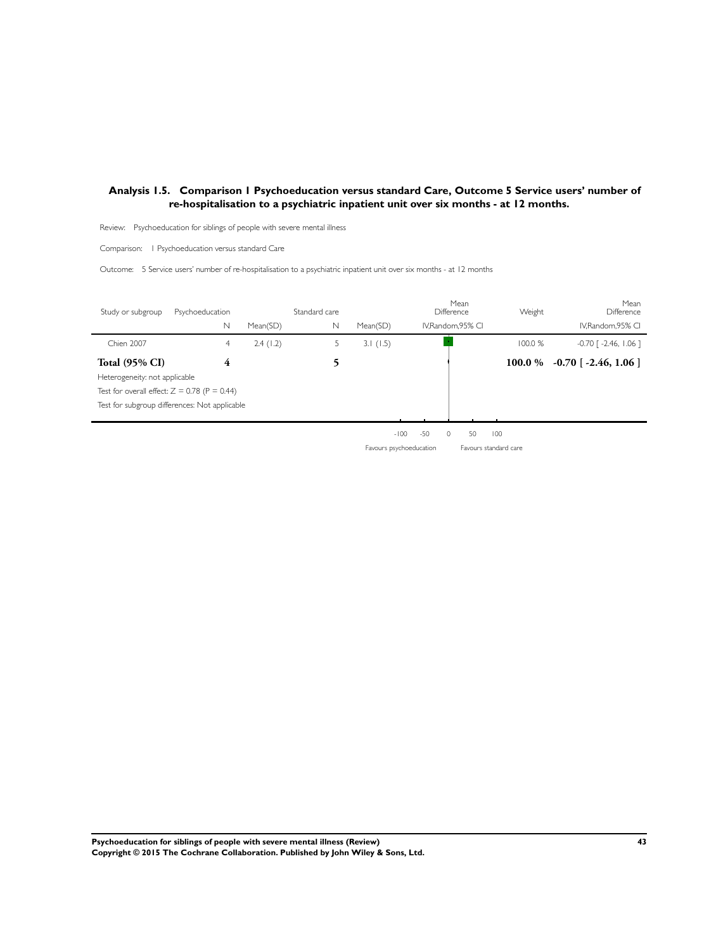# <span id="page-44-0"></span>**Analysis 1.5. Comparison 1 Psychoeducation versus standard Care, Outcome 5 Service users' number of re-hospitalisation to a psychiatric inpatient unit over six months - at 12 months.**

Review: Psychoeducation for siblings of people with severe mental illness

Comparison: 1 Psychoeducation versus standard Care

Outcome: 5 Service users' number of re-hospitalisation to a psychiatric inpatient unit over six months - at 12 months

| Study or subgroup                              | Psychoeducation |          | Standard care |          |                         | Mean<br>Difference | Weight                | Mean<br>Difference                  |
|------------------------------------------------|-----------------|----------|---------------|----------|-------------------------|--------------------|-----------------------|-------------------------------------|
|                                                | $\mathbb N$     | Mean(SD) | N             | Mean(SD) |                         | IV.Random.95% CI   |                       | IV.Random.95% CI                    |
| Chien 2007                                     | $\overline{4}$  | 2.4(1.2) | C.            | 3.1(1.5) |                         |                    | 100.0%                | $-0.70$ $\lceil -2.46, 1.06 \rceil$ |
| <b>Total (95% CI)</b>                          | 4               |          |               |          |                         |                    | 100.0 %               | $-0.70$ [ $-2.46$ , 1.06 ]          |
| Heterogeneity: not applicable                  |                 |          |               |          |                         |                    |                       |                                     |
| Test for overall effect: $Z = 0.78$ (P = 0.44) |                 |          |               |          |                         |                    |                       |                                     |
| Test for subgroup differences: Not applicable  |                 |          |               |          |                         |                    |                       |                                     |
|                                                |                 |          |               |          |                         |                    |                       |                                     |
|                                                |                 |          |               |          | $-100$<br>$-50$         | 50<br>$\Omega$     | 100                   |                                     |
|                                                |                 |          |               |          | Favours psychoeducation |                    | Favours standard care |                                     |

**Psychoeducation for siblings of people with severe mental illness (Review) 43 Copyright © 2015 The Cochrane Collaboration. Published by John Wiley & Sons, Ltd.**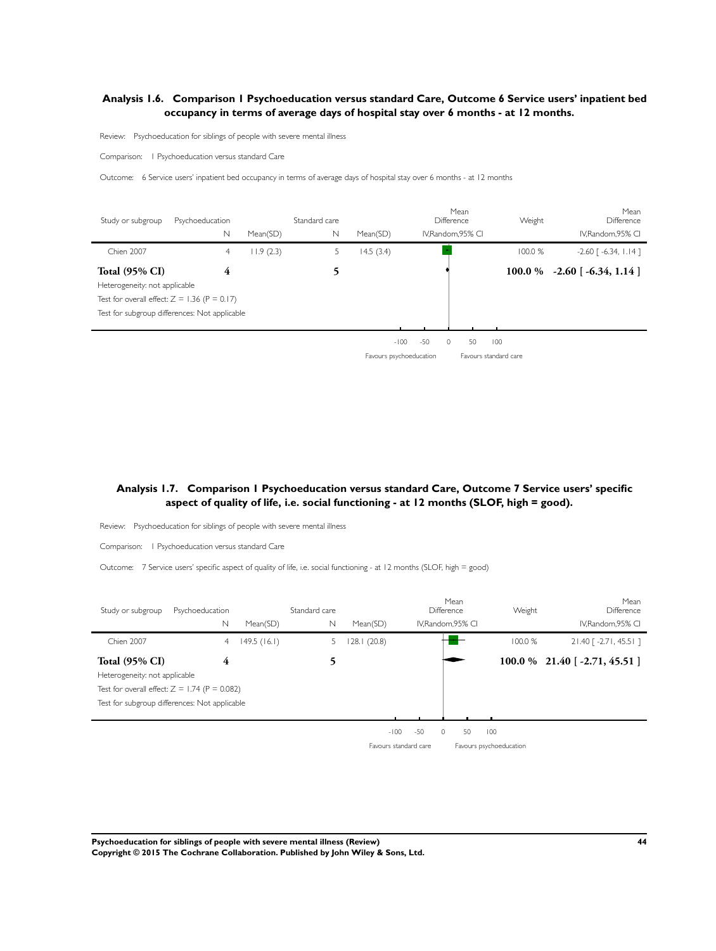# <span id="page-45-0"></span>**Analysis 1.6. Comparison 1 Psychoeducation versus standard Care, Outcome 6 Service users' inpatient bed occupancy in terms of average days of hospital stay over 6 months - at 12 months.**

Review: Psychoeducation for siblings of people with severe mental illness

Comparison: 1 Psychoeducation versus standard Care

Outcome: 6 Service users' inpatient bed occupancy in terms of average days of hospital stay over 6 months - at 12 months

| Study or subgroup                              | Psychoeducation                               |           | Standard care |           |                         | Mean<br><b>Difference</b> | Weight                | Mean<br>Difference         |
|------------------------------------------------|-----------------------------------------------|-----------|---------------|-----------|-------------------------|---------------------------|-----------------------|----------------------------|
|                                                | N                                             | Mean(SD)  | N             | Mean(SD)  |                         | IV, Random, 95% CI        |                       | IV, Random, 95% CI         |
| Chien 2007                                     | 4                                             | 11.9(2.3) | 5             | 14.5(3.4) |                         |                           | 100.0%                | $-2.60$ $[-6.34, 1.14]$    |
| <b>Total (95% CI)</b>                          | 4                                             |           | 5             |           |                         |                           | 100.0 %               | $-2.60$ [ $-6.34$ , 1.14 ] |
| Heterogeneity: not applicable                  |                                               |           |               |           |                         |                           |                       |                            |
| Test for overall effect: $Z = 1.36$ (P = 0.17) |                                               |           |               |           |                         |                           |                       |                            |
|                                                | Test for subgroup differences: Not applicable |           |               |           |                         |                           |                       |                            |
|                                                |                                               |           |               |           |                         |                           |                       |                            |
|                                                |                                               |           |               |           | $-50$<br>$-100$         | 0<br>50                   | 100                   |                            |
|                                                |                                               |           |               |           | Favours psychoeducation |                           | Favours standard care |                            |

# **Analysis 1.7. Comparison 1 Psychoeducation versus standard Care, Outcome 7 Service users' specific aspect of quality of life, i.e. social functioning - at 12 months (SLOF, high = good).**

Review: Psychoeducation for siblings of people with severe mental illness

Comparison: 1 Psychoeducation versus standard Care

÷,

Outcome: 7 Service users' specific aspect of quality of life, i.e. social functioning - at 12 months (SLOF, high = good)

| Study or subgroup                               | Psychoeducation<br>N | Mean(SD)    | Standard care<br>N | Mean(SD)     |                       | Mean<br>Difference<br>IV, Random, 95% CI | Weight                  | Mean<br>Difference<br>IV, Random, 95% CI |
|-------------------------------------------------|----------------------|-------------|--------------------|--------------|-----------------------|------------------------------------------|-------------------------|------------------------------------------|
|                                                 |                      |             |                    |              |                       |                                          |                         |                                          |
| <b>Chien 2007</b>                               | 4                    | 149.5(16.1) | 5                  | 128.1 (20.8) |                       |                                          | 100.0%                  | 21.40 [-2.71, 45.51]                     |
| <b>Total (95% CI)</b>                           | 4                    |             |                    |              |                       |                                          |                         | $100.0\%$ 21.40 [-2.71, 45.51]           |
| Heterogeneity: not applicable                   |                      |             |                    |              |                       |                                          |                         |                                          |
| Test for overall effect: $Z = 1.74$ (P = 0.082) |                      |             |                    |              |                       |                                          |                         |                                          |
| Test for subgroup differences: Not applicable   |                      |             |                    |              |                       |                                          |                         |                                          |
|                                                 |                      |             |                    |              |                       |                                          |                         |                                          |
|                                                 |                      |             |                    |              | $-50$<br>$-100$       | $\circ$<br>50                            | 100                     |                                          |
|                                                 |                      |             |                    |              | Favours standard care |                                          | Favours psychoeducation |                                          |
|                                                 |                      |             |                    |              |                       |                                          |                         |                                          |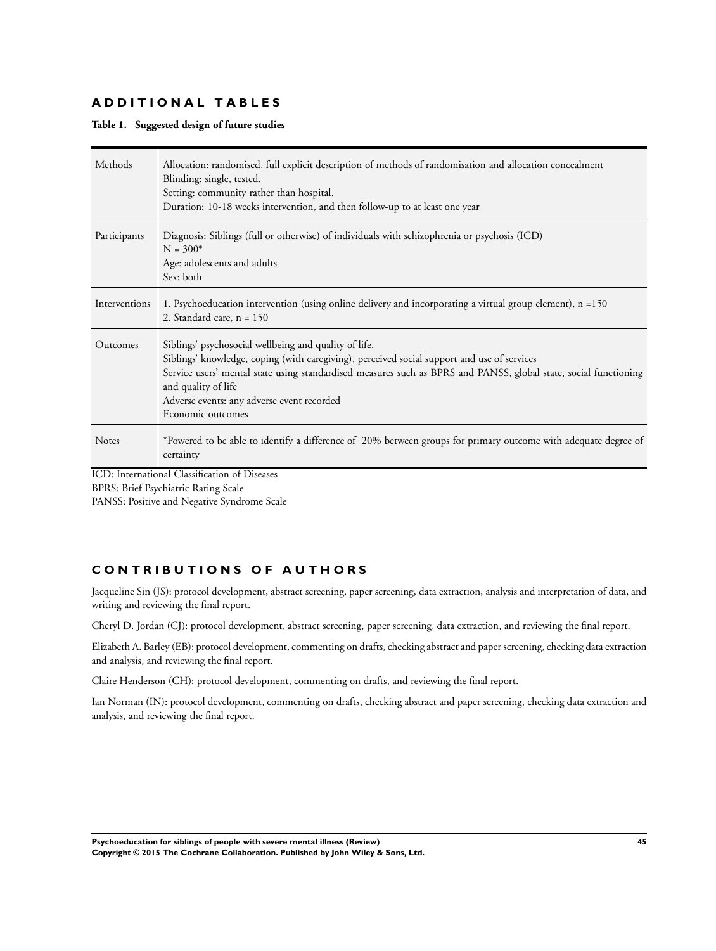# <span id="page-46-0"></span>**A D D I T I O N A L T A B L E S**

# **Table 1. Suggested design of future studies**

| Methods       | Allocation: randomised, full explicit description of methods of randomisation and allocation concealment<br>Blinding: single, tested.<br>Setting: community rather than hospital.<br>Duration: 10-18 weeks intervention, and then follow-up to at least one year                                                                                                   |
|---------------|--------------------------------------------------------------------------------------------------------------------------------------------------------------------------------------------------------------------------------------------------------------------------------------------------------------------------------------------------------------------|
| Participants  | Diagnosis: Siblings (full or otherwise) of individuals with schizophrenia or psychosis (ICD)<br>$N = 300*$<br>Age: adolescents and adults<br>Sex: both                                                                                                                                                                                                             |
| Interventions | 1. Psychoeducation intervention (using online delivery and incorporating a virtual group element), $n = 150$<br>2. Standard care, $n = 150$                                                                                                                                                                                                                        |
| Outcomes      | Siblings' psychosocial wellbeing and quality of life.<br>Siblings' knowledge, coping (with caregiving), perceived social support and use of services<br>Service users' mental state using standardised measures such as BPRS and PANSS, global state, social functioning<br>and quality of life<br>Adverse events: any adverse event recorded<br>Economic outcomes |
| <b>Notes</b>  | *Powered to be able to identify a difference of 20% between groups for primary outcome with adequate degree of<br>certainty                                                                                                                                                                                                                                        |

ICD: International Classification of Diseases BPRS: Brief Psychiatric Rating Scale

PANSS: Positive and Negative Syndrome Scale

# **C O N T R I B U T I O N S O F A U T H O R S**

Jacqueline Sin (JS): protocol development, abstract screening, paper screening, data extraction, analysis and interpretation of data, and writing and reviewing the final report.

Cheryl D. Jordan (CJ): protocol development, abstract screening, paper screening, data extraction, and reviewing the final report.

Elizabeth A. Barley (EB): protocol development, commenting on drafts, checking abstract and paper screening, checking data extraction and analysis, and reviewing the final report.

Claire Henderson (CH): protocol development, commenting on drafts, and reviewing the final report.

Ian Norman (IN): protocol development, commenting on drafts, checking abstract and paper screening, checking data extraction and analysis, and reviewing the final report.